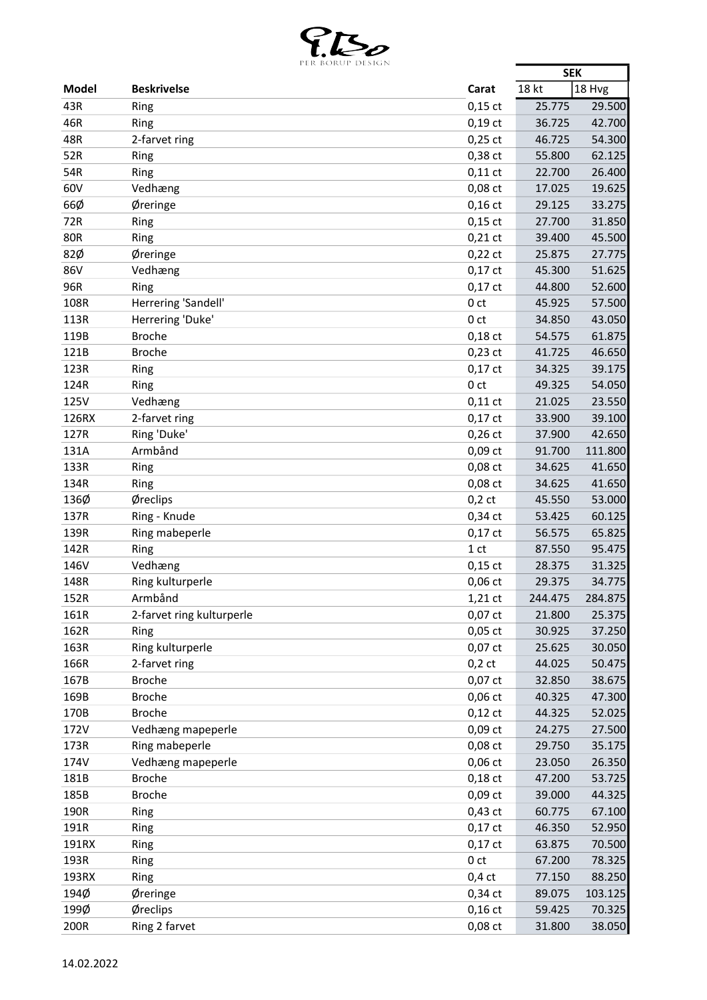

|              | PER BURUP DESIGN          |                 | <b>SEK</b> |         |
|--------------|---------------------------|-----------------|------------|---------|
| <b>Model</b> | <b>Beskrivelse</b>        | Carat           | 18 kt      | 18 Hvg  |
| 43R          | Ring                      | $0,15$ ct       | 25.775     | 29.500  |
| 46R          | Ring                      | $0,19$ ct       | 36.725     | 42.700  |
| 48R          | 2-farvet ring             | $0,25$ ct       | 46.725     | 54.300  |
| 52R          | Ring                      | 0,38 ct         | 55.800     | 62.125  |
| 54R          | Ring                      | $0,11$ ct       | 22.700     | 26.400  |
| 60V          | Vedhæng                   | 0,08 ct         | 17.025     | 19.625  |
| 66Ø          | Øreringe                  | $0,16$ ct       | 29.125     | 33.275  |
| 72R          | Ring                      | $0,15$ ct       | 27.700     | 31.850  |
| <b>80R</b>   | Ring                      | $0,21$ ct       | 39.400     | 45.500  |
| 82Ø          | Øreringe                  | $0,22$ ct       | 25.875     | 27.775  |
| 86V          | Vedhæng                   | $0,17$ ct       | 45.300     | 51.625  |
| 96R          | Ring                      | $0,17$ ct       | 44.800     | 52.600  |
| 108R         | Herrering 'Sandell'       | 0 <sub>ct</sub> | 45.925     | 57.500  |
| 113R         | Herrering 'Duke'          | 0 <sub>ct</sub> | 34.850     | 43.050  |
| 119B         | <b>Broche</b>             | $0,18$ ct       | 54.575     | 61.875  |
| 121B         | <b>Broche</b>             |                 | 41.725     | 46.650  |
| 123R         |                           | $0,23$ ct       |            | 39.175  |
|              | Ring                      | $0,17$ ct       | 34.325     |         |
| 124R         | Ring                      | 0 <sub>ct</sub> | 49.325     | 54.050  |
| 125V         | Vedhæng                   | $0,11$ ct       | 21.025     | 23.550  |
| 126RX        | 2-farvet ring             | $0,17$ ct       | 33.900     | 39.100  |
| 127R         | Ring 'Duke'               | $0,26$ ct       | 37.900     | 42.650  |
| 131A         | Armbånd                   | 0,09 ct         | 91.700     | 111.800 |
| 133R         | Ring                      | 0,08 ct         | 34.625     | 41.650  |
| 134R         | Ring                      | 0,08 ct         | 34.625     | 41.650  |
| 136Ø         | Øreclips                  | $0,2$ ct        | 45.550     | 53.000  |
| 137R         | Ring - Knude              | $0,34$ ct       | 53.425     | 60.125  |
| 139R         | Ring mabeperle            | $0,17$ ct       | 56.575     | 65.825  |
| 142R         | Ring                      | 1 <sub>ct</sub> | 87.550     | 95.475  |
| 146V         | Vedhæng                   | $0,15$ ct       | 28.375     | 31.325  |
| 148R         | Ring kulturperle          | $0,06$ ct       | 29.375     | 34.775  |
| 152R         | Armbånd                   | 1,21 ct         | 244.475    | 284.875 |
| 161R         | 2-farvet ring kulturperle | $0,07$ ct       | 21.800     | 25.375  |
| 162R         | Ring                      | $0,05$ ct       | 30.925     | 37.250  |
| 163R         | Ring kulturperle          | 0,07 ct         | 25.625     | 30.050  |
| 166R         | 2-farvet ring             | $0,2$ ct        | 44.025     | 50.475  |
| 167B         | <b>Broche</b>             | 0,07 ct         | 32.850     | 38.675  |
| 169B         | <b>Broche</b>             | 0,06 ct         | 40.325     | 47.300  |
| 170B         | <b>Broche</b>             | $0,12$ ct       | 44.325     | 52.025  |
| 172V         | Vedhæng mapeperle         | 0,09 ct         | 24.275     | 27.500  |
| 173R         | Ring mabeperle            | 0,08 ct         | 29.750     | 35.175  |
| 174V         | Vedhæng mapeperle         | $0,06$ ct       | 23.050     | 26.350  |
| 181B         | <b>Broche</b>             | $0,18$ ct       | 47.200     | 53.725  |
| 185B         | <b>Broche</b>             | 0,09 ct         | 39.000     | 44.325  |
| 190R         | Ring                      | 0,43 ct         | 60.775     | 67.100  |
| 191R         | Ring                      | $0,17$ ct       | 46.350     | 52.950  |
| 191RX        | Ring                      | $0,17$ ct       | 63.875     | 70.500  |
| 193R         | Ring                      | 0 <sub>ct</sub> | 67.200     | 78.325  |
| 193RX        | Ring                      | $0,4$ ct        | 77.150     | 88.250  |
| 194Ø         | Øreringe                  | $0,34$ ct       | 89.075     | 103.125 |
| 199Ø         | Øreclips                  | $0,16$ ct       | 59.425     | 70.325  |
| 200R         | Ring 2 farvet             | 0,08 ct         | 31.800     | 38.050  |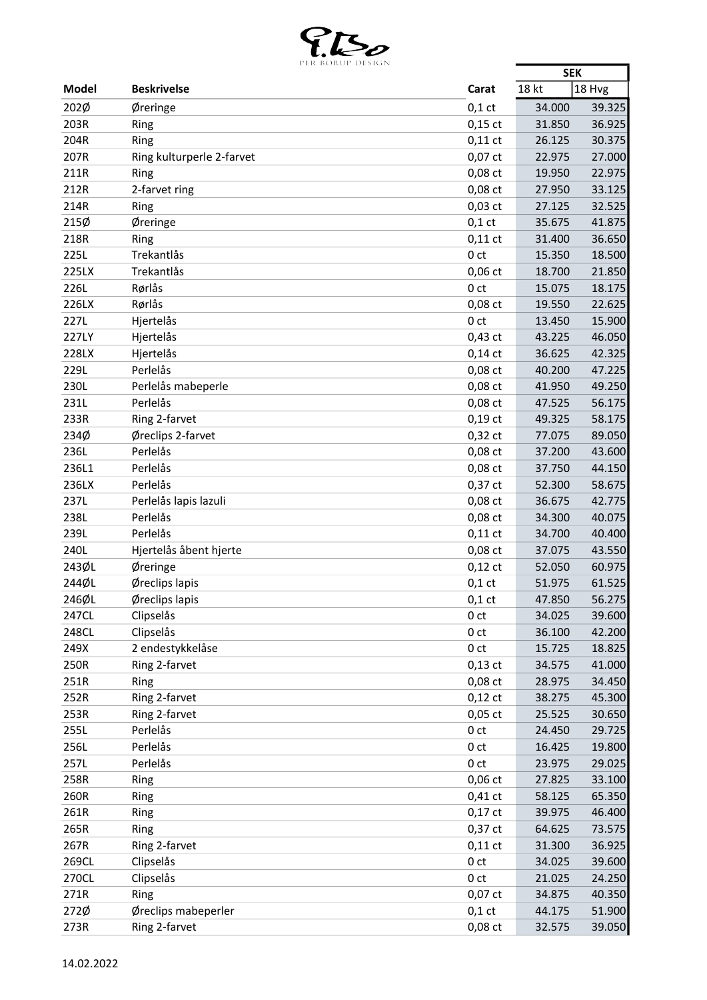

| 18 Hvg<br>18 kt<br>Model<br><b>Beskrivelse</b><br>Carat<br>202Ø<br>$0,1$ ct<br>34.000<br>Øreringe<br>203R<br>$0,15$ ct<br>31.850<br>Ring<br>204R<br>26.125<br>Ring<br>$0,11$ ct<br>207R<br>Ring kulturperle 2-farvet<br>0,07 ct<br>22.975<br>211R<br>0,08 ct<br>19.950<br>Ring<br>212R<br>2-farvet ring<br>0,08 ct<br>27.950<br>214R<br>$0,03$ ct<br>27.125<br>Ring<br>215Ø<br>Øreringe<br>$0,1$ ct<br>35.675<br>218R<br>$0,11$ ct<br>Ring<br>31.400<br>225L<br>Trekantlås<br>0 <sub>ct</sub><br>15.350<br>Trekantlås<br>225LX<br>$0,06$ ct<br>18.700<br>226L<br>Rørlås<br>0 <sub>ct</sub><br>15.075<br>226LX<br>Rørlås<br>0,08 ct<br>19.550<br>227L<br>Hjertelås<br>0 <sub>ct</sub><br>13.450 | 39.325<br>36.925<br>30.375<br>27.000<br>22.975<br>33.125<br>32.525<br>41.875<br>36.650 |
|------------------------------------------------------------------------------------------------------------------------------------------------------------------------------------------------------------------------------------------------------------------------------------------------------------------------------------------------------------------------------------------------------------------------------------------------------------------------------------------------------------------------------------------------------------------------------------------------------------------------------------------------------------------------------------------------|----------------------------------------------------------------------------------------|
|                                                                                                                                                                                                                                                                                                                                                                                                                                                                                                                                                                                                                                                                                                |                                                                                        |
|                                                                                                                                                                                                                                                                                                                                                                                                                                                                                                                                                                                                                                                                                                |                                                                                        |
|                                                                                                                                                                                                                                                                                                                                                                                                                                                                                                                                                                                                                                                                                                |                                                                                        |
|                                                                                                                                                                                                                                                                                                                                                                                                                                                                                                                                                                                                                                                                                                |                                                                                        |
|                                                                                                                                                                                                                                                                                                                                                                                                                                                                                                                                                                                                                                                                                                |                                                                                        |
|                                                                                                                                                                                                                                                                                                                                                                                                                                                                                                                                                                                                                                                                                                |                                                                                        |
|                                                                                                                                                                                                                                                                                                                                                                                                                                                                                                                                                                                                                                                                                                |                                                                                        |
|                                                                                                                                                                                                                                                                                                                                                                                                                                                                                                                                                                                                                                                                                                |                                                                                        |
|                                                                                                                                                                                                                                                                                                                                                                                                                                                                                                                                                                                                                                                                                                |                                                                                        |
|                                                                                                                                                                                                                                                                                                                                                                                                                                                                                                                                                                                                                                                                                                |                                                                                        |
|                                                                                                                                                                                                                                                                                                                                                                                                                                                                                                                                                                                                                                                                                                | 18.500                                                                                 |
|                                                                                                                                                                                                                                                                                                                                                                                                                                                                                                                                                                                                                                                                                                | 21.850                                                                                 |
|                                                                                                                                                                                                                                                                                                                                                                                                                                                                                                                                                                                                                                                                                                | 18.175                                                                                 |
|                                                                                                                                                                                                                                                                                                                                                                                                                                                                                                                                                                                                                                                                                                | 22.625                                                                                 |
|                                                                                                                                                                                                                                                                                                                                                                                                                                                                                                                                                                                                                                                                                                | 15.900                                                                                 |
| 227LY<br>Hjertelås<br>$0,43$ ct<br>43.225                                                                                                                                                                                                                                                                                                                                                                                                                                                                                                                                                                                                                                                      | 46.050                                                                                 |
| 228LX<br>Hjertelås<br>36.625<br>$0,14$ ct                                                                                                                                                                                                                                                                                                                                                                                                                                                                                                                                                                                                                                                      | 42.325                                                                                 |
| 229L<br>Perlelås<br>0,08 ct<br>40.200                                                                                                                                                                                                                                                                                                                                                                                                                                                                                                                                                                                                                                                          | 47.225                                                                                 |
| Perlelås mabeperle<br>230L<br>0,08 ct<br>41.950                                                                                                                                                                                                                                                                                                                                                                                                                                                                                                                                                                                                                                                | 49.250                                                                                 |
| <b>231L</b><br>Perlelås<br>0,08 ct                                                                                                                                                                                                                                                                                                                                                                                                                                                                                                                                                                                                                                                             |                                                                                        |
| 47.525                                                                                                                                                                                                                                                                                                                                                                                                                                                                                                                                                                                                                                                                                         | 56.175                                                                                 |
| 233R<br>Ring 2-farvet<br>$0,19$ ct<br>49.325                                                                                                                                                                                                                                                                                                                                                                                                                                                                                                                                                                                                                                                   | 58.175                                                                                 |
| 234Ø<br>Øreclips 2-farvet<br>$0,32$ ct<br>77.075                                                                                                                                                                                                                                                                                                                                                                                                                                                                                                                                                                                                                                               | 89.050                                                                                 |
| 236L<br>Perlelås<br>0,08 ct<br>37.200                                                                                                                                                                                                                                                                                                                                                                                                                                                                                                                                                                                                                                                          | 43.600                                                                                 |
| 236L1<br>Perlelås<br>0,08 ct<br>37.750                                                                                                                                                                                                                                                                                                                                                                                                                                                                                                                                                                                                                                                         | 44.150                                                                                 |
| 236LX<br>Perlelås<br>$0,37$ ct<br>52.300                                                                                                                                                                                                                                                                                                                                                                                                                                                                                                                                                                                                                                                       | 58.675                                                                                 |
| 237L<br>Perlelås lapis lazuli<br>$0,08$ ct<br>36.675                                                                                                                                                                                                                                                                                                                                                                                                                                                                                                                                                                                                                                           | 42.775                                                                                 |
| 238L<br>Perlelås<br>0,08 ct<br>34.300                                                                                                                                                                                                                                                                                                                                                                                                                                                                                                                                                                                                                                                          | 40.075                                                                                 |
| 239L<br>Perlelås<br>$0,11$ ct<br>34.700                                                                                                                                                                                                                                                                                                                                                                                                                                                                                                                                                                                                                                                        | 40.400                                                                                 |
| 240L<br>Hjertelås åbent hjerte<br>0,08 ct<br>37.075                                                                                                                                                                                                                                                                                                                                                                                                                                                                                                                                                                                                                                            | 43.550                                                                                 |
| 243ØL<br>Øreringe<br>$0,12$ ct<br>52.050                                                                                                                                                                                                                                                                                                                                                                                                                                                                                                                                                                                                                                                       | 60.975                                                                                 |
| 244ØL<br>Øreclips lapis<br>$0,1$ ct<br>51.975                                                                                                                                                                                                                                                                                                                                                                                                                                                                                                                                                                                                                                                  | 61.525                                                                                 |
| 246ØL<br>Øreclips lapis<br>$0,1$ ct<br>47.850                                                                                                                                                                                                                                                                                                                                                                                                                                                                                                                                                                                                                                                  | 56.275                                                                                 |
| 247CL<br>Clipselås<br>0 <sub>ct</sub><br>34.025                                                                                                                                                                                                                                                                                                                                                                                                                                                                                                                                                                                                                                                | 39.600                                                                                 |
| Clipselås<br>248CL<br>0 <sub>ct</sub><br>36.100                                                                                                                                                                                                                                                                                                                                                                                                                                                                                                                                                                                                                                                | 42.200                                                                                 |
| 2 endestykkelåse<br>249X<br>0 <sub>ct</sub><br>15.725                                                                                                                                                                                                                                                                                                                                                                                                                                                                                                                                                                                                                                          | 18.825                                                                                 |
| 250R<br>Ring 2-farvet<br>$0,13$ ct<br>34.575                                                                                                                                                                                                                                                                                                                                                                                                                                                                                                                                                                                                                                                   | 41.000                                                                                 |
| 251R<br>Ring<br>0,08 ct<br>28.975                                                                                                                                                                                                                                                                                                                                                                                                                                                                                                                                                                                                                                                              | 34.450                                                                                 |
| Ring 2-farvet<br>252R<br>$0,12$ ct<br>38.275                                                                                                                                                                                                                                                                                                                                                                                                                                                                                                                                                                                                                                                   | 45.300                                                                                 |
| 253R<br>Ring 2-farvet<br>$0,05$ ct<br>25.525                                                                                                                                                                                                                                                                                                                                                                                                                                                                                                                                                                                                                                                   | 30.650                                                                                 |
| Perlelås<br>255L<br>0 <sub>ct</sub><br>24.450                                                                                                                                                                                                                                                                                                                                                                                                                                                                                                                                                                                                                                                  | 29.725                                                                                 |
| 256L<br>Perlelås<br>0 <sub>ct</sub><br>16.425                                                                                                                                                                                                                                                                                                                                                                                                                                                                                                                                                                                                                                                  | 19.800                                                                                 |
| 257L<br>Perlelås<br>0 <sub>ct</sub><br>23.975                                                                                                                                                                                                                                                                                                                                                                                                                                                                                                                                                                                                                                                  | 29.025                                                                                 |
| 258R<br>0,06 ct<br>27.825<br>Ring                                                                                                                                                                                                                                                                                                                                                                                                                                                                                                                                                                                                                                                              | 33.100                                                                                 |
| 260R<br>$0,41$ ct<br>Ring<br>58.125                                                                                                                                                                                                                                                                                                                                                                                                                                                                                                                                                                                                                                                            | 65.350                                                                                 |
| 261R<br>$0,17$ ct<br>Ring<br>39.975                                                                                                                                                                                                                                                                                                                                                                                                                                                                                                                                                                                                                                                            | 46.400                                                                                 |
| 265R<br>0,37 ct<br>64.625<br>Ring                                                                                                                                                                                                                                                                                                                                                                                                                                                                                                                                                                                                                                                              | 73.575                                                                                 |
| 267R<br>Ring 2-farvet<br>$0,11$ ct<br>31.300                                                                                                                                                                                                                                                                                                                                                                                                                                                                                                                                                                                                                                                   | 36.925                                                                                 |
| Clipselås<br>269CL<br>34.025<br>0 <sub>ct</sub>                                                                                                                                                                                                                                                                                                                                                                                                                                                                                                                                                                                                                                                | 39.600                                                                                 |
| Clipselås<br>270CL<br>0 <sub>ct</sub><br>21.025                                                                                                                                                                                                                                                                                                                                                                                                                                                                                                                                                                                                                                                | 24.250                                                                                 |
| 271R<br>0,07 ct<br>Ring<br>34.875                                                                                                                                                                                                                                                                                                                                                                                                                                                                                                                                                                                                                                                              |                                                                                        |
| 272Ø<br>Øreclips mabeperler<br>$0,1$ ct<br>44.175                                                                                                                                                                                                                                                                                                                                                                                                                                                                                                                                                                                                                                              |                                                                                        |
| Ring 2-farvet<br>273R<br>0,08 ct<br>32.575<br>39.050                                                                                                                                                                                                                                                                                                                                                                                                                                                                                                                                                                                                                                           | 40.350<br>51.900                                                                       |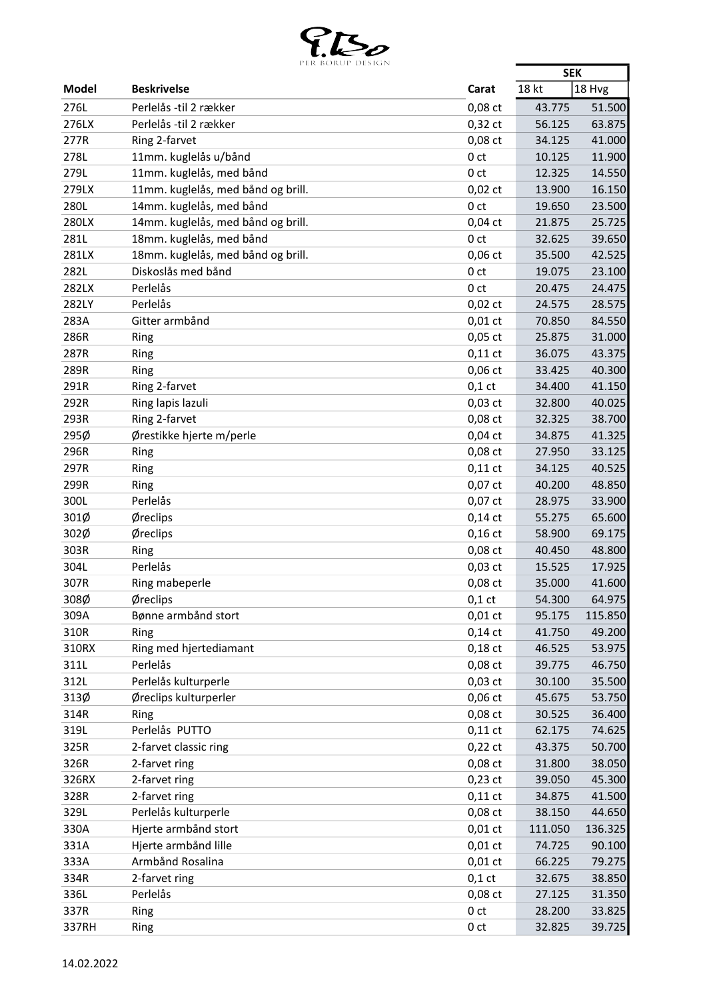

|              | PER BORUP DESIGN                   |                 | <b>SEK</b>       |         |
|--------------|------------------------------------|-----------------|------------------|---------|
| <b>Model</b> | <b>Beskrivelse</b>                 | Carat           | 18 kt            | 18 Hvg  |
| 276L         | Perlelås -til 2 rækker             | 0,08 ct         | 43.775           | 51.500  |
| 276LX        | Perlelås -til 2 rækker             | $0,32$ ct       | 56.125           | 63.875  |
| 277R         | Ring 2-farvet                      | 0,08 ct         | 34.125           | 41.000  |
| 278L         | 11mm. kuglelås u/bånd              | 0 <sub>ct</sub> | 10.125           | 11.900  |
| 279L         | 11mm. kuglelås, med bånd           | 0 <sub>ct</sub> | 12.325           | 14.550  |
| 279LX        | 11mm. kuglelås, med bånd og brill. | $0,02$ ct       | 13.900           | 16.150  |
| 280L         | 14mm. kuglelås, med bånd           | 0 <sub>ct</sub> | 19.650           | 23.500  |
| 280LX        | 14mm. kuglelås, med bånd og brill. | $0,04$ ct       | 21.875           | 25.725  |
| 281L         | 18mm. kuglelås, med bånd           | 0 <sub>ct</sub> | 32.625           | 39.650  |
| 281LX        | 18mm. kuglelås, med bånd og brill. | $0,06$ ct       | 35.500           | 42.525  |
| 282L         | Diskoslås med bånd                 | 0 <sub>ct</sub> | 19.075           | 23.100  |
| 282LX        | Perlelås                           | 0 <sub>ct</sub> | 20.475           | 24.475  |
| 282LY        | Perlelås                           | $0,02$ ct       | 24.575           | 28.575  |
| 283A         | Gitter armbånd                     |                 |                  |         |
|              |                                    | $0,01$ ct       | 70.850<br>25.875 | 84.550  |
| 286R         | Ring                               | $0,05$ ct       |                  | 31.000  |
| 287R         | Ring                               | $0,11$ ct       | 36.075           | 43.375  |
| 289R         | Ring                               | $0,06$ ct       | 33.425           | 40.300  |
| 291R         | Ring 2-farvet                      | $0,1$ ct        | 34.400           | 41.150  |
| 292R         | Ring lapis lazuli                  | $0,03$ ct       | 32.800           | 40.025  |
| 293R         | Ring 2-farvet                      | 0,08 ct         | 32.325           | 38.700  |
| 295Ø         | Ørestikke hjerte m/perle           | $0,04$ ct       | 34.875           | 41.325  |
| 296R         | Ring                               | 0,08 ct         | 27.950           | 33.125  |
| 297R         | Ring                               | $0,11$ ct       | 34.125           | 40.525  |
| 299R         | Ring                               | 0,07 ct         | 40.200           | 48.850  |
| 300L         | Perlelås                           | 0,07 ct         | 28.975           | 33.900  |
| 301Ø         | Øreclips                           | $0,14$ ct       | 55.275           | 65.600  |
| 302Ø         | Øreclips                           | $0,16$ ct       | 58.900           | 69.175  |
| 303R         | Ring                               | 0,08 ct         | 40.450           | 48.800  |
| 304L         | Perlelås                           | $0,03$ ct       | 15.525           | 17.925  |
| 307R         | Ring mabeperle                     | 0,08 ct         | 35.000           | 41.600  |
| 308Ø         | Øreclips                           | $0,1$ ct        | 54.300           | 64.975  |
| 309A         | Bønne armbånd stort                | $0,01$ ct       | 95.175           | 115.850 |
| 310R         | Ring                               | $0,14$ ct       | 41.750           | 49.200  |
| 310RX        | Ring med hjertediamant             | $0,18$ ct       | 46.525           | 53.975  |
| 311L         | Perlelås                           | $0,08$ ct       | 39.775           | 46.750  |
| 312L         | Perlelås kulturperle               | $0,03$ ct       | 30.100           | 35.500  |
| 313Ø         | Øreclips kulturperler              | $0,06$ ct       | 45.675           | 53.750  |
| 314R         | Ring                               | $0,08$ ct       | 30.525           | 36.400  |
| 319L         | Perlelås PUTTO                     | $0,11$ ct       | 62.175           | 74.625  |
| 325R         | 2-farvet classic ring              | $0,22$ ct       | 43.375           | 50.700  |
| 326R         | 2-farvet ring                      | 0,08 ct         | 31.800           | 38.050  |
| 326RX        | 2-farvet ring                      | $0,23$ ct       | 39.050           | 45.300  |
| 328R         | 2-farvet ring                      | $0,11$ ct       | 34.875           | 41.500  |
| 329L         | Perlelås kulturperle               | 0,08 ct         | 38.150           | 44.650  |
| 330A         | Hjerte armbånd stort               | $0,01$ ct       | 111.050          | 136.325 |
| 331A         | Hjerte armbånd lille               | $0,01$ ct       | 74.725           | 90.100  |
| 333A         | Armbånd Rosalina                   | $0,01$ ct       | 66.225           | 79.275  |
| 334R         | 2-farvet ring                      | $0,1$ ct        | 32.675           | 38.850  |
| 336L         | Perlelås                           | 0,08 ct         | 27.125           | 31.350  |
| 337R         | Ring                               | 0 <sub>ct</sub> | 28.200           | 33.825  |
| 337RH        | Ring                               | 0 <sub>ct</sub> | 32.825           | 39.725  |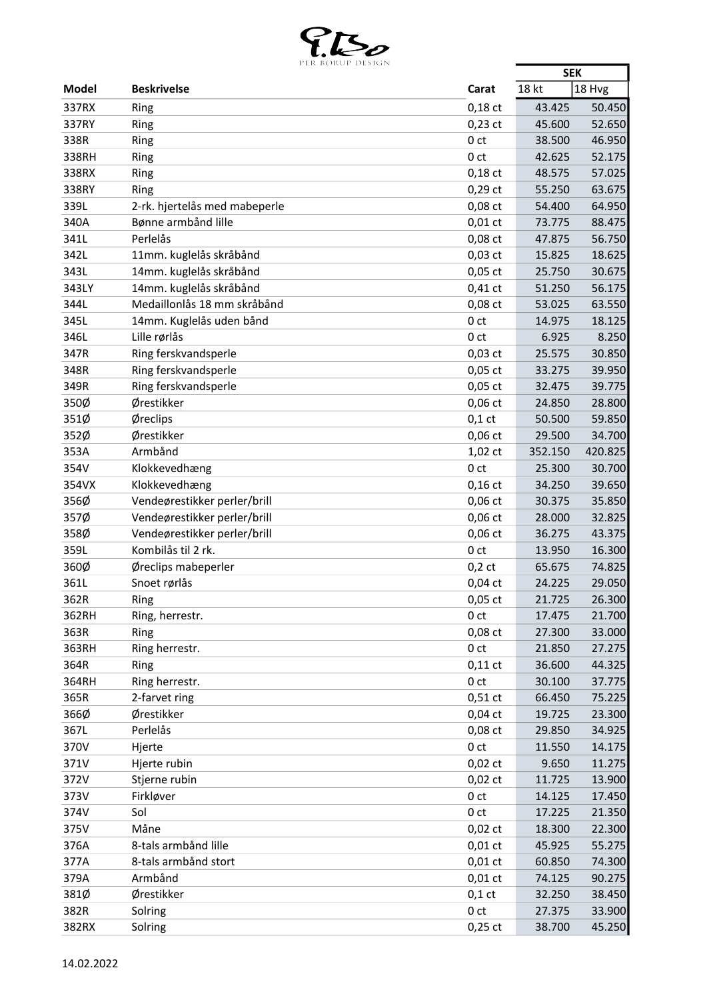

|              | DUNUL DESIGN                                                 |                 | <b>SEK</b> |                  |
|--------------|--------------------------------------------------------------|-----------------|------------|------------------|
| <b>Model</b> | <b>Beskrivelse</b>                                           | Carat           | 18 kt      | 18 Hvg           |
| 337RX        | Ring                                                         | $0,18$ ct       | 43.425     | 50.450           |
| 337RY        | Ring                                                         | $0,23$ ct       | 45.600     | 52.650           |
| 338R         | Ring                                                         | 0 <sub>ct</sub> | 38.500     | 46.950           |
| 338RH        | Ring                                                         | 0 <sub>ct</sub> | 42.625     | 52.175           |
| 338RX        | Ring                                                         | $0,18$ ct       | 48.575     | 57.025           |
| 338RY        | Ring                                                         | $0,29$ ct       | 55.250     | 63.675           |
| 339L         | 2-rk. hjertelås med mabeperle                                | 0,08 ct         | 54.400     | 64.950           |
| 340A         | Bønne armbånd lille                                          | $0,01$ ct       | 73.775     | 88.475           |
| 341L         | Perlelås                                                     | 0,08 ct         | 47.875     | 56.750           |
| 342L         | 11mm. kuglelås skråbånd                                      | $0,03$ ct       | 15.825     | 18.625           |
| 343L         | 14mm. kuglelås skråbånd                                      | $0,05$ ct       | 25.750     | 30.675           |
| 343LY        | 14mm. kuglelås skråbånd                                      | $0,41$ ct       | 51.250     | 56.175           |
| 344L         | Medaillonlås 18 mm skråbånd                                  | $0,08$ ct       | 53.025     | 63.550           |
| 345L         | 14mm. Kuglelås uden bånd                                     | 0 <sub>ct</sub> | 14.975     | 18.125           |
| 346L         | Lille rørlås                                                 | 0 <sub>ct</sub> | 6.925      | 8.250            |
| 347R         | Ring ferskvandsperle                                         | $0,03$ ct       | 25.575     | 30.850           |
| 348R         | Ring ferskvandsperle                                         | $0,05$ ct       | 33.275     | 39.950           |
| 349R         | Ring ferskvandsperle                                         | $0,05$ ct       | 32.475     | 39.775           |
| 350Ø         | Ørestikker                                                   | $0,06$ ct       | 24.850     | 28.800           |
| 351Ø         | Øreclips                                                     | $0,1$ ct        | 50.500     | 59.850           |
| 352Ø         | Ørestikker                                                   | $0,06$ ct       | 29.500     | 34.700           |
| 353A         | Armbånd                                                      | 1,02 ct         | 352.150    | 420.825          |
| 354V         | Klokkevedhæng                                                | 0 <sub>ct</sub> | 25.300     | 30.700           |
|              | Klokkevedhæng                                                |                 |            | 39.650           |
| 354VX        |                                                              | $0,16$ ct       | 34.250     |                  |
| 356Ø<br>357Ø | Vendeørestikker perler/brill                                 | $0,06$ ct       | 30.375     | 35.850<br>32.825 |
|              | Vendeørestikker perler/brill<br>Vendeørestikker perler/brill | $0,06$ ct       | 28.000     |                  |
| 358Ø         |                                                              | $0,06$ ct       | 36.275     | 43.375           |
| 359L         | Kombilås til 2 rk.                                           | 0 <sub>ct</sub> | 13.950     | 16.300           |
| 360Ø         | Øreclips mabeperler                                          | $0,2$ ct        | 65.675     | 74.825           |
| 361L         | Snoet rørlås                                                 | $0,04$ ct       | 24.225     | 29.050           |
| 362R         | Ring                                                         | 0,05 ct         | 21.725     | 26.300           |
| 362RH        | Ring, herrestr.                                              | 0 <sub>ct</sub> | 17.475     | 21.700           |
| 363R         | Ring                                                         | $0,08$ ct       | 27.300     | 33.000           |
| 363RH        | Ring herrestr.                                               | 0 <sub>ct</sub> | 21.850     | 27.275           |
| 364R         | Ring                                                         | $0,11$ ct       | 36.600     | 44.325           |
| 364RH        | Ring herrestr.                                               | 0 <sub>ct</sub> | 30.100     | 37.775           |
| 365R         | 2-farvet ring                                                | $0,51$ ct       | 66.450     | 75.225           |
| 366Ø         | Ørestikker                                                   | $0,04$ ct       | 19.725     | 23.300           |
| 367L         | Perlelås                                                     | 0,08 ct         | 29.850     | 34.925           |
| 370V         | Hjerte                                                       | 0 <sub>ct</sub> | 11.550     | 14.175           |
| 371V         | Hjerte rubin                                                 | $0,02$ ct       | 9.650      | 11.275           |
| 372V         | Stjerne rubin                                                | $0,02$ ct       | 11.725     | 13.900           |
| 373V         | Firkløver                                                    | 0 <sub>ct</sub> | 14.125     | 17.450           |
| 374V         | Sol                                                          | 0 <sub>ct</sub> | 17.225     | 21.350           |
| 375V         | Måne                                                         | $0,02$ ct       | 18.300     | 22.300           |
| 376A         | 8-tals armbånd lille                                         | $0,01$ ct       | 45.925     | 55.275           |
| 377A         | 8-tals armbånd stort                                         | $0,01$ ct       | 60.850     | 74.300           |
| 379A         | Armbånd                                                      | $0,01$ ct       | 74.125     | 90.275           |
| 381Ø         | Ørestikker                                                   | $0,1$ ct        | 32.250     | 38.450           |
| 382R         | Solring                                                      | 0 <sub>ct</sub> | 27.375     | 33.900           |
| 382RX        | Solring                                                      | $0,25$ ct       | 38.700     | 45.250           |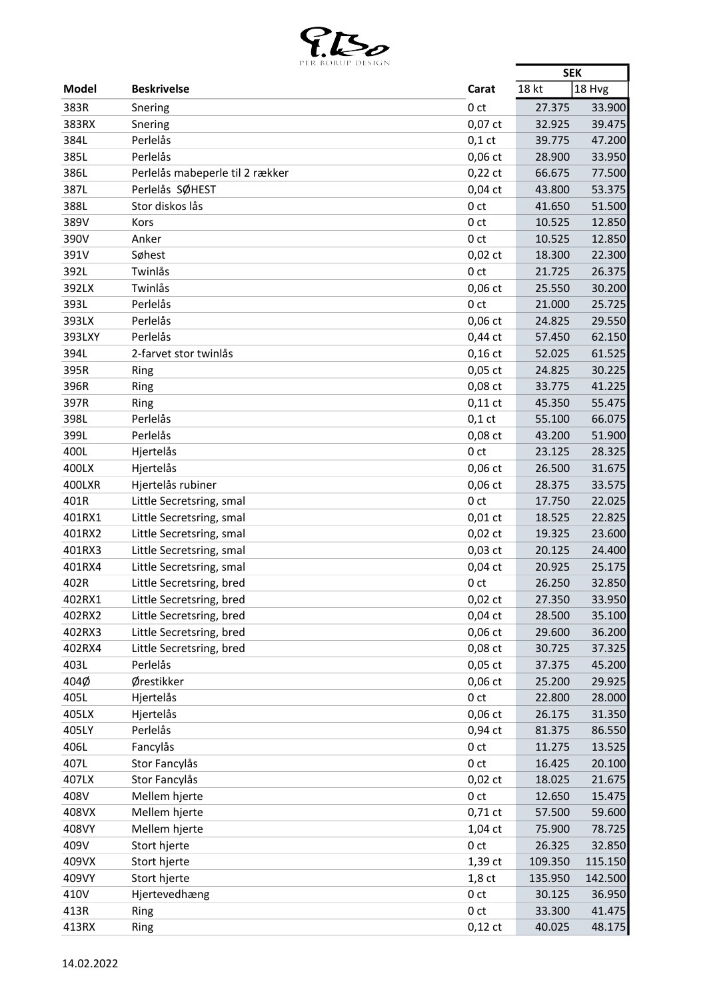

|                | PER BURUP DESIGN                |                     | <b>SEK</b>         |         |
|----------------|---------------------------------|---------------------|--------------------|---------|
| <b>Model</b>   | <b>Beskrivelse</b>              | Carat               | 18 kt              | 18 Hvg  |
| 383R           | Snering                         | 0 <sub>ct</sub>     | 27.375             | 33.900  |
| 383RX          | Snering                         | $0,07$ ct           | 32.925             | 39.475  |
| 384L           | Perlelås                        | $0,1$ ct            | 39.775             | 47.200  |
| 385L           | Perlelås                        | $0,06$ ct           | 28.900             | 33.950  |
| 386L           | Perlelås mabeperle til 2 rækker | $0,22$ ct           | 66.675             | 77.500  |
| 387L           | Perlelås SØHEST                 | $0,04$ ct           | 43.800             | 53.375  |
| 388L           | Stor diskos lås                 | 0 <sub>ct</sub>     | 41.650             | 51.500  |
| 389V           | Kors                            | 0 <sub>ct</sub>     | 10.525             | 12.850  |
| 390V           | Anker                           | 0 <sub>ct</sub>     | 10.525             | 12.850  |
| 391V           | Søhest                          | $0,02$ ct           | 18.300             | 22.300  |
| 392L           | Twinlås                         | 0 <sub>ct</sub>     | 21.725             | 26.375  |
| 392LX          | Twinlås                         | $0,06$ ct           | 25.550             | 30.200  |
| 393L           | Perlelås                        | 0 <sub>ct</sub>     | 21.000             | 25.725  |
| 393LX          | Perlelås                        | $0,06$ ct           | 24.825             | 29.550  |
| 393LXY         | Perlelås                        | $0,44$ ct           | 57.450             | 62.150  |
| 394L           | 2-farvet stor twinlås           | $0,16$ ct           | 52.025             | 61.525  |
| 395R           | Ring                            | $0,05$ ct           | 24.825             | 30.225  |
| 396R           | Ring                            | 0,08 ct             | 33.775             | 41.225  |
| 397R           | Ring                            | $0,11$ ct           | 45.350             | 55.475  |
| 398L           | Perlelås                        | $0,1$ ct            | 55.100             | 66.075  |
| 399L           | Perlelås                        | 0,08 ct             | 43.200             | 51.900  |
| 400L           | Hjertelås                       | 0 <sub>ct</sub>     | 23.125             | 28.325  |
| 400LX          | Hjertelås                       | $0,06$ ct           | 26.500             | 31.675  |
| 400LXR         | Hjertelås rubiner               | $0,06$ ct           | 28.375             | 33.575  |
| 401R           | Little Secretsring, smal        | 0 <sub>ct</sub>     | 17.750             | 22.025  |
| 401RX1         | Little Secretsring, smal        | $0,01$ ct           | 18.525             | 22.825  |
| 401RX2         | Little Secretsring, smal        | $0,02$ ct           | 19.325             | 23.600  |
| 401RX3         | Little Secretsring, smal        | $0,03$ ct           | 20.125             | 24.400  |
| 401RX4         | Little Secretsring, smal        | $0,04$ ct           | 20.925             | 25.175  |
| 402R           | Little Secretsring, bred        | 0 <sub>ct</sub>     | 26.250             | 32.850  |
| 402RX1         | Little Secretsring, bred        | 0,02 ct             | 27.350             | 33.950  |
| 402RX2         | Little Secretsring, bred        | $0,04$ ct           | 28.500             | 35.100  |
| 402RX3         | Little Secretsring, bred        | $0,06$ ct           | 29.600             | 36.200  |
| 402RX4         | Little Secretsring, bred        | 0,08 ct             | 30.725             | 37.325  |
| 403L           | Perlelås                        | $0,05$ ct           | 37.375             | 45.200  |
| 404Ø           | Ørestikker                      | $0,06$ ct           | 25.200             | 29.925  |
| 405L           | Hjertelås                       | 0 <sub>ct</sub>     | 22.800             | 28.000  |
| 405LX          | Hjertelås                       | $0,06$ ct           | 26.175             | 31.350  |
| 405LY          | Perlelås                        | 0,94 ct             | 81.375             | 86.550  |
| 406L           | Fancylås                        | 0 <sub>ct</sub>     | 11.275             | 13.525  |
| 407L           | Stor Fancylås                   | 0 <sub>ct</sub>     | 16.425             | 20.100  |
| 407LX          | Stor Fancylås                   | $0,02$ ct           | 18.025             | 21.675  |
| 408V           | Mellem hjerte                   | 0 <sub>ct</sub>     | 12.650             | 15.475  |
| 408VX          | Mellem hjerte                   | $0,71$ ct           | 57.500             | 59.600  |
| 408VY          | Mellem hjerte                   | 1,04 ct             | 75.900             | 78.725  |
| 409V           | Stort hjerte                    | 0 <sub>ct</sub>     | 26.325             | 32.850  |
|                | Stort hjerte                    |                     |                    | 115.150 |
| 409VX<br>409VY | Stort hjerte                    | 1,39 ct<br>$1,8$ ct | 109.350<br>135.950 | 142.500 |
| 410V           | Hjertevedhæng                   | 0 <sub>ct</sub>     | 30.125             | 36.950  |
|                |                                 |                     |                    |         |
| 413R           | Ring                            | 0 <sub>ct</sub>     | 33.300             | 41.475  |
| 413RX          | Ring                            | $0,12$ ct           | 40.025             | 48.175  |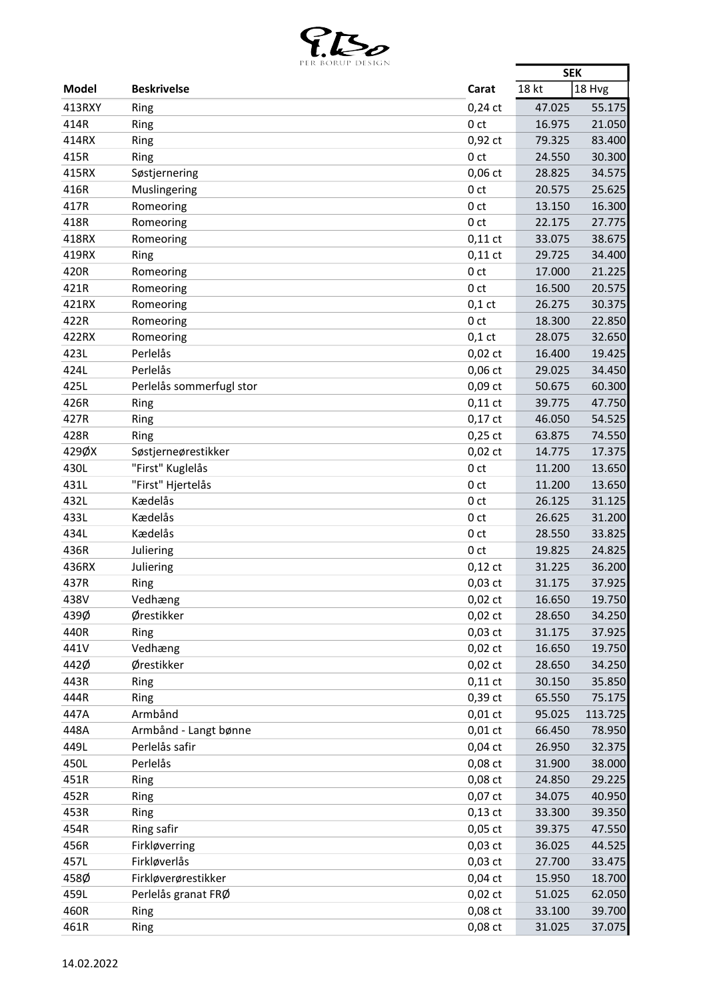

| 18 kt<br>18 Hvg<br><b>Beskrivelse</b><br><b>Model</b><br>Carat<br>413RXY<br>$0,24$ ct<br>47.025<br>55.175<br>Ring<br>21.050<br>414R<br>0 <sub>ct</sub><br>16.975<br>Ring<br>$0,92$ ct<br>79.325<br>83.400<br>414RX<br>Ring<br>0 <sub>ct</sub><br>30.300<br>415R<br>Ring<br>24.550<br>415RX<br>Søstjernering<br>$0,06$ ct<br>28.825<br>34.575<br>25.625<br>416R<br>Muslingering<br>20.575<br>0 <sub>ct</sub><br>417R<br>13.150<br>16.300<br>Romeoring<br>0 <sub>ct</sub><br>418R<br>22.175<br>27.775<br>Romeoring<br>0 ct<br>418RX<br>$0,11$ ct<br>33.075<br>38.675<br>Romeoring<br>419RX<br>$0,11$ ct<br>29.725<br>34.400<br>Ring<br>420R<br>0 <sub>ct</sub><br>21.225<br>Romeoring<br>17.000<br>421R<br>Romeoring<br>0 <sub>ct</sub><br>16.500<br>20.575<br>$0,1$ ct<br>26.275<br>30.375<br>421RX<br>Romeoring<br>422R<br>Romeoring<br>0 <sub>ct</sub><br>18.300<br>22.850<br>422RX<br>28.075<br>32.650<br>Romeoring<br>$0,1$ ct<br>Perlelås<br>423L<br>$0,02$ ct<br>16.400<br>19.425<br>Perlelås<br>424L<br>$0,06$ ct<br>34.450<br>29.025<br>Perlelås sommerfugl stor<br>425L<br>$0,09$ ct<br>60.300<br>50.675<br>426R<br>$0,11$ ct<br>39.775<br>47.750<br>Ring<br>427R<br>$0,17$ ct<br>46.050<br>54.525<br>Ring<br>428R<br>$0,25$ ct<br>63.875<br>74.550<br>Ring<br>429ØX<br>Søstjerneørestikker<br>$0,02$ ct<br>14.775<br>17.375<br>"First" Kuglelås<br>430L<br>0 <sub>ct</sub><br>11.200<br>13.650<br>"First" Hjertelås<br>431L<br>11.200<br>13.650<br>0 <sub>ct</sub><br>Kædelås<br>432L<br>0 <sub>ct</sub><br>26.125<br>31.125<br>433L<br>Kædelås<br>31.200<br>0 <sub>ct</sub><br>26.625<br>Kædelås<br>33.825<br>434L<br>0 <sub>ct</sub><br>28.550<br>436R<br>19.825<br>24.825<br>Juliering<br>0 ct<br>436RX<br>Juliering<br>$0,12$ ct<br>31.225<br>36.200<br>$0,03$ ct<br>31.175<br>37.925<br>437R<br>Ring<br>438V<br>Vedhæng<br>$0,02$ ct<br>16.650<br>19.750<br>439Ø<br>Ørestikker<br>$0,02$ ct<br>28.650<br>34.250<br>440R<br>$0,03$ ct<br>31.175<br>37.925<br>Ring<br>Vedhæng<br>441V<br>$0,02$ ct<br>16.650<br>19.750<br>442Ø<br>Ørestikker<br>34.250<br>$0,02$ ct<br>28.650<br>443R<br>$0,11$ ct<br>30.150<br>35.850<br>Ring<br>0,39 ct<br>444R<br>Ring<br>65.550<br>75.175<br>Armbånd<br>447A<br>$0,01$ ct<br>95.025<br>113.725<br>Armbånd - Langt bønne<br>448A<br>$0,01$ ct<br>66.450<br>78.950<br>Perlelås safir<br>449L<br>$0,04$ ct<br>26.950<br>32.375<br>Perlelås<br>450L<br>0,08 ct<br>31.900<br>38.000<br>451R<br>0,08 ct<br>29.225<br>Ring<br>24.850<br>0,07 ct<br>40.950<br>452R<br>34.075<br>Ring<br>453R<br>$0,13$ ct<br>33.300<br>39.350<br><b>Ring</b><br>454R<br>Ring safir<br>$0,05$ ct<br>39.375<br>47.550<br>Firkløverring<br>$0,03$ ct<br>456R<br>36.025<br>44.525<br>Firkløverlås<br>457L<br>$0,03$ ct<br>27.700<br>33.475<br>458Ø<br>Firkløverørestikker<br>$0,04$ ct<br>18.700<br>15.950<br>Perlelås granat FRØ<br>459L<br>$0,02$ ct<br>51.025<br>62.050<br>460R<br>0,08 ct<br>33.100<br>39.700<br>Ring<br>461R<br>0,08 ct<br>31.025<br>37.075<br>Ring | PER BORUP DESIGN | <b>SEK</b> |  |
|----------------------------------------------------------------------------------------------------------------------------------------------------------------------------------------------------------------------------------------------------------------------------------------------------------------------------------------------------------------------------------------------------------------------------------------------------------------------------------------------------------------------------------------------------------------------------------------------------------------------------------------------------------------------------------------------------------------------------------------------------------------------------------------------------------------------------------------------------------------------------------------------------------------------------------------------------------------------------------------------------------------------------------------------------------------------------------------------------------------------------------------------------------------------------------------------------------------------------------------------------------------------------------------------------------------------------------------------------------------------------------------------------------------------------------------------------------------------------------------------------------------------------------------------------------------------------------------------------------------------------------------------------------------------------------------------------------------------------------------------------------------------------------------------------------------------------------------------------------------------------------------------------------------------------------------------------------------------------------------------------------------------------------------------------------------------------------------------------------------------------------------------------------------------------------------------------------------------------------------------------------------------------------------------------------------------------------------------------------------------------------------------------------------------------------------------------------------------------------------------------------------------------------------------------------------------------------------------------------------------------------------------------------------------------------------------------------------------------------------------------------------------------------------------------------------------------------------------------------------------------------------------------------------------------------------------------------------------------------------------|------------------|------------|--|
|                                                                                                                                                                                                                                                                                                                                                                                                                                                                                                                                                                                                                                                                                                                                                                                                                                                                                                                                                                                                                                                                                                                                                                                                                                                                                                                                                                                                                                                                                                                                                                                                                                                                                                                                                                                                                                                                                                                                                                                                                                                                                                                                                                                                                                                                                                                                                                                                                                                                                                                                                                                                                                                                                                                                                                                                                                                                                                                                                                                              |                  |            |  |
|                                                                                                                                                                                                                                                                                                                                                                                                                                                                                                                                                                                                                                                                                                                                                                                                                                                                                                                                                                                                                                                                                                                                                                                                                                                                                                                                                                                                                                                                                                                                                                                                                                                                                                                                                                                                                                                                                                                                                                                                                                                                                                                                                                                                                                                                                                                                                                                                                                                                                                                                                                                                                                                                                                                                                                                                                                                                                                                                                                                              |                  |            |  |
|                                                                                                                                                                                                                                                                                                                                                                                                                                                                                                                                                                                                                                                                                                                                                                                                                                                                                                                                                                                                                                                                                                                                                                                                                                                                                                                                                                                                                                                                                                                                                                                                                                                                                                                                                                                                                                                                                                                                                                                                                                                                                                                                                                                                                                                                                                                                                                                                                                                                                                                                                                                                                                                                                                                                                                                                                                                                                                                                                                                              |                  |            |  |
|                                                                                                                                                                                                                                                                                                                                                                                                                                                                                                                                                                                                                                                                                                                                                                                                                                                                                                                                                                                                                                                                                                                                                                                                                                                                                                                                                                                                                                                                                                                                                                                                                                                                                                                                                                                                                                                                                                                                                                                                                                                                                                                                                                                                                                                                                                                                                                                                                                                                                                                                                                                                                                                                                                                                                                                                                                                                                                                                                                                              |                  |            |  |
|                                                                                                                                                                                                                                                                                                                                                                                                                                                                                                                                                                                                                                                                                                                                                                                                                                                                                                                                                                                                                                                                                                                                                                                                                                                                                                                                                                                                                                                                                                                                                                                                                                                                                                                                                                                                                                                                                                                                                                                                                                                                                                                                                                                                                                                                                                                                                                                                                                                                                                                                                                                                                                                                                                                                                                                                                                                                                                                                                                                              |                  |            |  |
|                                                                                                                                                                                                                                                                                                                                                                                                                                                                                                                                                                                                                                                                                                                                                                                                                                                                                                                                                                                                                                                                                                                                                                                                                                                                                                                                                                                                                                                                                                                                                                                                                                                                                                                                                                                                                                                                                                                                                                                                                                                                                                                                                                                                                                                                                                                                                                                                                                                                                                                                                                                                                                                                                                                                                                                                                                                                                                                                                                                              |                  |            |  |
|                                                                                                                                                                                                                                                                                                                                                                                                                                                                                                                                                                                                                                                                                                                                                                                                                                                                                                                                                                                                                                                                                                                                                                                                                                                                                                                                                                                                                                                                                                                                                                                                                                                                                                                                                                                                                                                                                                                                                                                                                                                                                                                                                                                                                                                                                                                                                                                                                                                                                                                                                                                                                                                                                                                                                                                                                                                                                                                                                                                              |                  |            |  |
|                                                                                                                                                                                                                                                                                                                                                                                                                                                                                                                                                                                                                                                                                                                                                                                                                                                                                                                                                                                                                                                                                                                                                                                                                                                                                                                                                                                                                                                                                                                                                                                                                                                                                                                                                                                                                                                                                                                                                                                                                                                                                                                                                                                                                                                                                                                                                                                                                                                                                                                                                                                                                                                                                                                                                                                                                                                                                                                                                                                              |                  |            |  |
|                                                                                                                                                                                                                                                                                                                                                                                                                                                                                                                                                                                                                                                                                                                                                                                                                                                                                                                                                                                                                                                                                                                                                                                                                                                                                                                                                                                                                                                                                                                                                                                                                                                                                                                                                                                                                                                                                                                                                                                                                                                                                                                                                                                                                                                                                                                                                                                                                                                                                                                                                                                                                                                                                                                                                                                                                                                                                                                                                                                              |                  |            |  |
|                                                                                                                                                                                                                                                                                                                                                                                                                                                                                                                                                                                                                                                                                                                                                                                                                                                                                                                                                                                                                                                                                                                                                                                                                                                                                                                                                                                                                                                                                                                                                                                                                                                                                                                                                                                                                                                                                                                                                                                                                                                                                                                                                                                                                                                                                                                                                                                                                                                                                                                                                                                                                                                                                                                                                                                                                                                                                                                                                                                              |                  |            |  |
|                                                                                                                                                                                                                                                                                                                                                                                                                                                                                                                                                                                                                                                                                                                                                                                                                                                                                                                                                                                                                                                                                                                                                                                                                                                                                                                                                                                                                                                                                                                                                                                                                                                                                                                                                                                                                                                                                                                                                                                                                                                                                                                                                                                                                                                                                                                                                                                                                                                                                                                                                                                                                                                                                                                                                                                                                                                                                                                                                                                              |                  |            |  |
|                                                                                                                                                                                                                                                                                                                                                                                                                                                                                                                                                                                                                                                                                                                                                                                                                                                                                                                                                                                                                                                                                                                                                                                                                                                                                                                                                                                                                                                                                                                                                                                                                                                                                                                                                                                                                                                                                                                                                                                                                                                                                                                                                                                                                                                                                                                                                                                                                                                                                                                                                                                                                                                                                                                                                                                                                                                                                                                                                                                              |                  |            |  |
|                                                                                                                                                                                                                                                                                                                                                                                                                                                                                                                                                                                                                                                                                                                                                                                                                                                                                                                                                                                                                                                                                                                                                                                                                                                                                                                                                                                                                                                                                                                                                                                                                                                                                                                                                                                                                                                                                                                                                                                                                                                                                                                                                                                                                                                                                                                                                                                                                                                                                                                                                                                                                                                                                                                                                                                                                                                                                                                                                                                              |                  |            |  |
|                                                                                                                                                                                                                                                                                                                                                                                                                                                                                                                                                                                                                                                                                                                                                                                                                                                                                                                                                                                                                                                                                                                                                                                                                                                                                                                                                                                                                                                                                                                                                                                                                                                                                                                                                                                                                                                                                                                                                                                                                                                                                                                                                                                                                                                                                                                                                                                                                                                                                                                                                                                                                                                                                                                                                                                                                                                                                                                                                                                              |                  |            |  |
|                                                                                                                                                                                                                                                                                                                                                                                                                                                                                                                                                                                                                                                                                                                                                                                                                                                                                                                                                                                                                                                                                                                                                                                                                                                                                                                                                                                                                                                                                                                                                                                                                                                                                                                                                                                                                                                                                                                                                                                                                                                                                                                                                                                                                                                                                                                                                                                                                                                                                                                                                                                                                                                                                                                                                                                                                                                                                                                                                                                              |                  |            |  |
|                                                                                                                                                                                                                                                                                                                                                                                                                                                                                                                                                                                                                                                                                                                                                                                                                                                                                                                                                                                                                                                                                                                                                                                                                                                                                                                                                                                                                                                                                                                                                                                                                                                                                                                                                                                                                                                                                                                                                                                                                                                                                                                                                                                                                                                                                                                                                                                                                                                                                                                                                                                                                                                                                                                                                                                                                                                                                                                                                                                              |                  |            |  |
|                                                                                                                                                                                                                                                                                                                                                                                                                                                                                                                                                                                                                                                                                                                                                                                                                                                                                                                                                                                                                                                                                                                                                                                                                                                                                                                                                                                                                                                                                                                                                                                                                                                                                                                                                                                                                                                                                                                                                                                                                                                                                                                                                                                                                                                                                                                                                                                                                                                                                                                                                                                                                                                                                                                                                                                                                                                                                                                                                                                              |                  |            |  |
|                                                                                                                                                                                                                                                                                                                                                                                                                                                                                                                                                                                                                                                                                                                                                                                                                                                                                                                                                                                                                                                                                                                                                                                                                                                                                                                                                                                                                                                                                                                                                                                                                                                                                                                                                                                                                                                                                                                                                                                                                                                                                                                                                                                                                                                                                                                                                                                                                                                                                                                                                                                                                                                                                                                                                                                                                                                                                                                                                                                              |                  |            |  |
|                                                                                                                                                                                                                                                                                                                                                                                                                                                                                                                                                                                                                                                                                                                                                                                                                                                                                                                                                                                                                                                                                                                                                                                                                                                                                                                                                                                                                                                                                                                                                                                                                                                                                                                                                                                                                                                                                                                                                                                                                                                                                                                                                                                                                                                                                                                                                                                                                                                                                                                                                                                                                                                                                                                                                                                                                                                                                                                                                                                              |                  |            |  |
|                                                                                                                                                                                                                                                                                                                                                                                                                                                                                                                                                                                                                                                                                                                                                                                                                                                                                                                                                                                                                                                                                                                                                                                                                                                                                                                                                                                                                                                                                                                                                                                                                                                                                                                                                                                                                                                                                                                                                                                                                                                                                                                                                                                                                                                                                                                                                                                                                                                                                                                                                                                                                                                                                                                                                                                                                                                                                                                                                                                              |                  |            |  |
|                                                                                                                                                                                                                                                                                                                                                                                                                                                                                                                                                                                                                                                                                                                                                                                                                                                                                                                                                                                                                                                                                                                                                                                                                                                                                                                                                                                                                                                                                                                                                                                                                                                                                                                                                                                                                                                                                                                                                                                                                                                                                                                                                                                                                                                                                                                                                                                                                                                                                                                                                                                                                                                                                                                                                                                                                                                                                                                                                                                              |                  |            |  |
|                                                                                                                                                                                                                                                                                                                                                                                                                                                                                                                                                                                                                                                                                                                                                                                                                                                                                                                                                                                                                                                                                                                                                                                                                                                                                                                                                                                                                                                                                                                                                                                                                                                                                                                                                                                                                                                                                                                                                                                                                                                                                                                                                                                                                                                                                                                                                                                                                                                                                                                                                                                                                                                                                                                                                                                                                                                                                                                                                                                              |                  |            |  |
|                                                                                                                                                                                                                                                                                                                                                                                                                                                                                                                                                                                                                                                                                                                                                                                                                                                                                                                                                                                                                                                                                                                                                                                                                                                                                                                                                                                                                                                                                                                                                                                                                                                                                                                                                                                                                                                                                                                                                                                                                                                                                                                                                                                                                                                                                                                                                                                                                                                                                                                                                                                                                                                                                                                                                                                                                                                                                                                                                                                              |                  |            |  |
|                                                                                                                                                                                                                                                                                                                                                                                                                                                                                                                                                                                                                                                                                                                                                                                                                                                                                                                                                                                                                                                                                                                                                                                                                                                                                                                                                                                                                                                                                                                                                                                                                                                                                                                                                                                                                                                                                                                                                                                                                                                                                                                                                                                                                                                                                                                                                                                                                                                                                                                                                                                                                                                                                                                                                                                                                                                                                                                                                                                              |                  |            |  |
|                                                                                                                                                                                                                                                                                                                                                                                                                                                                                                                                                                                                                                                                                                                                                                                                                                                                                                                                                                                                                                                                                                                                                                                                                                                                                                                                                                                                                                                                                                                                                                                                                                                                                                                                                                                                                                                                                                                                                                                                                                                                                                                                                                                                                                                                                                                                                                                                                                                                                                                                                                                                                                                                                                                                                                                                                                                                                                                                                                                              |                  |            |  |
|                                                                                                                                                                                                                                                                                                                                                                                                                                                                                                                                                                                                                                                                                                                                                                                                                                                                                                                                                                                                                                                                                                                                                                                                                                                                                                                                                                                                                                                                                                                                                                                                                                                                                                                                                                                                                                                                                                                                                                                                                                                                                                                                                                                                                                                                                                                                                                                                                                                                                                                                                                                                                                                                                                                                                                                                                                                                                                                                                                                              |                  |            |  |
|                                                                                                                                                                                                                                                                                                                                                                                                                                                                                                                                                                                                                                                                                                                                                                                                                                                                                                                                                                                                                                                                                                                                                                                                                                                                                                                                                                                                                                                                                                                                                                                                                                                                                                                                                                                                                                                                                                                                                                                                                                                                                                                                                                                                                                                                                                                                                                                                                                                                                                                                                                                                                                                                                                                                                                                                                                                                                                                                                                                              |                  |            |  |
|                                                                                                                                                                                                                                                                                                                                                                                                                                                                                                                                                                                                                                                                                                                                                                                                                                                                                                                                                                                                                                                                                                                                                                                                                                                                                                                                                                                                                                                                                                                                                                                                                                                                                                                                                                                                                                                                                                                                                                                                                                                                                                                                                                                                                                                                                                                                                                                                                                                                                                                                                                                                                                                                                                                                                                                                                                                                                                                                                                                              |                  |            |  |
|                                                                                                                                                                                                                                                                                                                                                                                                                                                                                                                                                                                                                                                                                                                                                                                                                                                                                                                                                                                                                                                                                                                                                                                                                                                                                                                                                                                                                                                                                                                                                                                                                                                                                                                                                                                                                                                                                                                                                                                                                                                                                                                                                                                                                                                                                                                                                                                                                                                                                                                                                                                                                                                                                                                                                                                                                                                                                                                                                                                              |                  |            |  |
|                                                                                                                                                                                                                                                                                                                                                                                                                                                                                                                                                                                                                                                                                                                                                                                                                                                                                                                                                                                                                                                                                                                                                                                                                                                                                                                                                                                                                                                                                                                                                                                                                                                                                                                                                                                                                                                                                                                                                                                                                                                                                                                                                                                                                                                                                                                                                                                                                                                                                                                                                                                                                                                                                                                                                                                                                                                                                                                                                                                              |                  |            |  |
|                                                                                                                                                                                                                                                                                                                                                                                                                                                                                                                                                                                                                                                                                                                                                                                                                                                                                                                                                                                                                                                                                                                                                                                                                                                                                                                                                                                                                                                                                                                                                                                                                                                                                                                                                                                                                                                                                                                                                                                                                                                                                                                                                                                                                                                                                                                                                                                                                                                                                                                                                                                                                                                                                                                                                                                                                                                                                                                                                                                              |                  |            |  |
|                                                                                                                                                                                                                                                                                                                                                                                                                                                                                                                                                                                                                                                                                                                                                                                                                                                                                                                                                                                                                                                                                                                                                                                                                                                                                                                                                                                                                                                                                                                                                                                                                                                                                                                                                                                                                                                                                                                                                                                                                                                                                                                                                                                                                                                                                                                                                                                                                                                                                                                                                                                                                                                                                                                                                                                                                                                                                                                                                                                              |                  |            |  |
|                                                                                                                                                                                                                                                                                                                                                                                                                                                                                                                                                                                                                                                                                                                                                                                                                                                                                                                                                                                                                                                                                                                                                                                                                                                                                                                                                                                                                                                                                                                                                                                                                                                                                                                                                                                                                                                                                                                                                                                                                                                                                                                                                                                                                                                                                                                                                                                                                                                                                                                                                                                                                                                                                                                                                                                                                                                                                                                                                                                              |                  |            |  |
|                                                                                                                                                                                                                                                                                                                                                                                                                                                                                                                                                                                                                                                                                                                                                                                                                                                                                                                                                                                                                                                                                                                                                                                                                                                                                                                                                                                                                                                                                                                                                                                                                                                                                                                                                                                                                                                                                                                                                                                                                                                                                                                                                                                                                                                                                                                                                                                                                                                                                                                                                                                                                                                                                                                                                                                                                                                                                                                                                                                              |                  |            |  |
|                                                                                                                                                                                                                                                                                                                                                                                                                                                                                                                                                                                                                                                                                                                                                                                                                                                                                                                                                                                                                                                                                                                                                                                                                                                                                                                                                                                                                                                                                                                                                                                                                                                                                                                                                                                                                                                                                                                                                                                                                                                                                                                                                                                                                                                                                                                                                                                                                                                                                                                                                                                                                                                                                                                                                                                                                                                                                                                                                                                              |                  |            |  |
|                                                                                                                                                                                                                                                                                                                                                                                                                                                                                                                                                                                                                                                                                                                                                                                                                                                                                                                                                                                                                                                                                                                                                                                                                                                                                                                                                                                                                                                                                                                                                                                                                                                                                                                                                                                                                                                                                                                                                                                                                                                                                                                                                                                                                                                                                                                                                                                                                                                                                                                                                                                                                                                                                                                                                                                                                                                                                                                                                                                              |                  |            |  |
|                                                                                                                                                                                                                                                                                                                                                                                                                                                                                                                                                                                                                                                                                                                                                                                                                                                                                                                                                                                                                                                                                                                                                                                                                                                                                                                                                                                                                                                                                                                                                                                                                                                                                                                                                                                                                                                                                                                                                                                                                                                                                                                                                                                                                                                                                                                                                                                                                                                                                                                                                                                                                                                                                                                                                                                                                                                                                                                                                                                              |                  |            |  |
|                                                                                                                                                                                                                                                                                                                                                                                                                                                                                                                                                                                                                                                                                                                                                                                                                                                                                                                                                                                                                                                                                                                                                                                                                                                                                                                                                                                                                                                                                                                                                                                                                                                                                                                                                                                                                                                                                                                                                                                                                                                                                                                                                                                                                                                                                                                                                                                                                                                                                                                                                                                                                                                                                                                                                                                                                                                                                                                                                                                              |                  |            |  |
|                                                                                                                                                                                                                                                                                                                                                                                                                                                                                                                                                                                                                                                                                                                                                                                                                                                                                                                                                                                                                                                                                                                                                                                                                                                                                                                                                                                                                                                                                                                                                                                                                                                                                                                                                                                                                                                                                                                                                                                                                                                                                                                                                                                                                                                                                                                                                                                                                                                                                                                                                                                                                                                                                                                                                                                                                                                                                                                                                                                              |                  |            |  |
|                                                                                                                                                                                                                                                                                                                                                                                                                                                                                                                                                                                                                                                                                                                                                                                                                                                                                                                                                                                                                                                                                                                                                                                                                                                                                                                                                                                                                                                                                                                                                                                                                                                                                                                                                                                                                                                                                                                                                                                                                                                                                                                                                                                                                                                                                                                                                                                                                                                                                                                                                                                                                                                                                                                                                                                                                                                                                                                                                                                              |                  |            |  |
|                                                                                                                                                                                                                                                                                                                                                                                                                                                                                                                                                                                                                                                                                                                                                                                                                                                                                                                                                                                                                                                                                                                                                                                                                                                                                                                                                                                                                                                                                                                                                                                                                                                                                                                                                                                                                                                                                                                                                                                                                                                                                                                                                                                                                                                                                                                                                                                                                                                                                                                                                                                                                                                                                                                                                                                                                                                                                                                                                                                              |                  |            |  |
|                                                                                                                                                                                                                                                                                                                                                                                                                                                                                                                                                                                                                                                                                                                                                                                                                                                                                                                                                                                                                                                                                                                                                                                                                                                                                                                                                                                                                                                                                                                                                                                                                                                                                                                                                                                                                                                                                                                                                                                                                                                                                                                                                                                                                                                                                                                                                                                                                                                                                                                                                                                                                                                                                                                                                                                                                                                                                                                                                                                              |                  |            |  |
|                                                                                                                                                                                                                                                                                                                                                                                                                                                                                                                                                                                                                                                                                                                                                                                                                                                                                                                                                                                                                                                                                                                                                                                                                                                                                                                                                                                                                                                                                                                                                                                                                                                                                                                                                                                                                                                                                                                                                                                                                                                                                                                                                                                                                                                                                                                                                                                                                                                                                                                                                                                                                                                                                                                                                                                                                                                                                                                                                                                              |                  |            |  |
|                                                                                                                                                                                                                                                                                                                                                                                                                                                                                                                                                                                                                                                                                                                                                                                                                                                                                                                                                                                                                                                                                                                                                                                                                                                                                                                                                                                                                                                                                                                                                                                                                                                                                                                                                                                                                                                                                                                                                                                                                                                                                                                                                                                                                                                                                                                                                                                                                                                                                                                                                                                                                                                                                                                                                                                                                                                                                                                                                                                              |                  |            |  |
|                                                                                                                                                                                                                                                                                                                                                                                                                                                                                                                                                                                                                                                                                                                                                                                                                                                                                                                                                                                                                                                                                                                                                                                                                                                                                                                                                                                                                                                                                                                                                                                                                                                                                                                                                                                                                                                                                                                                                                                                                                                                                                                                                                                                                                                                                                                                                                                                                                                                                                                                                                                                                                                                                                                                                                                                                                                                                                                                                                                              |                  |            |  |
|                                                                                                                                                                                                                                                                                                                                                                                                                                                                                                                                                                                                                                                                                                                                                                                                                                                                                                                                                                                                                                                                                                                                                                                                                                                                                                                                                                                                                                                                                                                                                                                                                                                                                                                                                                                                                                                                                                                                                                                                                                                                                                                                                                                                                                                                                                                                                                                                                                                                                                                                                                                                                                                                                                                                                                                                                                                                                                                                                                                              |                  |            |  |
|                                                                                                                                                                                                                                                                                                                                                                                                                                                                                                                                                                                                                                                                                                                                                                                                                                                                                                                                                                                                                                                                                                                                                                                                                                                                                                                                                                                                                                                                                                                                                                                                                                                                                                                                                                                                                                                                                                                                                                                                                                                                                                                                                                                                                                                                                                                                                                                                                                                                                                                                                                                                                                                                                                                                                                                                                                                                                                                                                                                              |                  |            |  |
|                                                                                                                                                                                                                                                                                                                                                                                                                                                                                                                                                                                                                                                                                                                                                                                                                                                                                                                                                                                                                                                                                                                                                                                                                                                                                                                                                                                                                                                                                                                                                                                                                                                                                                                                                                                                                                                                                                                                                                                                                                                                                                                                                                                                                                                                                                                                                                                                                                                                                                                                                                                                                                                                                                                                                                                                                                                                                                                                                                                              |                  |            |  |
|                                                                                                                                                                                                                                                                                                                                                                                                                                                                                                                                                                                                                                                                                                                                                                                                                                                                                                                                                                                                                                                                                                                                                                                                                                                                                                                                                                                                                                                                                                                                                                                                                                                                                                                                                                                                                                                                                                                                                                                                                                                                                                                                                                                                                                                                                                                                                                                                                                                                                                                                                                                                                                                                                                                                                                                                                                                                                                                                                                                              |                  |            |  |
|                                                                                                                                                                                                                                                                                                                                                                                                                                                                                                                                                                                                                                                                                                                                                                                                                                                                                                                                                                                                                                                                                                                                                                                                                                                                                                                                                                                                                                                                                                                                                                                                                                                                                                                                                                                                                                                                                                                                                                                                                                                                                                                                                                                                                                                                                                                                                                                                                                                                                                                                                                                                                                                                                                                                                                                                                                                                                                                                                                                              |                  |            |  |
|                                                                                                                                                                                                                                                                                                                                                                                                                                                                                                                                                                                                                                                                                                                                                                                                                                                                                                                                                                                                                                                                                                                                                                                                                                                                                                                                                                                                                                                                                                                                                                                                                                                                                                                                                                                                                                                                                                                                                                                                                                                                                                                                                                                                                                                                                                                                                                                                                                                                                                                                                                                                                                                                                                                                                                                                                                                                                                                                                                                              |                  |            |  |
|                                                                                                                                                                                                                                                                                                                                                                                                                                                                                                                                                                                                                                                                                                                                                                                                                                                                                                                                                                                                                                                                                                                                                                                                                                                                                                                                                                                                                                                                                                                                                                                                                                                                                                                                                                                                                                                                                                                                                                                                                                                                                                                                                                                                                                                                                                                                                                                                                                                                                                                                                                                                                                                                                                                                                                                                                                                                                                                                                                                              |                  |            |  |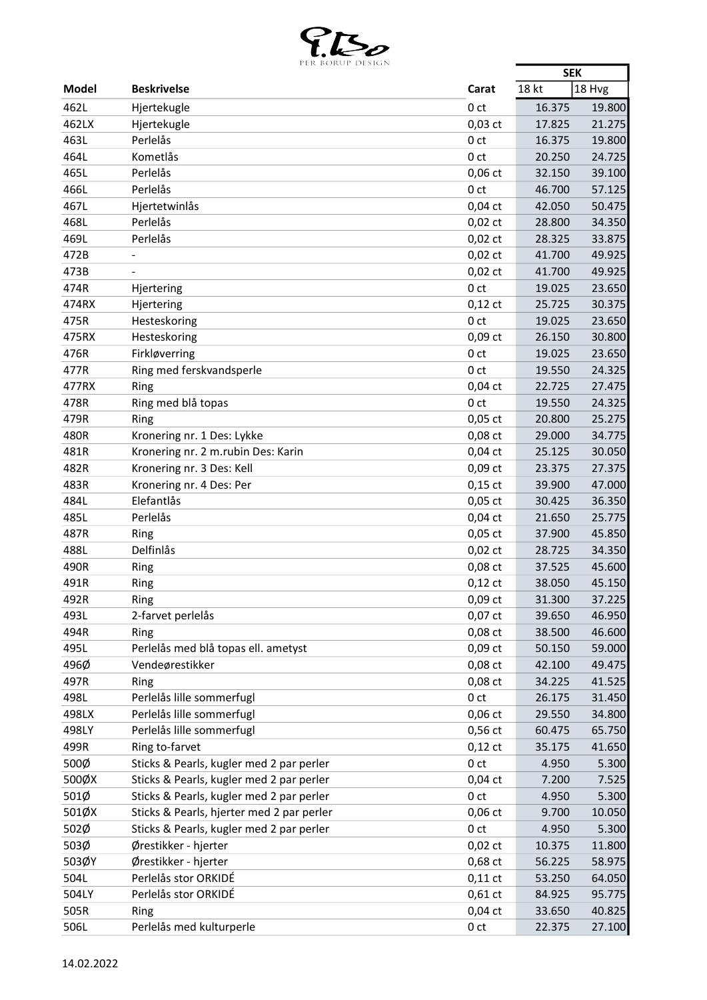

|       | PER BURUP DESIGN                          |                 | <b>SEK</b> |        |
|-------|-------------------------------------------|-----------------|------------|--------|
| Model | <b>Beskrivelse</b>                        | Carat           | 18 kt      | 18 Hvg |
| 462L  | Hjertekugle                               | 0 <sub>ct</sub> | 16.375     | 19.800 |
| 462LX | Hjertekugle                               | $0,03$ ct       | 17.825     | 21.275 |
| 463L  | Perlelås                                  | 0 <sub>ct</sub> | 16.375     | 19.800 |
| 464L  | Kometlås                                  | 0 <sub>ct</sub> | 20.250     | 24.725 |
| 465L  | Perlelås                                  | $0,06$ ct       | 32.150     | 39.100 |
| 466L  | Perlelås                                  | 0 <sub>ct</sub> | 46.700     | 57.125 |
| 467L  | Hjertetwinlås                             | $0,04$ ct       | 42.050     | 50.475 |
| 468L  | Perlelås                                  | $0,02$ ct       | 28.800     | 34.350 |
| 469L  | Perlelås                                  | $0,02$ ct       | 28.325     | 33.875 |
| 472B  |                                           | $0,02$ ct       | 41.700     | 49.925 |
| 473B  |                                           | $0,02$ ct       | 41.700     | 49.925 |
| 474R  | Hjertering                                | 0 <sub>ct</sub> | 19.025     | 23.650 |
| 474RX | Hjertering                                | $0,12$ ct       | 25.725     | 30.375 |
| 475R  | Hesteskoring                              | 0 <sub>ct</sub> | 19.025     | 23.650 |
| 475RX | Hesteskoring                              | $0,09$ ct       | 26.150     | 30.800 |
|       | Firkløverring                             |                 | 19.025     |        |
| 476R  |                                           | 0 <sub>ct</sub> |            | 23.650 |
| 477R  | Ring med ferskvandsperle                  | 0 <sub>ct</sub> | 19.550     | 24.325 |
| 477RX | Ring                                      | $0,04$ ct       | 22.725     | 27.475 |
| 478R  | Ring med blå topas                        | 0 <sub>ct</sub> | 19.550     | 24.325 |
| 479R  | Ring                                      | $0,05$ ct       | 20.800     | 25.275 |
| 480R  | Kronering nr. 1 Des: Lykke                | $0,08$ ct       | 29.000     | 34.775 |
| 481R  | Kronering nr. 2 m.rubin Des: Karin        | $0,04$ ct       | 25.125     | 30.050 |
| 482R  | Kronering nr. 3 Des: Kell                 | $0,09$ ct       | 23.375     | 27.375 |
| 483R  | Kronering nr. 4 Des: Per                  | $0,15$ ct       | 39.900     | 47.000 |
| 484L  | Elefantlås                                | $0,05$ ct       | 30.425     | 36.350 |
| 485L  | Perlelås                                  | $0,04$ ct       | 21.650     | 25.775 |
| 487R  | Ring                                      | $0,05$ ct       | 37.900     | 45.850 |
| 488L  | Delfinlås                                 | $0,02$ ct       | 28.725     | 34.350 |
| 490R  | Ring                                      | 0,08 ct         | 37.525     | 45.600 |
| 491R  | Ring                                      | $0,12$ ct       | 38.050     | 45.150 |
| 492R  | Ring                                      | $0,09$ ct       | 31.300     | 37.225 |
| 493L  | 2-farvet perlelås                         | $0,07$ ct       | 39.650     | 46.950 |
| 494R  | Ring                                      | 0,08 ct         | 38.500     | 46.600 |
| 495L  | Perlelås med blå topas ell. ametyst       | $0,09$ ct       | 50.150     | 59.000 |
| 496Ø  | Vendeørestikker                           | 0,08 ct         | 42.100     | 49.475 |
| 497R  | Ring                                      | 0,08 ct         | 34.225     | 41.525 |
| 498L  | Perlelås lille sommerfugl                 | 0 <sub>ct</sub> | 26.175     | 31.450 |
| 498LX | Perlelås lille sommerfugl                 | $0,06$ ct       | 29.550     | 34.800 |
| 498LY | Perlelås lille sommerfugl                 | $0,56$ ct       | 60.475     | 65.750 |
| 499R  | Ring to-farvet                            | $0,12$ ct       | 35.175     | 41.650 |
| 500Ø  | Sticks & Pearls, kugler med 2 par perler  | 0 <sub>ct</sub> | 4.950      | 5.300  |
| 500ØX | Sticks & Pearls, kugler med 2 par perler  | $0,04$ ct       | 7.200      | 7.525  |
| 501Ø  | Sticks & Pearls, kugler med 2 par perler  | 0 <sub>ct</sub> | 4.950      | 5.300  |
| 501ØX | Sticks & Pearls, hjerter med 2 par perler | $0,06$ ct       | 9.700      | 10.050 |
| 502Ø  | Sticks & Pearls, kugler med 2 par perler  | 0 <sub>ct</sub> | 4.950      | 5.300  |
| 503Ø  | Ørestikker - hjerter                      | $0,02$ ct       | 10.375     | 11.800 |
| 503ØY | Ørestikker - hjerter                      | 0,68 ct         | 56.225     | 58.975 |
| 504L  | Perlelås stor ORKIDÉ                      | $0,11$ ct       | 53.250     | 64.050 |
| 504LY | Perlelås stor ORKIDÉ                      | $0,61$ ct       | 84.925     | 95.775 |
| 505R  | Ring                                      | $0,04$ ct       | 33.650     | 40.825 |
| 506L  | Perlelås med kulturperle                  | 0 <sub>ct</sub> | 22.375     | 27.100 |
|       |                                           |                 |            |        |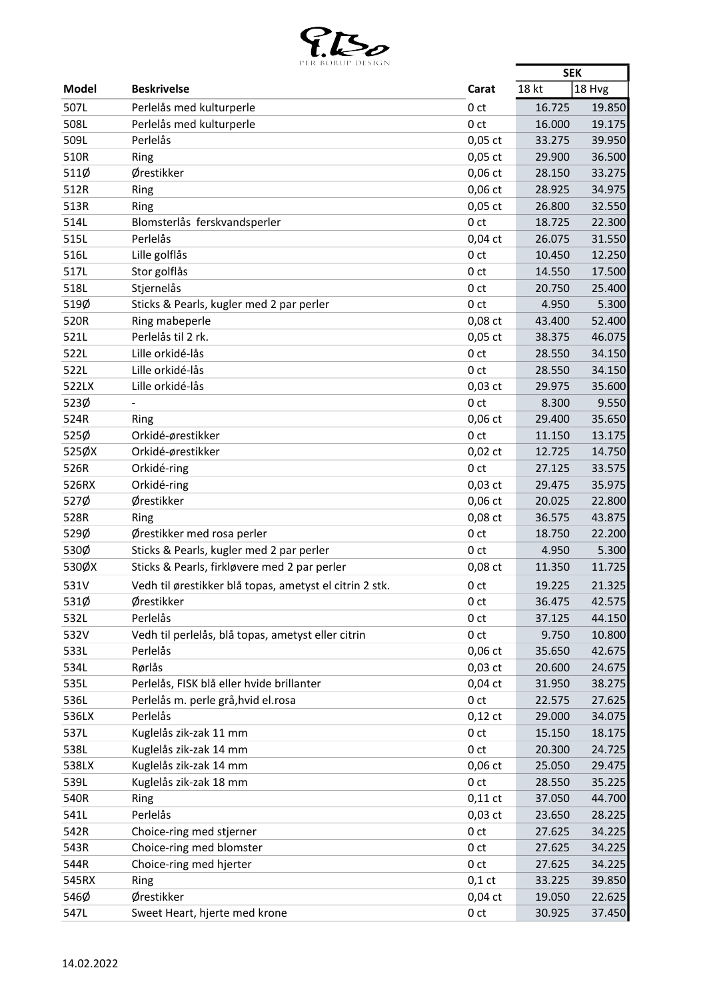

|              | FER BURUF DESIGN                                        |                                    | <b>SEK</b>       |                  |
|--------------|---------------------------------------------------------|------------------------------------|------------------|------------------|
| Model        | <b>Beskrivelse</b>                                      | Carat                              | 18 kt            | 18 Hvg           |
| 507L         | Perlelås med kulturperle                                | 0 <sub>ct</sub>                    | 16.725           | 19.850           |
| 508L         | Perlelås med kulturperle                                | 0 <sub>ct</sub>                    | 16.000           | 19.175           |
| 509L         | Perlelås                                                | $0,05$ ct                          | 33.275           | 39.950           |
| 510R         | Ring                                                    | $0,05$ ct                          | 29.900           | 36.500           |
| 511Ø         | Ørestikker                                              | $0,06$ ct                          | 28.150           | 33.275           |
| 512R         | Ring                                                    | $0,06$ ct                          | 28.925           | 34.975           |
| 513R         | Ring                                                    | $0,05$ ct                          | 26.800           | 32.550           |
| 514L         | Blomsterlås ferskvandsperler                            | 0 <sub>ct</sub>                    | 18.725           | 22.300           |
| 515L         | Perlelås                                                | $0,04$ ct                          | 26.075           | 31.550           |
| 516L         | Lille golflås                                           | 0 <sub>ct</sub>                    | 10.450           | 12.250           |
| 517L         | Stor golflås                                            | 0 <sub>ct</sub>                    | 14.550           | 17.500           |
| 518L         | Stjernelås                                              | 0 <sub>ct</sub>                    | 20.750           | 25.400           |
| 519Ø         | Sticks & Pearls, kugler med 2 par perler                | 0 <sub>ct</sub>                    | 4.950            | 5.300            |
| 520R         | Ring mabeperle                                          | $0,08$ ct                          | 43.400           | 52.400           |
| 521L         | Perlelås til 2 rk.                                      | $0,05$ ct                          | 38.375           | 46.075           |
| 522L         | Lille orkidé-lås                                        | 0 <sub>ct</sub>                    | 28.550           | 34.150           |
| 522L         | Lille orkidé-lås                                        | 0 <sub>ct</sub>                    | 28.550           | 34.150           |
| 522LX        | Lille orkidé-lås                                        | $0,03$ ct                          | 29.975           | 35.600           |
| 523Ø         |                                                         | 0 <sub>ct</sub>                    | 8.300            | 9.550            |
| 524R         | Ring                                                    | $0,06$ ct                          | 29.400           | 35.650           |
| 525Ø         | Orkidé-ørestikker                                       | 0 <sub>ct</sub>                    | 11.150           | 13.175           |
| 525ØX        | Orkidé-ørestikker                                       | $0,02$ ct                          | 12.725           | 14.750           |
| 526R         | Orkidé-ring                                             | 0 <sub>ct</sub>                    | 27.125           | 33.575           |
| 526RX        | Orkidé-ring                                             | $0,03$ ct                          | 29.475           | 35.975           |
| 527Ø         | Ørestikker                                              | $0,06$ ct                          | 20.025           | 22.800           |
| 528R         | Ring                                                    | $0,08$ ct                          | 36.575           | 43.875           |
| 529Ø         | Ørestikker med rosa perler                              | 0 <sub>ct</sub>                    | 18.750           | 22.200           |
| 530Ø         | Sticks & Pearls, kugler med 2 par perler                | 0 <sub>ct</sub>                    | 4.950            | 5.300            |
| 530ØX        | Sticks & Pearls, firkløvere med 2 par perler            | 0,08 ct                            | 11.350           | 11.725           |
| 531V         | Vedh til ørestikker blå topas, ametyst el citrin 2 stk. |                                    | 19.225           | 21.325           |
| 531Ø         | Ørestikker                                              | 0 ct                               | 36.475           | 42.575           |
| 532L         | Perlelås                                                | 0 <sub>ct</sub><br>0 <sub>ct</sub> |                  | 44.150           |
| 532V         | Vedh til perlelås, blå topas, ametyst eller citrin      | 0 <sub>ct</sub>                    | 37.125<br>9.750  | 10.800           |
|              | Perlelås                                                |                                    |                  |                  |
| 533L<br>534L | Rørlås                                                  | $0,06$ ct                          | 35.650           | 42.675           |
| 535L         | Perlelås, FISK blå eller hvide brillanter               | $0,03$ ct<br>$0,04$ ct             | 20.600<br>31.950 | 24.675           |
| 536L         | Perlelås m. perle grå, hvid el.rosa                     | 0 <sub>ct</sub>                    | 22.575           | 38.275<br>27.625 |
| 536LX        | Perlelås                                                |                                    | 29.000           | 34.075           |
| 537L         | Kuglelås zik-zak 11 mm                                  | $0,12$ ct<br>0 <sub>ct</sub>       | 15.150           | 18.175           |
|              |                                                         |                                    |                  |                  |
| 538L         | Kuglelås zik-zak 14 mm                                  | 0 ct                               | 20.300           | 24.725           |
| 538LX        | Kuglelås zik-zak 14 mm                                  | $0,06$ ct                          | 25.050           | 29.475           |
| 539L         | Kuglelås zik-zak 18 mm                                  | 0 <sub>ct</sub>                    | 28.550           | 35.225           |
| 540R         | Ring                                                    | $0,11$ ct                          | 37.050           | 44.700           |
| 541L         | Perlelås                                                | $0,03$ ct                          | 23.650           | 28.225           |
| 542R         | Choice-ring med stjerner                                | 0 <sub>ct</sub>                    | 27.625           | 34.225           |
| 543R         | Choice-ring med blomster                                | 0 <sub>ct</sub>                    | 27.625           | 34.225           |
| 544R         | Choice-ring med hjerter                                 | 0 ct                               | 27.625           | 34.225           |
| 545RX        | Ring                                                    | $0,1$ ct                           | 33.225           | 39.850           |
| 546Ø         | Ørestikker                                              | $0,04$ ct                          | 19.050           | 22.625           |
| 547L         | Sweet Heart, hjerte med krone                           | 0 <sub>ct</sub>                    | 30.925           | 37.450           |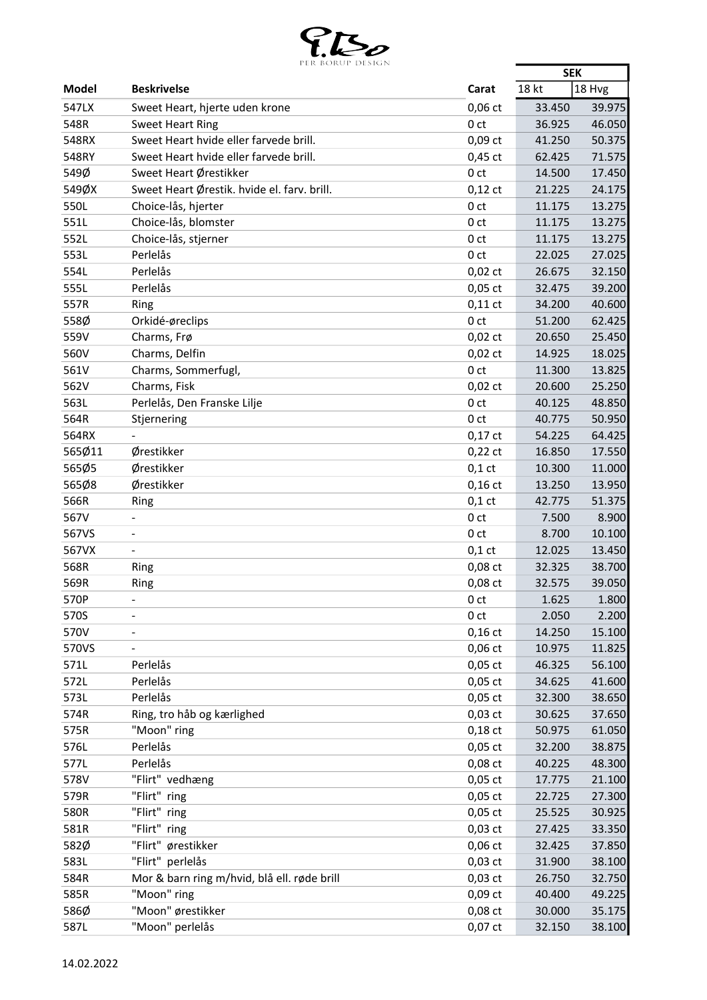

|              | PER BORUP DESIGN                            |                 | <b>SEK</b> |        |
|--------------|---------------------------------------------|-----------------|------------|--------|
| <b>Model</b> | <b>Beskrivelse</b>                          | Carat           | 18 kt      | 18 Hvg |
| 547LX        | Sweet Heart, hjerte uden krone              | $0,06$ ct       | 33.450     | 39.975 |
| 548R         | <b>Sweet Heart Ring</b>                     | 0 <sub>ct</sub> | 36.925     | 46.050 |
| 548RX        | Sweet Heart hvide eller farvede brill.      | $0,09$ ct       | 41.250     | 50.375 |
| 548RY        | Sweet Heart hvide eller farvede brill.      | $0,45$ ct       | 62.425     | 71.575 |
| 549Ø         | Sweet Heart Ørestikker                      | 0 <sub>ct</sub> | 14.500     | 17.450 |
| 549ØX        | Sweet Heart Ørestik. hvide el. farv. brill. | $0,12$ ct       | 21.225     | 24.175 |
| 550L         | Choice-lås, hjerter                         | 0 <sub>ct</sub> | 11.175     | 13.275 |
| 551L         | Choice-lås, blomster                        | 0 <sub>ct</sub> | 11.175     | 13.275 |
| 552L         | Choice-lås, stjerner                        | 0 <sub>ct</sub> | 11.175     | 13.275 |
| 553L         | Perlelås                                    | 0 <sub>ct</sub> | 22.025     | 27.025 |
| 554L         | Perlelås                                    | $0,02$ ct       | 26.675     | 32.150 |
| 555L         | Perlelås                                    | $0,05$ ct       | 32.475     | 39.200 |
| 557R         |                                             | $0,11$ ct       | 34.200     | 40.600 |
| 558Ø         | Ring                                        | 0 <sub>ct</sub> |            |        |
|              | Orkidé-øreclips                             |                 | 51.200     | 62.425 |
| 559V         | Charms, Frø                                 | $0,02$ ct       | 20.650     | 25.450 |
| 560V         | Charms, Delfin                              | $0,02$ ct       | 14.925     | 18.025 |
| 561V         | Charms, Sommerfugl,                         | 0 <sub>ct</sub> | 11.300     | 13.825 |
| 562V         | Charms, Fisk                                | $0,02$ ct       | 20.600     | 25.250 |
| 563L         | Perlelås, Den Franske Lilje                 | 0 <sub>ct</sub> | 40.125     | 48.850 |
| 564R         | Stjernering                                 | 0 <sub>ct</sub> | 40.775     | 50.950 |
| 564RX        |                                             | $0,17$ ct       | 54.225     | 64.425 |
| 565Ø11       | Ørestikker                                  | $0,22$ ct       | 16.850     | 17.550 |
| 565Ø5        | Ørestikker                                  | $0,1$ ct        | 10.300     | 11.000 |
| 565Ø8        | Ørestikker                                  | $0,16$ ct       | 13.250     | 13.950 |
| 566R         | Ring                                        | $0,1$ ct        | 42.775     | 51.375 |
| 567V         |                                             | 0 <sub>ct</sub> | 7.500      | 8.900  |
| 567VS        | $\qquad \qquad \blacksquare$                | 0 <sub>ct</sub> | 8.700      | 10.100 |
| 567VX        | $\blacksquare$                              | $0,1$ ct        | 12.025     | 13.450 |
| 568R         | Ring                                        | $0,08$ ct       | 32.325     | 38.700 |
| 569R         | Ring                                        | 0,08 ct         | 32.575     | 39.050 |
| 570P         | $\blacksquare$                              | 0 <sub>ct</sub> | 1.625      | 1.800  |
| 570S         |                                             | 0 <sub>ct</sub> | 2.050      | 2.200  |
| 570V         |                                             | $0,16$ ct       | 14.250     | 15.100 |
| 570VS        |                                             | $0,06$ ct       | 10.975     | 11.825 |
| 571L         | Perlelås                                    | $0,05$ ct       | 46.325     | 56.100 |
| 572L         | Perlelås                                    | $0,05$ ct       | 34.625     | 41.600 |
| 573L         | Perlelås                                    | $0,05$ ct       | 32.300     | 38.650 |
| 574R         | Ring, tro håb og kærlighed                  | $0,03$ ct       | 30.625     | 37.650 |
| 575R         | "Moon" ring                                 | $0,18$ ct       | 50.975     | 61.050 |
| 576L         | Perlelås                                    | $0,05$ ct       | 32.200     | 38.875 |
| 577L         | Perlelås                                    | 0,08 ct         | 40.225     | 48.300 |
| 578V         | "Flirt" vedhæng                             | $0,05$ ct       | 17.775     | 21.100 |
| 579R         | "Flirt" ring                                | $0,05$ ct       | 22.725     | 27.300 |
| 580R         | "Flirt" ring                                | $0,05$ ct       | 25.525     | 30.925 |
| 581R         | "Flirt" ring                                | $0,03$ ct       | 27.425     | 33.350 |
|              |                                             |                 |            |        |
| 582Ø         | "Flirt" ørestikker                          | $0,06$ ct       | 32.425     | 37.850 |
| 583L         | "Flirt" perlelås                            | $0,03$ ct       | 31.900     | 38.100 |
| 584R         | Mor & barn ring m/hvid, blå ell. røde brill | $0,03$ ct       | 26.750     | 32.750 |
| 585R         | "Moon" ring                                 | $0,09$ ct       | 40.400     | 49.225 |
| 586Ø         | "Moon" ørestikker                           | 0,08 ct         | 30.000     | 35.175 |
| 587L         | "Moon" perlelås                             | $0,07$ ct       | 32.150     | 38.100 |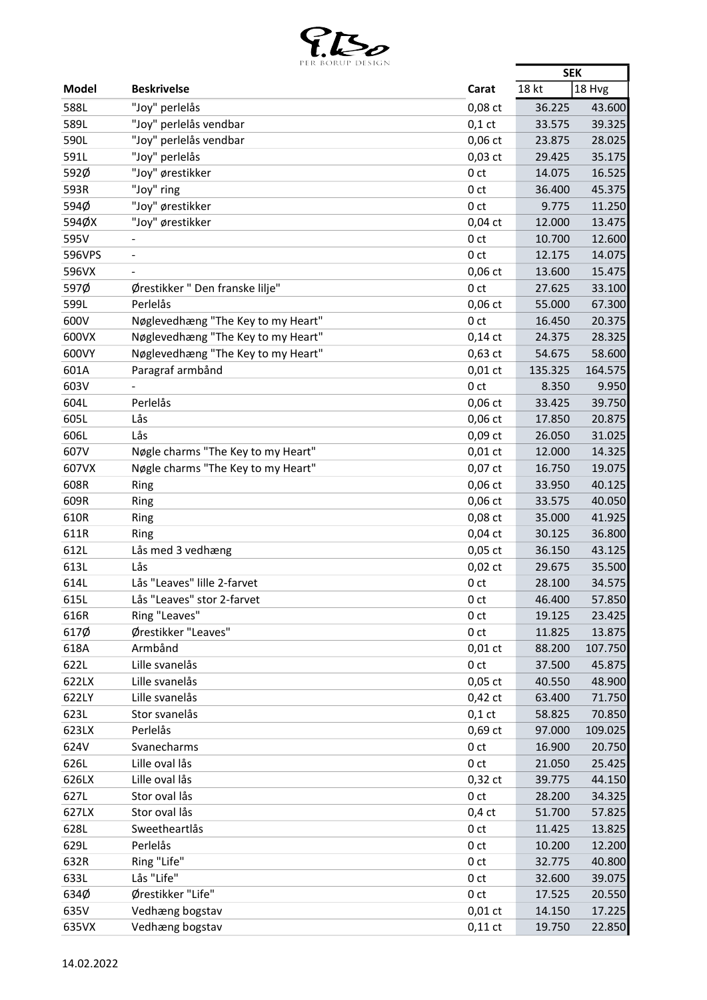

|        | PER BOROP DESIGN                   |                 | <b>SEK</b> |         |
|--------|------------------------------------|-----------------|------------|---------|
| Model  | <b>Beskrivelse</b>                 | Carat           | 18 kt      | 18 Hvg  |
| 588L   | "Joy" perlelås                     | 0,08 ct         | 36.225     | 43.600  |
| 589L   | "Joy" perlelås vendbar             | $0,1$ ct        | 33.575     | 39.325  |
| 590L   | "Joy" perlelås vendbar             | $0,06$ ct       | 23.875     | 28.025  |
| 591L   | "Joy" perlelås                     | $0,03$ ct       | 29.425     | 35.175  |
| 592Ø   | "Joy" ørestikker                   | 0 <sub>ct</sub> | 14.075     | 16.525  |
| 593R   | "Joy" ring                         | 0 <sub>ct</sub> | 36.400     | 45.375  |
| 594Ø   | "Joy" ørestikker                   | 0 <sub>ct</sub> | 9.775      | 11.250  |
| 594ØX  | "Joy" ørestikker                   | $0,04$ ct       | 12.000     | 13.475  |
| 595V   |                                    | 0 <sub>ct</sub> | 10.700     | 12.600  |
| 596VPS |                                    | 0 <sub>ct</sub> | 12.175     | 14.075  |
| 596VX  |                                    | $0,06$ ct       | 13.600     | 15.475  |
| 597Ø   | Ørestikker "Den franske lilje"     | 0 <sub>ct</sub> | 27.625     | 33.100  |
| 599L   | Perlelås                           | $0,06$ ct       | 55.000     | 67.300  |
| 600V   | Nøglevedhæng "The Key to my Heart" | 0 <sub>ct</sub> | 16.450     | 20.375  |
| 600VX  | Nøglevedhæng "The Key to my Heart" | $0,14$ ct       | 24.375     | 28.325  |
| 600VY  | Nøglevedhæng "The Key to my Heart" | $0,63$ ct       | 54.675     | 58.600  |
| 601A   | Paragraf armbånd                   | $0,01$ ct       | 135.325    | 164.575 |
| 603V   |                                    | 0 <sub>ct</sub> | 8.350      | 9.950   |
| 604L   | Perlelås                           | $0,06$ ct       | 33.425     | 39.750  |
| 605L   | Lås                                | $0,06$ ct       | 17.850     | 20.875  |
| 606L   | Lås                                | $0,09$ ct       | 26.050     | 31.025  |
| 607V   | Nøgle charms "The Key to my Heart" | $0,01$ ct       | 12.000     | 14.325  |
| 607VX  | Nøgle charms "The Key to my Heart" | $0,07$ ct       | 16.750     | 19.075  |
| 608R   | Ring                               | $0,06$ ct       | 33.950     | 40.125  |
| 609R   | Ring                               | 0,06 ct         | 33.575     | 40.050  |
| 610R   | Ring                               | 0,08 ct         | 35.000     | 41.925  |
| 611R   | Ring                               | $0,04$ ct       | 30.125     | 36.800  |
| 612L   | Lås med 3 vedhæng                  | $0,05$ ct       | 36.150     | 43.125  |
| 613L   | Lås                                | $0,02$ ct       | 29.675     | 35.500  |
| 614L   | Lås "Leaves" lille 2-farvet        | 0 <sub>ct</sub> | 28.100     | 34.575  |
| 615L   | Lås "Leaves" stor 2-farvet         | 0 ct            | 46.400     | 57.850  |
| 616R   | Ring "Leaves"                      | 0 <sub>ct</sub> | 19.125     | 23.425  |
| 617Ø   | Ørestikker "Leaves"                | 0 <sub>ct</sub> | 11.825     | 13.875  |
| 618A   | Armbånd                            | $0,01$ ct       | 88.200     | 107.750 |
| 622L   | Lille svanelås                     | 0 <sub>ct</sub> | 37.500     | 45.875  |
| 622LX  | Lille svanelås                     | $0,05$ ct       | 40.550     | 48.900  |
| 622LY  | Lille svanelås                     | $0,42$ ct       | 63.400     | 71.750  |
| 623L   | Stor svanelås                      | $0,1$ ct        | 58.825     | 70.850  |
| 623LX  | Perlelås                           | $0,69$ ct       | 97.000     | 109.025 |
| 624V   | Svanecharms                        | 0 <sub>ct</sub> | 16.900     | 20.750  |
| 626L   | Lille oval lås                     | 0 <sub>ct</sub> | 21.050     | 25.425  |
| 626LX  | Lille oval lås                     | $0,32$ ct       | 39.775     | 44.150  |
| 627L   | Stor oval lås                      | 0 <sub>ct</sub> | 28.200     | 34.325  |
| 627LX  | Stor oval lås                      | $0,4$ ct        | 51.700     | 57.825  |
| 628L   | Sweetheartlås                      | 0 <sub>ct</sub> | 11.425     | 13.825  |
| 629L   | Perlelås                           | 0 <sub>ct</sub> | 10.200     | 12.200  |
| 632R   | Ring "Life"                        | 0 <sub>ct</sub> | 32.775     | 40.800  |
| 633L   | Lås "Life"                         | 0 <sub>ct</sub> | 32.600     | 39.075  |
| 634Ø   | Ørestikker "Life"                  | 0 <sub>ct</sub> | 17.525     | 20.550  |
| 635V   | Vedhæng bogstav                    | $0,01$ ct       | 14.150     | 17.225  |
| 635VX  | Vedhæng bogstav                    | $0,11$ ct       | 19.750     | 22.850  |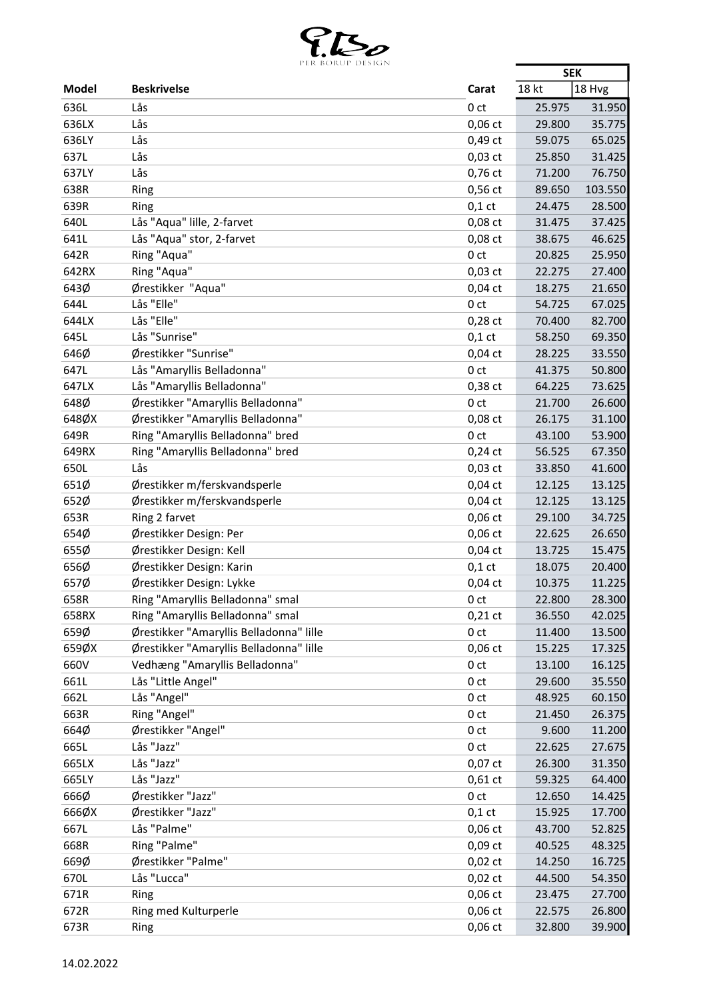

| 18 kt<br>18 Hvg<br><b>Beskrivelse</b><br>Carat<br>636L<br>Lås<br>0 <sub>ct</sub><br>25.975<br>31.950<br>636LX<br>Lås<br>35.775<br>$0,06$ ct<br>29.800<br>Lås<br>636LY<br>0,49 ct<br>59.075<br>65.025<br>Lås<br>637L<br>$0,03$ ct<br>25.850<br>31.425<br>Lås<br>637LY<br>0,76 ct<br>76.750<br>71.200<br>$0,56$ ct<br>638R<br>89.650<br>103.550<br>Ring<br>639R<br>$0,1$ ct<br>28.500<br>24.475<br>Ring<br>Lås "Aqua" lille, 2-farvet<br>640L<br>0,08 ct<br>31.475<br>37.425<br>641L<br>Lås "Aqua" stor, 2-farvet<br>0,08 ct<br>38.675<br>46.625<br>Ring "Aqua"<br>25.950<br>642R<br>0 <sub>ct</sub><br>20.825<br>Ring "Aqua"<br>642RX<br>$0,03$ ct<br>22.275<br>27.400<br>643Ø<br>Ørestikker "Aqua"<br>21.650<br>$0,04$ ct<br>18.275<br>Lås "Elle"<br>644L<br>0 <sub>ct</sub><br>54.725<br>67.025<br>644LX<br>Lås "Elle"<br>70.400<br>82.700<br>$0,28$ ct<br>Lås "Sunrise"<br>645L<br>58.250<br>69.350<br>$0,1$ ct<br>646Ø<br>Ørestikker "Sunrise"<br>$0,04$ ct<br>28.225<br>33.550<br>Lås "Amaryllis Belladonna"<br>647L<br>0 <sub>ct</sub><br>50.800<br>41.375<br>Lås "Amaryllis Belladonna"<br>647LX<br>0,38 ct<br>73.625<br>64.225<br>Ørestikker "Amaryllis Belladonna"<br>648Ø<br>26.600<br>0 <sub>ct</sub><br>21.700<br>648ØX<br>Ørestikker "Amaryllis Belladonna"<br>0,08 ct<br>26.175<br>31.100<br>Ring "Amaryllis Belladonna" bred<br>649R<br>53.900<br>0 <sub>ct</sub><br>43.100<br>649RX<br>Ring "Amaryllis Belladonna" bred<br>56.525<br>67.350<br>$0,24$ ct<br>Lås<br>650L<br>$0,03$ ct<br>33.850<br>41.600<br>651Ø<br>Ørestikker m/ferskvandsperle<br>$0,04$ ct<br>13.125<br>12.125<br>652Ø<br>Ørestikker m/ferskvandsperle<br>$0,04$ ct<br>12.125<br>13.125<br>653R<br>Ring 2 farvet<br>$0,06$ ct<br>34.725<br>29.100<br>654Ø<br>Ørestikker Design: Per<br>26.650<br>$0,06$ ct<br>22.625<br>655Ø<br>Ørestikker Design: Kell<br>$0,04$ ct<br>15.475<br>13.725<br>656Ø<br>Ørestikker Design: Karin<br>20.400<br>$0,1$ ct<br>18.075<br>11.225<br>657Ø<br>Ørestikker Design: Lykke<br>$0,04$ ct<br>10.375<br>658R<br>Ring "Amaryllis Belladonna" smal<br>0 ct<br>22.800<br>28.300<br>Ring "Amaryllis Belladonna" smal<br>658RX<br>36.550<br>42.025<br>$0,21$ ct<br>659Ø<br>Ørestikker "Amaryllis Belladonna" lille<br>0 <sub>ct</sub><br>11.400<br>13.500<br>659ØX<br>Ørestikker "Amaryllis Belladonna" lille<br>$0,06$ ct<br>15.225<br>17.325<br>Vedhæng "Amaryllis Belladonna"<br>660V<br>16.125<br>0 <sub>ct</sub><br>13.100<br>661L<br>Lås "Little Angel"<br>0 <sub>ct</sub><br>35.550<br>29.600<br>Lås "Angel"<br>662L<br>0 <sub>ct</sub><br>48.925<br>60.150<br>Ring "Angel"<br>663R<br>26.375<br>0 <sub>ct</sub><br>21.450<br>664Ø<br>Ørestikker "Angel"<br>9.600<br>11.200<br>0 <sub>ct</sub><br>Lås "Jazz"<br>665L<br>22.625<br>27.675<br>0 <sub>ct</sub><br>Lås "Jazz"<br>665LX<br>$0,07$ ct<br>31.350<br>26.300<br>665LY<br>Lås "Jazz"<br>$0,61$ ct<br>64.400<br>59.325<br>666Ø<br>Ørestikker "Jazz"<br>0 <sub>ct</sub><br>12.650<br>14.425<br>666ØX<br>Ørestikker "Jazz"<br>$0,1$ ct<br>15.925<br>17.700<br>667L<br>Lås "Palme"<br>52.825<br>$0,06$ ct<br>43.700<br>668R<br>Ring "Palme"<br>$0,09$ ct<br>40.525<br>48.325<br>Ørestikker "Palme"<br>669Ø<br>$0,02$ ct<br>14.250<br>16.725<br>Lås "Lucca"<br>670L<br>$0,02$ ct<br>54.350<br>44.500<br>671R<br>$0,06$ ct<br>Ring<br>23.475<br>27.700<br>Ring med Kulturperle<br>$0,06$ ct<br>26.800<br>672R<br>22.575 |              | PER BURUP DESIGN |         |        | <b>SEK</b> |
|------------------------------------------------------------------------------------------------------------------------------------------------------------------------------------------------------------------------------------------------------------------------------------------------------------------------------------------------------------------------------------------------------------------------------------------------------------------------------------------------------------------------------------------------------------------------------------------------------------------------------------------------------------------------------------------------------------------------------------------------------------------------------------------------------------------------------------------------------------------------------------------------------------------------------------------------------------------------------------------------------------------------------------------------------------------------------------------------------------------------------------------------------------------------------------------------------------------------------------------------------------------------------------------------------------------------------------------------------------------------------------------------------------------------------------------------------------------------------------------------------------------------------------------------------------------------------------------------------------------------------------------------------------------------------------------------------------------------------------------------------------------------------------------------------------------------------------------------------------------------------------------------------------------------------------------------------------------------------------------------------------------------------------------------------------------------------------------------------------------------------------------------------------------------------------------------------------------------------------------------------------------------------------------------------------------------------------------------------------------------------------------------------------------------------------------------------------------------------------------------------------------------------------------------------------------------------------------------------------------------------------------------------------------------------------------------------------------------------------------------------------------------------------------------------------------------------------------------------------------------------------------------------------------------------------------------------------------------------------------------------------------------------------------------------------------------------------------------------------------------------------------------------------------------------------------------------------------------------------------------------------------------------------------------------------------------------------------------------------------------------------------|--------------|------------------|---------|--------|------------|
|                                                                                                                                                                                                                                                                                                                                                                                                                                                                                                                                                                                                                                                                                                                                                                                                                                                                                                                                                                                                                                                                                                                                                                                                                                                                                                                                                                                                                                                                                                                                                                                                                                                                                                                                                                                                                                                                                                                                                                                                                                                                                                                                                                                                                                                                                                                                                                                                                                                                                                                                                                                                                                                                                                                                                                                                                                                                                                                                                                                                                                                                                                                                                                                                                                                                                                                                                                                          | <b>Model</b> |                  |         |        |            |
|                                                                                                                                                                                                                                                                                                                                                                                                                                                                                                                                                                                                                                                                                                                                                                                                                                                                                                                                                                                                                                                                                                                                                                                                                                                                                                                                                                                                                                                                                                                                                                                                                                                                                                                                                                                                                                                                                                                                                                                                                                                                                                                                                                                                                                                                                                                                                                                                                                                                                                                                                                                                                                                                                                                                                                                                                                                                                                                                                                                                                                                                                                                                                                                                                                                                                                                                                                                          |              |                  |         |        |            |
|                                                                                                                                                                                                                                                                                                                                                                                                                                                                                                                                                                                                                                                                                                                                                                                                                                                                                                                                                                                                                                                                                                                                                                                                                                                                                                                                                                                                                                                                                                                                                                                                                                                                                                                                                                                                                                                                                                                                                                                                                                                                                                                                                                                                                                                                                                                                                                                                                                                                                                                                                                                                                                                                                                                                                                                                                                                                                                                                                                                                                                                                                                                                                                                                                                                                                                                                                                                          |              |                  |         |        |            |
|                                                                                                                                                                                                                                                                                                                                                                                                                                                                                                                                                                                                                                                                                                                                                                                                                                                                                                                                                                                                                                                                                                                                                                                                                                                                                                                                                                                                                                                                                                                                                                                                                                                                                                                                                                                                                                                                                                                                                                                                                                                                                                                                                                                                                                                                                                                                                                                                                                                                                                                                                                                                                                                                                                                                                                                                                                                                                                                                                                                                                                                                                                                                                                                                                                                                                                                                                                                          |              |                  |         |        |            |
|                                                                                                                                                                                                                                                                                                                                                                                                                                                                                                                                                                                                                                                                                                                                                                                                                                                                                                                                                                                                                                                                                                                                                                                                                                                                                                                                                                                                                                                                                                                                                                                                                                                                                                                                                                                                                                                                                                                                                                                                                                                                                                                                                                                                                                                                                                                                                                                                                                                                                                                                                                                                                                                                                                                                                                                                                                                                                                                                                                                                                                                                                                                                                                                                                                                                                                                                                                                          |              |                  |         |        |            |
|                                                                                                                                                                                                                                                                                                                                                                                                                                                                                                                                                                                                                                                                                                                                                                                                                                                                                                                                                                                                                                                                                                                                                                                                                                                                                                                                                                                                                                                                                                                                                                                                                                                                                                                                                                                                                                                                                                                                                                                                                                                                                                                                                                                                                                                                                                                                                                                                                                                                                                                                                                                                                                                                                                                                                                                                                                                                                                                                                                                                                                                                                                                                                                                                                                                                                                                                                                                          |              |                  |         |        |            |
|                                                                                                                                                                                                                                                                                                                                                                                                                                                                                                                                                                                                                                                                                                                                                                                                                                                                                                                                                                                                                                                                                                                                                                                                                                                                                                                                                                                                                                                                                                                                                                                                                                                                                                                                                                                                                                                                                                                                                                                                                                                                                                                                                                                                                                                                                                                                                                                                                                                                                                                                                                                                                                                                                                                                                                                                                                                                                                                                                                                                                                                                                                                                                                                                                                                                                                                                                                                          |              |                  |         |        |            |
|                                                                                                                                                                                                                                                                                                                                                                                                                                                                                                                                                                                                                                                                                                                                                                                                                                                                                                                                                                                                                                                                                                                                                                                                                                                                                                                                                                                                                                                                                                                                                                                                                                                                                                                                                                                                                                                                                                                                                                                                                                                                                                                                                                                                                                                                                                                                                                                                                                                                                                                                                                                                                                                                                                                                                                                                                                                                                                                                                                                                                                                                                                                                                                                                                                                                                                                                                                                          |              |                  |         |        |            |
|                                                                                                                                                                                                                                                                                                                                                                                                                                                                                                                                                                                                                                                                                                                                                                                                                                                                                                                                                                                                                                                                                                                                                                                                                                                                                                                                                                                                                                                                                                                                                                                                                                                                                                                                                                                                                                                                                                                                                                                                                                                                                                                                                                                                                                                                                                                                                                                                                                                                                                                                                                                                                                                                                                                                                                                                                                                                                                                                                                                                                                                                                                                                                                                                                                                                                                                                                                                          |              |                  |         |        |            |
|                                                                                                                                                                                                                                                                                                                                                                                                                                                                                                                                                                                                                                                                                                                                                                                                                                                                                                                                                                                                                                                                                                                                                                                                                                                                                                                                                                                                                                                                                                                                                                                                                                                                                                                                                                                                                                                                                                                                                                                                                                                                                                                                                                                                                                                                                                                                                                                                                                                                                                                                                                                                                                                                                                                                                                                                                                                                                                                                                                                                                                                                                                                                                                                                                                                                                                                                                                                          |              |                  |         |        |            |
|                                                                                                                                                                                                                                                                                                                                                                                                                                                                                                                                                                                                                                                                                                                                                                                                                                                                                                                                                                                                                                                                                                                                                                                                                                                                                                                                                                                                                                                                                                                                                                                                                                                                                                                                                                                                                                                                                                                                                                                                                                                                                                                                                                                                                                                                                                                                                                                                                                                                                                                                                                                                                                                                                                                                                                                                                                                                                                                                                                                                                                                                                                                                                                                                                                                                                                                                                                                          |              |                  |         |        |            |
|                                                                                                                                                                                                                                                                                                                                                                                                                                                                                                                                                                                                                                                                                                                                                                                                                                                                                                                                                                                                                                                                                                                                                                                                                                                                                                                                                                                                                                                                                                                                                                                                                                                                                                                                                                                                                                                                                                                                                                                                                                                                                                                                                                                                                                                                                                                                                                                                                                                                                                                                                                                                                                                                                                                                                                                                                                                                                                                                                                                                                                                                                                                                                                                                                                                                                                                                                                                          |              |                  |         |        |            |
|                                                                                                                                                                                                                                                                                                                                                                                                                                                                                                                                                                                                                                                                                                                                                                                                                                                                                                                                                                                                                                                                                                                                                                                                                                                                                                                                                                                                                                                                                                                                                                                                                                                                                                                                                                                                                                                                                                                                                                                                                                                                                                                                                                                                                                                                                                                                                                                                                                                                                                                                                                                                                                                                                                                                                                                                                                                                                                                                                                                                                                                                                                                                                                                                                                                                                                                                                                                          |              |                  |         |        |            |
|                                                                                                                                                                                                                                                                                                                                                                                                                                                                                                                                                                                                                                                                                                                                                                                                                                                                                                                                                                                                                                                                                                                                                                                                                                                                                                                                                                                                                                                                                                                                                                                                                                                                                                                                                                                                                                                                                                                                                                                                                                                                                                                                                                                                                                                                                                                                                                                                                                                                                                                                                                                                                                                                                                                                                                                                                                                                                                                                                                                                                                                                                                                                                                                                                                                                                                                                                                                          |              |                  |         |        |            |
|                                                                                                                                                                                                                                                                                                                                                                                                                                                                                                                                                                                                                                                                                                                                                                                                                                                                                                                                                                                                                                                                                                                                                                                                                                                                                                                                                                                                                                                                                                                                                                                                                                                                                                                                                                                                                                                                                                                                                                                                                                                                                                                                                                                                                                                                                                                                                                                                                                                                                                                                                                                                                                                                                                                                                                                                                                                                                                                                                                                                                                                                                                                                                                                                                                                                                                                                                                                          |              |                  |         |        |            |
|                                                                                                                                                                                                                                                                                                                                                                                                                                                                                                                                                                                                                                                                                                                                                                                                                                                                                                                                                                                                                                                                                                                                                                                                                                                                                                                                                                                                                                                                                                                                                                                                                                                                                                                                                                                                                                                                                                                                                                                                                                                                                                                                                                                                                                                                                                                                                                                                                                                                                                                                                                                                                                                                                                                                                                                                                                                                                                                                                                                                                                                                                                                                                                                                                                                                                                                                                                                          |              |                  |         |        |            |
|                                                                                                                                                                                                                                                                                                                                                                                                                                                                                                                                                                                                                                                                                                                                                                                                                                                                                                                                                                                                                                                                                                                                                                                                                                                                                                                                                                                                                                                                                                                                                                                                                                                                                                                                                                                                                                                                                                                                                                                                                                                                                                                                                                                                                                                                                                                                                                                                                                                                                                                                                                                                                                                                                                                                                                                                                                                                                                                                                                                                                                                                                                                                                                                                                                                                                                                                                                                          |              |                  |         |        |            |
|                                                                                                                                                                                                                                                                                                                                                                                                                                                                                                                                                                                                                                                                                                                                                                                                                                                                                                                                                                                                                                                                                                                                                                                                                                                                                                                                                                                                                                                                                                                                                                                                                                                                                                                                                                                                                                                                                                                                                                                                                                                                                                                                                                                                                                                                                                                                                                                                                                                                                                                                                                                                                                                                                                                                                                                                                                                                                                                                                                                                                                                                                                                                                                                                                                                                                                                                                                                          |              |                  |         |        |            |
|                                                                                                                                                                                                                                                                                                                                                                                                                                                                                                                                                                                                                                                                                                                                                                                                                                                                                                                                                                                                                                                                                                                                                                                                                                                                                                                                                                                                                                                                                                                                                                                                                                                                                                                                                                                                                                                                                                                                                                                                                                                                                                                                                                                                                                                                                                                                                                                                                                                                                                                                                                                                                                                                                                                                                                                                                                                                                                                                                                                                                                                                                                                                                                                                                                                                                                                                                                                          |              |                  |         |        |            |
|                                                                                                                                                                                                                                                                                                                                                                                                                                                                                                                                                                                                                                                                                                                                                                                                                                                                                                                                                                                                                                                                                                                                                                                                                                                                                                                                                                                                                                                                                                                                                                                                                                                                                                                                                                                                                                                                                                                                                                                                                                                                                                                                                                                                                                                                                                                                                                                                                                                                                                                                                                                                                                                                                                                                                                                                                                                                                                                                                                                                                                                                                                                                                                                                                                                                                                                                                                                          |              |                  |         |        |            |
|                                                                                                                                                                                                                                                                                                                                                                                                                                                                                                                                                                                                                                                                                                                                                                                                                                                                                                                                                                                                                                                                                                                                                                                                                                                                                                                                                                                                                                                                                                                                                                                                                                                                                                                                                                                                                                                                                                                                                                                                                                                                                                                                                                                                                                                                                                                                                                                                                                                                                                                                                                                                                                                                                                                                                                                                                                                                                                                                                                                                                                                                                                                                                                                                                                                                                                                                                                                          |              |                  |         |        |            |
|                                                                                                                                                                                                                                                                                                                                                                                                                                                                                                                                                                                                                                                                                                                                                                                                                                                                                                                                                                                                                                                                                                                                                                                                                                                                                                                                                                                                                                                                                                                                                                                                                                                                                                                                                                                                                                                                                                                                                                                                                                                                                                                                                                                                                                                                                                                                                                                                                                                                                                                                                                                                                                                                                                                                                                                                                                                                                                                                                                                                                                                                                                                                                                                                                                                                                                                                                                                          |              |                  |         |        |            |
|                                                                                                                                                                                                                                                                                                                                                                                                                                                                                                                                                                                                                                                                                                                                                                                                                                                                                                                                                                                                                                                                                                                                                                                                                                                                                                                                                                                                                                                                                                                                                                                                                                                                                                                                                                                                                                                                                                                                                                                                                                                                                                                                                                                                                                                                                                                                                                                                                                                                                                                                                                                                                                                                                                                                                                                                                                                                                                                                                                                                                                                                                                                                                                                                                                                                                                                                                                                          |              |                  |         |        |            |
|                                                                                                                                                                                                                                                                                                                                                                                                                                                                                                                                                                                                                                                                                                                                                                                                                                                                                                                                                                                                                                                                                                                                                                                                                                                                                                                                                                                                                                                                                                                                                                                                                                                                                                                                                                                                                                                                                                                                                                                                                                                                                                                                                                                                                                                                                                                                                                                                                                                                                                                                                                                                                                                                                                                                                                                                                                                                                                                                                                                                                                                                                                                                                                                                                                                                                                                                                                                          |              |                  |         |        |            |
|                                                                                                                                                                                                                                                                                                                                                                                                                                                                                                                                                                                                                                                                                                                                                                                                                                                                                                                                                                                                                                                                                                                                                                                                                                                                                                                                                                                                                                                                                                                                                                                                                                                                                                                                                                                                                                                                                                                                                                                                                                                                                                                                                                                                                                                                                                                                                                                                                                                                                                                                                                                                                                                                                                                                                                                                                                                                                                                                                                                                                                                                                                                                                                                                                                                                                                                                                                                          |              |                  |         |        |            |
|                                                                                                                                                                                                                                                                                                                                                                                                                                                                                                                                                                                                                                                                                                                                                                                                                                                                                                                                                                                                                                                                                                                                                                                                                                                                                                                                                                                                                                                                                                                                                                                                                                                                                                                                                                                                                                                                                                                                                                                                                                                                                                                                                                                                                                                                                                                                                                                                                                                                                                                                                                                                                                                                                                                                                                                                                                                                                                                                                                                                                                                                                                                                                                                                                                                                                                                                                                                          |              |                  |         |        |            |
|                                                                                                                                                                                                                                                                                                                                                                                                                                                                                                                                                                                                                                                                                                                                                                                                                                                                                                                                                                                                                                                                                                                                                                                                                                                                                                                                                                                                                                                                                                                                                                                                                                                                                                                                                                                                                                                                                                                                                                                                                                                                                                                                                                                                                                                                                                                                                                                                                                                                                                                                                                                                                                                                                                                                                                                                                                                                                                                                                                                                                                                                                                                                                                                                                                                                                                                                                                                          |              |                  |         |        |            |
|                                                                                                                                                                                                                                                                                                                                                                                                                                                                                                                                                                                                                                                                                                                                                                                                                                                                                                                                                                                                                                                                                                                                                                                                                                                                                                                                                                                                                                                                                                                                                                                                                                                                                                                                                                                                                                                                                                                                                                                                                                                                                                                                                                                                                                                                                                                                                                                                                                                                                                                                                                                                                                                                                                                                                                                                                                                                                                                                                                                                                                                                                                                                                                                                                                                                                                                                                                                          |              |                  |         |        |            |
|                                                                                                                                                                                                                                                                                                                                                                                                                                                                                                                                                                                                                                                                                                                                                                                                                                                                                                                                                                                                                                                                                                                                                                                                                                                                                                                                                                                                                                                                                                                                                                                                                                                                                                                                                                                                                                                                                                                                                                                                                                                                                                                                                                                                                                                                                                                                                                                                                                                                                                                                                                                                                                                                                                                                                                                                                                                                                                                                                                                                                                                                                                                                                                                                                                                                                                                                                                                          |              |                  |         |        |            |
|                                                                                                                                                                                                                                                                                                                                                                                                                                                                                                                                                                                                                                                                                                                                                                                                                                                                                                                                                                                                                                                                                                                                                                                                                                                                                                                                                                                                                                                                                                                                                                                                                                                                                                                                                                                                                                                                                                                                                                                                                                                                                                                                                                                                                                                                                                                                                                                                                                                                                                                                                                                                                                                                                                                                                                                                                                                                                                                                                                                                                                                                                                                                                                                                                                                                                                                                                                                          |              |                  |         |        |            |
|                                                                                                                                                                                                                                                                                                                                                                                                                                                                                                                                                                                                                                                                                                                                                                                                                                                                                                                                                                                                                                                                                                                                                                                                                                                                                                                                                                                                                                                                                                                                                                                                                                                                                                                                                                                                                                                                                                                                                                                                                                                                                                                                                                                                                                                                                                                                                                                                                                                                                                                                                                                                                                                                                                                                                                                                                                                                                                                                                                                                                                                                                                                                                                                                                                                                                                                                                                                          |              |                  |         |        |            |
|                                                                                                                                                                                                                                                                                                                                                                                                                                                                                                                                                                                                                                                                                                                                                                                                                                                                                                                                                                                                                                                                                                                                                                                                                                                                                                                                                                                                                                                                                                                                                                                                                                                                                                                                                                                                                                                                                                                                                                                                                                                                                                                                                                                                                                                                                                                                                                                                                                                                                                                                                                                                                                                                                                                                                                                                                                                                                                                                                                                                                                                                                                                                                                                                                                                                                                                                                                                          |              |                  |         |        |            |
|                                                                                                                                                                                                                                                                                                                                                                                                                                                                                                                                                                                                                                                                                                                                                                                                                                                                                                                                                                                                                                                                                                                                                                                                                                                                                                                                                                                                                                                                                                                                                                                                                                                                                                                                                                                                                                                                                                                                                                                                                                                                                                                                                                                                                                                                                                                                                                                                                                                                                                                                                                                                                                                                                                                                                                                                                                                                                                                                                                                                                                                                                                                                                                                                                                                                                                                                                                                          |              |                  |         |        |            |
|                                                                                                                                                                                                                                                                                                                                                                                                                                                                                                                                                                                                                                                                                                                                                                                                                                                                                                                                                                                                                                                                                                                                                                                                                                                                                                                                                                                                                                                                                                                                                                                                                                                                                                                                                                                                                                                                                                                                                                                                                                                                                                                                                                                                                                                                                                                                                                                                                                                                                                                                                                                                                                                                                                                                                                                                                                                                                                                                                                                                                                                                                                                                                                                                                                                                                                                                                                                          |              |                  |         |        |            |
|                                                                                                                                                                                                                                                                                                                                                                                                                                                                                                                                                                                                                                                                                                                                                                                                                                                                                                                                                                                                                                                                                                                                                                                                                                                                                                                                                                                                                                                                                                                                                                                                                                                                                                                                                                                                                                                                                                                                                                                                                                                                                                                                                                                                                                                                                                                                                                                                                                                                                                                                                                                                                                                                                                                                                                                                                                                                                                                                                                                                                                                                                                                                                                                                                                                                                                                                                                                          |              |                  |         |        |            |
|                                                                                                                                                                                                                                                                                                                                                                                                                                                                                                                                                                                                                                                                                                                                                                                                                                                                                                                                                                                                                                                                                                                                                                                                                                                                                                                                                                                                                                                                                                                                                                                                                                                                                                                                                                                                                                                                                                                                                                                                                                                                                                                                                                                                                                                                                                                                                                                                                                                                                                                                                                                                                                                                                                                                                                                                                                                                                                                                                                                                                                                                                                                                                                                                                                                                                                                                                                                          |              |                  |         |        |            |
|                                                                                                                                                                                                                                                                                                                                                                                                                                                                                                                                                                                                                                                                                                                                                                                                                                                                                                                                                                                                                                                                                                                                                                                                                                                                                                                                                                                                                                                                                                                                                                                                                                                                                                                                                                                                                                                                                                                                                                                                                                                                                                                                                                                                                                                                                                                                                                                                                                                                                                                                                                                                                                                                                                                                                                                                                                                                                                                                                                                                                                                                                                                                                                                                                                                                                                                                                                                          |              |                  |         |        |            |
|                                                                                                                                                                                                                                                                                                                                                                                                                                                                                                                                                                                                                                                                                                                                                                                                                                                                                                                                                                                                                                                                                                                                                                                                                                                                                                                                                                                                                                                                                                                                                                                                                                                                                                                                                                                                                                                                                                                                                                                                                                                                                                                                                                                                                                                                                                                                                                                                                                                                                                                                                                                                                                                                                                                                                                                                                                                                                                                                                                                                                                                                                                                                                                                                                                                                                                                                                                                          |              |                  |         |        |            |
|                                                                                                                                                                                                                                                                                                                                                                                                                                                                                                                                                                                                                                                                                                                                                                                                                                                                                                                                                                                                                                                                                                                                                                                                                                                                                                                                                                                                                                                                                                                                                                                                                                                                                                                                                                                                                                                                                                                                                                                                                                                                                                                                                                                                                                                                                                                                                                                                                                                                                                                                                                                                                                                                                                                                                                                                                                                                                                                                                                                                                                                                                                                                                                                                                                                                                                                                                                                          |              |                  |         |        |            |
|                                                                                                                                                                                                                                                                                                                                                                                                                                                                                                                                                                                                                                                                                                                                                                                                                                                                                                                                                                                                                                                                                                                                                                                                                                                                                                                                                                                                                                                                                                                                                                                                                                                                                                                                                                                                                                                                                                                                                                                                                                                                                                                                                                                                                                                                                                                                                                                                                                                                                                                                                                                                                                                                                                                                                                                                                                                                                                                                                                                                                                                                                                                                                                                                                                                                                                                                                                                          |              |                  |         |        |            |
|                                                                                                                                                                                                                                                                                                                                                                                                                                                                                                                                                                                                                                                                                                                                                                                                                                                                                                                                                                                                                                                                                                                                                                                                                                                                                                                                                                                                                                                                                                                                                                                                                                                                                                                                                                                                                                                                                                                                                                                                                                                                                                                                                                                                                                                                                                                                                                                                                                                                                                                                                                                                                                                                                                                                                                                                                                                                                                                                                                                                                                                                                                                                                                                                                                                                                                                                                                                          |              |                  |         |        |            |
|                                                                                                                                                                                                                                                                                                                                                                                                                                                                                                                                                                                                                                                                                                                                                                                                                                                                                                                                                                                                                                                                                                                                                                                                                                                                                                                                                                                                                                                                                                                                                                                                                                                                                                                                                                                                                                                                                                                                                                                                                                                                                                                                                                                                                                                                                                                                                                                                                                                                                                                                                                                                                                                                                                                                                                                                                                                                                                                                                                                                                                                                                                                                                                                                                                                                                                                                                                                          |              |                  |         |        |            |
|                                                                                                                                                                                                                                                                                                                                                                                                                                                                                                                                                                                                                                                                                                                                                                                                                                                                                                                                                                                                                                                                                                                                                                                                                                                                                                                                                                                                                                                                                                                                                                                                                                                                                                                                                                                                                                                                                                                                                                                                                                                                                                                                                                                                                                                                                                                                                                                                                                                                                                                                                                                                                                                                                                                                                                                                                                                                                                                                                                                                                                                                                                                                                                                                                                                                                                                                                                                          |              |                  |         |        |            |
|                                                                                                                                                                                                                                                                                                                                                                                                                                                                                                                                                                                                                                                                                                                                                                                                                                                                                                                                                                                                                                                                                                                                                                                                                                                                                                                                                                                                                                                                                                                                                                                                                                                                                                                                                                                                                                                                                                                                                                                                                                                                                                                                                                                                                                                                                                                                                                                                                                                                                                                                                                                                                                                                                                                                                                                                                                                                                                                                                                                                                                                                                                                                                                                                                                                                                                                                                                                          |              |                  |         |        |            |
|                                                                                                                                                                                                                                                                                                                                                                                                                                                                                                                                                                                                                                                                                                                                                                                                                                                                                                                                                                                                                                                                                                                                                                                                                                                                                                                                                                                                                                                                                                                                                                                                                                                                                                                                                                                                                                                                                                                                                                                                                                                                                                                                                                                                                                                                                                                                                                                                                                                                                                                                                                                                                                                                                                                                                                                                                                                                                                                                                                                                                                                                                                                                                                                                                                                                                                                                                                                          |              |                  |         |        |            |
|                                                                                                                                                                                                                                                                                                                                                                                                                                                                                                                                                                                                                                                                                                                                                                                                                                                                                                                                                                                                                                                                                                                                                                                                                                                                                                                                                                                                                                                                                                                                                                                                                                                                                                                                                                                                                                                                                                                                                                                                                                                                                                                                                                                                                                                                                                                                                                                                                                                                                                                                                                                                                                                                                                                                                                                                                                                                                                                                                                                                                                                                                                                                                                                                                                                                                                                                                                                          |              |                  |         |        |            |
|                                                                                                                                                                                                                                                                                                                                                                                                                                                                                                                                                                                                                                                                                                                                                                                                                                                                                                                                                                                                                                                                                                                                                                                                                                                                                                                                                                                                                                                                                                                                                                                                                                                                                                                                                                                                                                                                                                                                                                                                                                                                                                                                                                                                                                                                                                                                                                                                                                                                                                                                                                                                                                                                                                                                                                                                                                                                                                                                                                                                                                                                                                                                                                                                                                                                                                                                                                                          |              |                  |         |        |            |
|                                                                                                                                                                                                                                                                                                                                                                                                                                                                                                                                                                                                                                                                                                                                                                                                                                                                                                                                                                                                                                                                                                                                                                                                                                                                                                                                                                                                                                                                                                                                                                                                                                                                                                                                                                                                                                                                                                                                                                                                                                                                                                                                                                                                                                                                                                                                                                                                                                                                                                                                                                                                                                                                                                                                                                                                                                                                                                                                                                                                                                                                                                                                                                                                                                                                                                                                                                                          |              |                  |         |        |            |
|                                                                                                                                                                                                                                                                                                                                                                                                                                                                                                                                                                                                                                                                                                                                                                                                                                                                                                                                                                                                                                                                                                                                                                                                                                                                                                                                                                                                                                                                                                                                                                                                                                                                                                                                                                                                                                                                                                                                                                                                                                                                                                                                                                                                                                                                                                                                                                                                                                                                                                                                                                                                                                                                                                                                                                                                                                                                                                                                                                                                                                                                                                                                                                                                                                                                                                                                                                                          |              |                  |         |        |            |
|                                                                                                                                                                                                                                                                                                                                                                                                                                                                                                                                                                                                                                                                                                                                                                                                                                                                                                                                                                                                                                                                                                                                                                                                                                                                                                                                                                                                                                                                                                                                                                                                                                                                                                                                                                                                                                                                                                                                                                                                                                                                                                                                                                                                                                                                                                                                                                                                                                                                                                                                                                                                                                                                                                                                                                                                                                                                                                                                                                                                                                                                                                                                                                                                                                                                                                                                                                                          |              |                  |         |        |            |
|                                                                                                                                                                                                                                                                                                                                                                                                                                                                                                                                                                                                                                                                                                                                                                                                                                                                                                                                                                                                                                                                                                                                                                                                                                                                                                                                                                                                                                                                                                                                                                                                                                                                                                                                                                                                                                                                                                                                                                                                                                                                                                                                                                                                                                                                                                                                                                                                                                                                                                                                                                                                                                                                                                                                                                                                                                                                                                                                                                                                                                                                                                                                                                                                                                                                                                                                                                                          |              |                  |         |        |            |
|                                                                                                                                                                                                                                                                                                                                                                                                                                                                                                                                                                                                                                                                                                                                                                                                                                                                                                                                                                                                                                                                                                                                                                                                                                                                                                                                                                                                                                                                                                                                                                                                                                                                                                                                                                                                                                                                                                                                                                                                                                                                                                                                                                                                                                                                                                                                                                                                                                                                                                                                                                                                                                                                                                                                                                                                                                                                                                                                                                                                                                                                                                                                                                                                                                                                                                                                                                                          | 673R         | Ring             | 0,06 ct | 32.800 | 39.900     |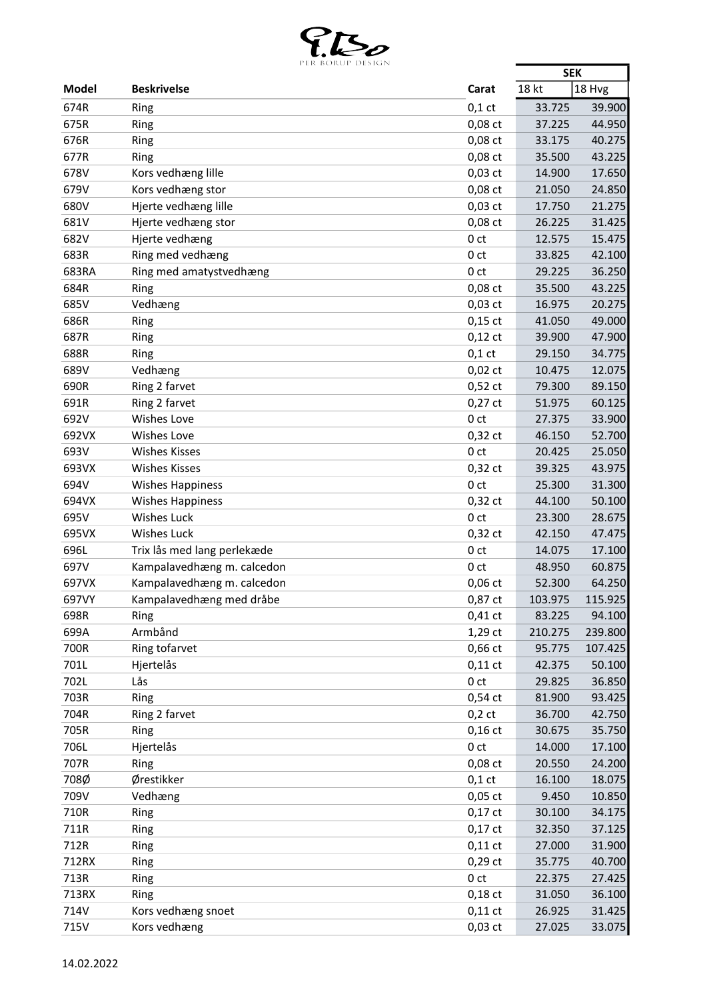

|       | PER BOROP DESIGN            |                 | <b>SEK</b> |         |
|-------|-----------------------------|-----------------|------------|---------|
| Model | <b>Beskrivelse</b>          | Carat           | 18 kt      | 18 Hvg  |
| 674R  | Ring                        | $0,1$ ct        | 33.725     | 39.900  |
| 675R  | Ring                        | $0,08$ ct       | 37.225     | 44.950  |
| 676R  | Ring                        | 0,08 ct         | 33.175     | 40.275  |
| 677R  | Ring                        | 0,08 ct         | 35.500     | 43.225  |
| 678V  | Kors vedhæng lille          | $0,03$ ct       | 14.900     | 17.650  |
| 679V  | Kors vedhæng stor           | 0,08 ct         | 21.050     | 24.850  |
| 680V  | Hjerte vedhæng lille        | $0,03$ ct       | 17.750     | 21.275  |
| 681V  | Hjerte vedhæng stor         | 0,08 ct         | 26.225     | 31.425  |
| 682V  | Hjerte vedhæng              | 0 <sub>ct</sub> | 12.575     | 15.475  |
| 683R  | Ring med vedhæng            | 0 <sub>ct</sub> | 33.825     | 42.100  |
| 683RA | Ring med amatystvedhæng     | 0 <sub>ct</sub> | 29.225     | 36.250  |
| 684R  | Ring                        | 0,08 ct         | 35.500     | 43.225  |
| 685V  | Vedhæng                     | $0,03$ ct       | 16.975     | 20.275  |
| 686R  | Ring                        | $0,15$ ct       | 41.050     | 49.000  |
| 687R  | Ring                        | $0,12$ ct       | 39.900     | 47.900  |
| 688R  | Ring                        | $0,1$ ct        | 29.150     | 34.775  |
| 689V  | Vedhæng                     | $0,02$ ct       | 10.475     | 12.075  |
| 690R  | Ring 2 farvet               | $0,52$ ct       | 79.300     | 89.150  |
| 691R  | Ring 2 farvet               | $0,27$ ct       | 51.975     | 60.125  |
| 692V  | Wishes Love                 | 0 <sub>ct</sub> | 27.375     | 33.900  |
| 692VX | Wishes Love                 | $0,32$ ct       | 46.150     | 52.700  |
| 693V  | <b>Wishes Kisses</b>        | 0 <sub>ct</sub> | 20.425     | 25.050  |
| 693VX | <b>Wishes Kisses</b>        | $0,32$ ct       | 39.325     | 43.975  |
| 694V  | <b>Wishes Happiness</b>     | 0 <sub>ct</sub> | 25.300     | 31.300  |
| 694VX | <b>Wishes Happiness</b>     | $0,32$ ct       | 44.100     | 50.100  |
| 695V  | Wishes Luck                 | 0 <sub>ct</sub> | 23.300     | 28.675  |
| 695VX | <b>Wishes Luck</b>          | $0,32$ ct       | 42.150     | 47.475  |
| 696L  | Trix lås med lang perlekæde | 0 <sub>ct</sub> | 14.075     | 17.100  |
| 697V  | Kampalavedhæng m. calcedon  | 0 <sub>ct</sub> | 48.950     | 60.875  |
| 697VX | Kampalavedhæng m. calcedon  | $0,06$ ct       | 52.300     | 64.250  |
| 697VY | Kampalavedhæng med dråbe    | 0,87 ct         | 103.975    | 115.925 |
| 698R  | Ring                        | $0,41$ ct       | 83.225     | 94.100  |
| 699A  | Armbånd                     | 1,29 ct         | 210.275    | 239.800 |
| 700R  | Ring tofarvet               | 0,66 ct         | 95.775     | 107.425 |
| 701L  | Hjertelås                   | $0,11$ ct       | 42.375     | 50.100  |
| 702L  | Lås                         | 0 <sub>ct</sub> | 29.825     | 36.850  |
| 703R  | Ring                        | $0,54$ ct       | 81.900     | 93.425  |
| 704R  | Ring 2 farvet               | $0,2$ ct        | 36.700     | 42.750  |
| 705R  | Ring                        | $0,16$ ct       | 30.675     | 35.750  |
| 706L  | Hjertelås                   | 0 <sub>ct</sub> | 14.000     | 17.100  |
| 707R  | Ring                        | 0,08 ct         | 20.550     | 24.200  |
| 708Ø  | Ørestikker                  | $0,1$ ct        | 16.100     | 18.075  |
| 709V  | Vedhæng                     | $0,05$ ct       | 9.450      | 10.850  |
| 710R  | Ring                        | $0,17$ ct       | 30.100     | 34.175  |
| 711R  | Ring                        | $0,17$ ct       | 32.350     | 37.125  |
| 712R  | Ring                        | $0,11$ ct       | 27.000     | 31.900  |
| 712RX | Ring                        | $0,29$ ct       | 35.775     | 40.700  |
| 713R  | Ring                        | 0 <sub>ct</sub> | 22.375     | 27.425  |
| 713RX | Ring                        | $0,18$ ct       | 31.050     | 36.100  |
| 714V  | Kors vedhæng snoet          | $0,11$ ct       | 26.925     | 31.425  |
| 715V  | Kors vedhæng                | $0,03$ ct       | 27.025     | 33.075  |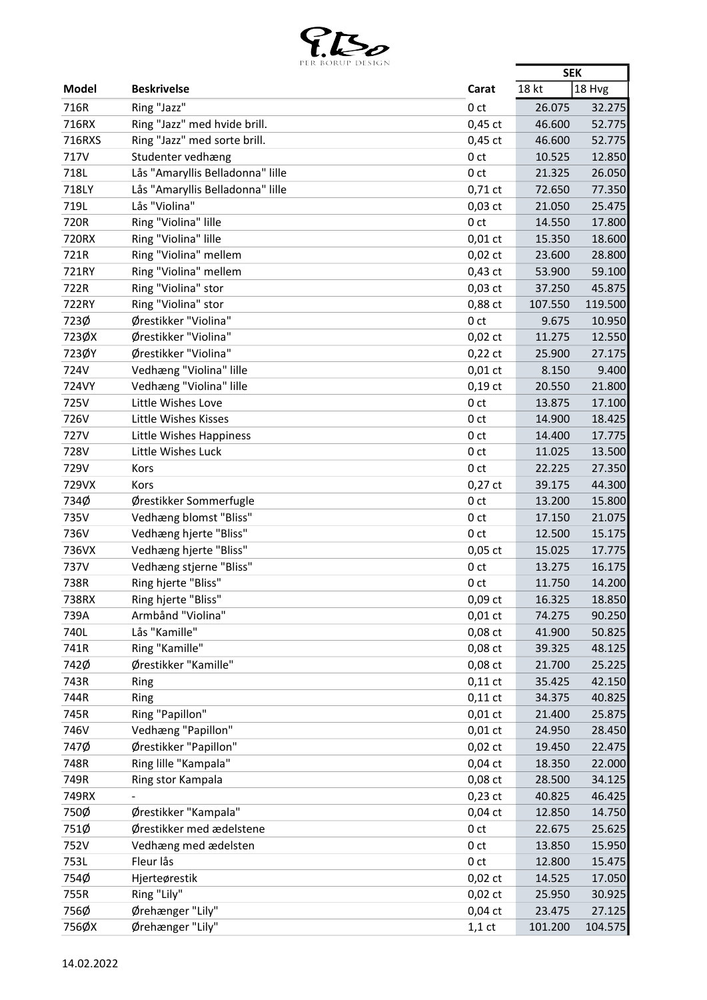

|              | PER BOROP DESIGN                 |                 | <b>SEK</b> |         |
|--------------|----------------------------------|-----------------|------------|---------|
| <b>Model</b> | <b>Beskrivelse</b>               | Carat           | 18 kt      | 18 Hvg  |
| 716R         | Ring "Jazz"                      | 0 ct            | 26.075     | 32.275  |
| 716RX        | Ring "Jazz" med hvide brill.     | $0,45$ ct       | 46.600     | 52.775  |
| 716RXS       | Ring "Jazz" med sorte brill.     | $0,45$ ct       | 46.600     | 52.775  |
| 717V         | Studenter vedhæng                | 0 <sub>ct</sub> | 10.525     | 12.850  |
| 718L         | Lås "Amaryllis Belladonna" lille | 0 <sub>ct</sub> | 21.325     | 26.050  |
| 718LY        | Lås "Amaryllis Belladonna" lille | $0,71$ ct       | 72.650     | 77.350  |
| 719L         | Lås "Violina"                    | $0,03$ ct       | 21.050     | 25.475  |
| 720R         | Ring "Violina" lille             | 0 <sub>ct</sub> | 14.550     | 17.800  |
| 720RX        | Ring "Violina" lille             | $0,01$ ct       | 15.350     | 18.600  |
| 721R         | Ring "Violina" mellem            | $0,02$ ct       | 23.600     | 28.800  |
| 721RY        | Ring "Violina" mellem            | $0,43$ ct       | 53.900     | 59.100  |
| 722R         | Ring "Violina" stor              | $0,03$ ct       | 37.250     | 45.875  |
| 722RY        | Ring "Violina" stor              | 0,88 ct         | 107.550    | 119.500 |
| 723Ø         | Ørestikker "Violina"             | 0 <sub>ct</sub> | 9.675      | 10.950  |
| 723ØX        | Ørestikker "Violina"             | $0,02$ ct       | 11.275     | 12.550  |
| 723ØY        | Ørestikker "Violina"             | $0,22$ ct       | 25.900     | 27.175  |
| 724V         | Vedhæng "Violina" lille          | $0,01$ ct       | 8.150      | 9.400   |
| 724VY        | Vedhæng "Violina" lille          | $0,19$ ct       | 20.550     | 21.800  |
| 725V         | Little Wishes Love               | 0 <sub>ct</sub> | 13.875     |         |
|              |                                  |                 |            | 17.100  |
| 726V         | Little Wishes Kisses             | 0 <sub>ct</sub> | 14.900     | 18.425  |
| 727V         | Little Wishes Happiness          | 0 ct            | 14.400     | 17.775  |
| 728V         | Little Wishes Luck               | 0 <sub>ct</sub> | 11.025     | 13.500  |
| 729V         | Kors                             | 0 <sub>ct</sub> | 22.225     | 27.350  |
| 729VX        | Kors                             | $0,27$ ct       | 39.175     | 44.300  |
| 734Ø         | Ørestikker Sommerfugle           | 0 <sub>ct</sub> | 13.200     | 15.800  |
| 735V         | Vedhæng blomst "Bliss"           | 0 <sub>ct</sub> | 17.150     | 21.075  |
| 736V         | Vedhæng hjerte "Bliss"           | 0 <sub>ct</sub> | 12.500     | 15.175  |
| 736VX        | Vedhæng hjerte "Bliss"           | $0,05$ ct       | 15.025     | 17.775  |
| 737V         | Vedhæng stjerne "Bliss"          | 0 <sub>ct</sub> | 13.275     | 16.175  |
| 738R         | Ring hjerte "Bliss"              | 0 <sub>ct</sub> | 11.750     | 14.200  |
| 738RX        | Ring hjerte "Bliss"              | $0,09$ ct       | 16.325     | 18.850  |
| 739A         | Armbånd "Violina"                | $0,01$ ct       | 74.275     | 90.250  |
| 740L         | Lås "Kamille"                    | 0,08 ct         | 41.900     | 50.825  |
| 741R         | Ring "Kamille"                   | 0,08 ct         | 39.325     | 48.125  |
| 742Ø         | Ørestikker "Kamille"             | 0,08 ct         | 21.700     | 25.225  |
| 743R         | Ring                             | $0,11$ ct       | 35.425     | 42.150  |
| 744R         | Ring                             | $0,11$ ct       | 34.375     | 40.825  |
| 745R         | Ring "Papillon"                  | $0,01$ ct       | 21.400     | 25.875  |
| 746V         | Vedhæng "Papillon"               | $0,01$ ct       | 24.950     | 28.450  |
| 747Ø         | Ørestikker "Papillon"            | $0,02$ ct       | 19.450     | 22.475  |
| 748R         | Ring lille "Kampala"             | $0,04$ ct       | 18.350     | 22.000  |
| 749R         | Ring stor Kampala                | 0,08 ct         | 28.500     | 34.125  |
| 749RX        |                                  | $0,23$ ct       | 40.825     | 46.425  |
| 750Ø         | Ørestikker "Kampala"             | $0,04$ ct       | 12.850     | 14.750  |
| 751Ø         | Ørestikker med ædelstene         | 0 <sub>ct</sub> | 22.675     | 25.625  |
| 752V         | Vedhæng med ædelsten             | 0 <sub>ct</sub> | 13.850     | 15.950  |
| 753L         | Fleur lås                        | 0 <sub>ct</sub> | 12.800     | 15.475  |
| 754Ø         | Hjerteørestik                    | $0,02$ ct       | 14.525     | 17.050  |
| 755R         | Ring "Lily"                      | $0,02$ ct       | 25.950     | 30.925  |
| 756Ø         | Ørehænger "Lily"                 | $0,04$ ct       | 23.475     | 27.125  |
| 756ØX        | Ørehænger "Lily"                 | $1,1$ ct        | 101.200    | 104.575 |
|              |                                  |                 |            |         |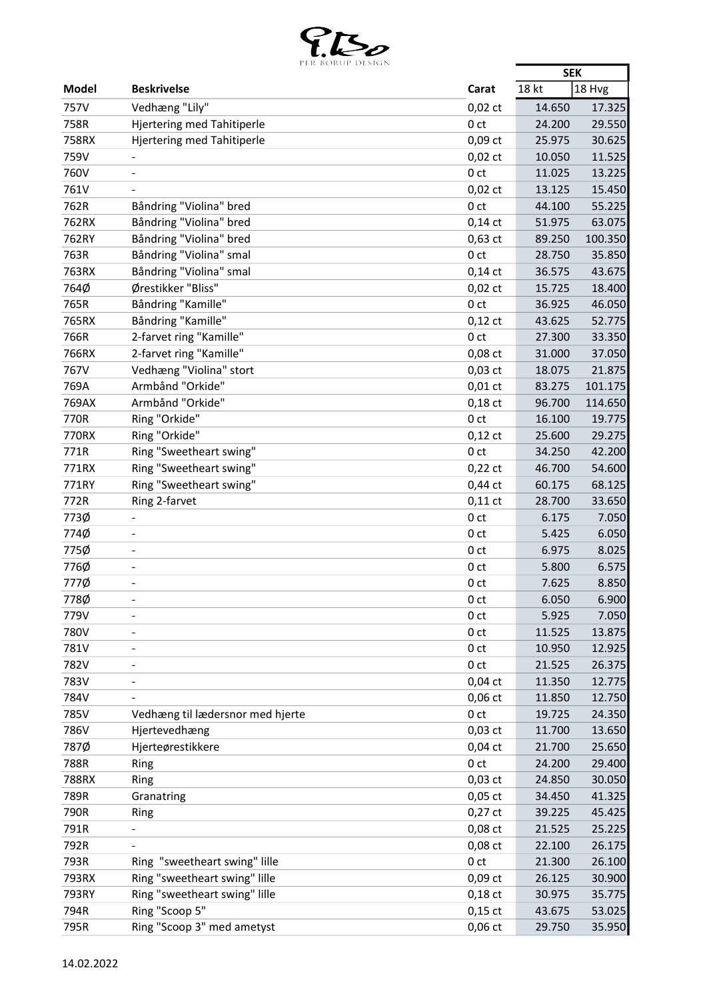

|              | LEN PUNUL DESIUN                 |                 | <b>SEK</b> |         |
|--------------|----------------------------------|-----------------|------------|---------|
| <b>Model</b> | <b>Beskrivelse</b>               | Carat           | 18 kt      | 18 Hvg  |
| 757V         | Vedhæng "Lily"                   | $0,02$ ct       | 14.650     | 17.325  |
| 758R         | Hjertering med Tahitiperle       | 0 <sub>ct</sub> | 24.200     | 29.550  |
| 758RX        | Hjertering med Tahitiperle       | 0,09 ct         | 25.975     | 30.625  |
| 759V         |                                  | $0,02$ ct       | 10.050     | 11.525  |
| 760V         | $\blacksquare$                   | 0 <sub>ct</sub> | 11.025     | 13.225  |
| 761V         |                                  | $0,02$ ct       | 13.125     | 15.450  |
| 762R         | Båndring "Violina" bred          | 0 <sub>ct</sub> | 44.100     | 55.225  |
| 762RX        | Båndring "Violina" bred          | $0,14$ ct       | 51.975     | 63.075  |
| 762RY        | Båndring "Violina" bred          | $0,63$ ct       | 89.250     | 100.350 |
| 763R         | Båndring "Violina" smal          | 0 <sub>ct</sub> | 28.750     | 35.850  |
| 763RX        | Båndring "Violina" smal          | $0,14$ ct       | 36.575     | 43.675  |
| 764Ø         | Ørestikker "Bliss"               | $0,02$ ct       | 15.725     | 18.400  |
| 765R         | Båndring "Kamille"               | 0 <sub>ct</sub> | 36.925     | 46.050  |
| 765RX        | Båndring "Kamille"               | $0,12$ ct       | 43.625     | 52.775  |
| 766R         | 2-farvet ring "Kamille"          | 0 <sub>ct</sub> | 27.300     | 33.350  |
| 766RX        | 2-farvet ring "Kamille"          | 0,08 ct         | 31.000     | 37.050  |
| 767V         | Vedhæng "Violina" stort          | $0,03$ ct       | 18.075     | 21.875  |
| 769A         | Armbånd "Orkide"                 | $0,01$ ct       | 83.275     | 101.175 |
| 769AX        | Armbånd "Orkide"                 | $0,18$ ct       |            |         |
|              |                                  |                 | 96.700     | 114.650 |
| 770R         | Ring "Orkide"                    | 0 <sub>ct</sub> | 16.100     | 19.775  |
| 770RX        | Ring "Orkide"                    | $0,12$ ct       | 25.600     | 29.275  |
| 771R         | Ring "Sweetheart swing"          | 0 <sub>ct</sub> | 34.250     | 42.200  |
| 771RX        | Ring "Sweetheart swing"          | $0,22$ ct       | 46.700     | 54.600  |
| 771RY        | Ring "Sweetheart swing"          | 0,44 ct         | 60.175     | 68.125  |
| 772R         | Ring 2-farvet                    | $0,11$ ct       | 28.700     | 33.650  |
| 773Ø         |                                  | 0 <sub>ct</sub> | 6.175      | 7.050   |
| 774Ø         | $\overline{a}$                   | 0 <sub>ct</sub> | 5.425      | 6.050   |
| 775Ø         | $\qquad \qquad \blacksquare$     | 0 <sub>ct</sub> | 6.975      | 8.025   |
| 776Ø         | $\overline{a}$                   | 0 <sub>ct</sub> | 5.800      | 6.575   |
| 777Ø         |                                  | 0 <sub>ct</sub> | 7.625      | 8.850   |
| 778Ø         | $\overline{\phantom{0}}$         | 0 ct            | 6.050      | 6.900   |
| 779V         | $\blacksquare$                   | 0 <sub>ct</sub> | 5.925      | 7.050   |
| 780V         |                                  | 0 <sub>ct</sub> | 11.525     | 13.875  |
| 781V         |                                  | 0 <sub>ct</sub> | 10.950     | 12.925  |
| 782V         | $\overline{a}$                   | 0 <sub>ct</sub> | 21.525     | 26.375  |
| 783V         |                                  | $0,04$ ct       | 11.350     | 12.775  |
| 784V         |                                  | $0,06$ ct       | 11.850     | 12.750  |
| 785V         | Vedhæng til lædersnor med hjerte | 0 <sub>ct</sub> | 19.725     | 24.350  |
| 786V         | Hjertevedhæng                    | $0,03$ ct       | 11.700     | 13.650  |
| 787Ø         | Hjerteørestikkere                | $0,04$ ct       | 21.700     | 25.650  |
| 788R         | Ring                             | 0 <sub>ct</sub> | 24.200     | 29.400  |
| 788RX        | Ring                             | $0,03$ ct       | 24.850     | 30.050  |
| 789R         | Granatring                       | $0,05$ ct       | 34.450     | 41.325  |
| 790R         | Ring                             | $0,27$ ct       | 39.225     | 45.425  |
| 791R         |                                  | 0,08 ct         | 21.525     | 25.225  |
| 792R         |                                  | 0,08 ct         | 22.100     | 26.175  |
| 793R         | Ring "sweetheart swing" lille    | 0 <sub>ct</sub> | 21.300     | 26.100  |
| 793RX        | Ring "sweetheart swing" lille    | 0,09 ct         | 26.125     | 30.900  |
| 793RY        | Ring "sweetheart swing" lille    | $0,18$ ct       | 30.975     | 35.775  |
| 794R         | Ring "Scoop 5"                   | $0,15$ ct       | 43.675     | 53.025  |
| 795R         | Ring "Scoop 3" med ametyst       | 0,06 ct         | 29.750     | 35.950  |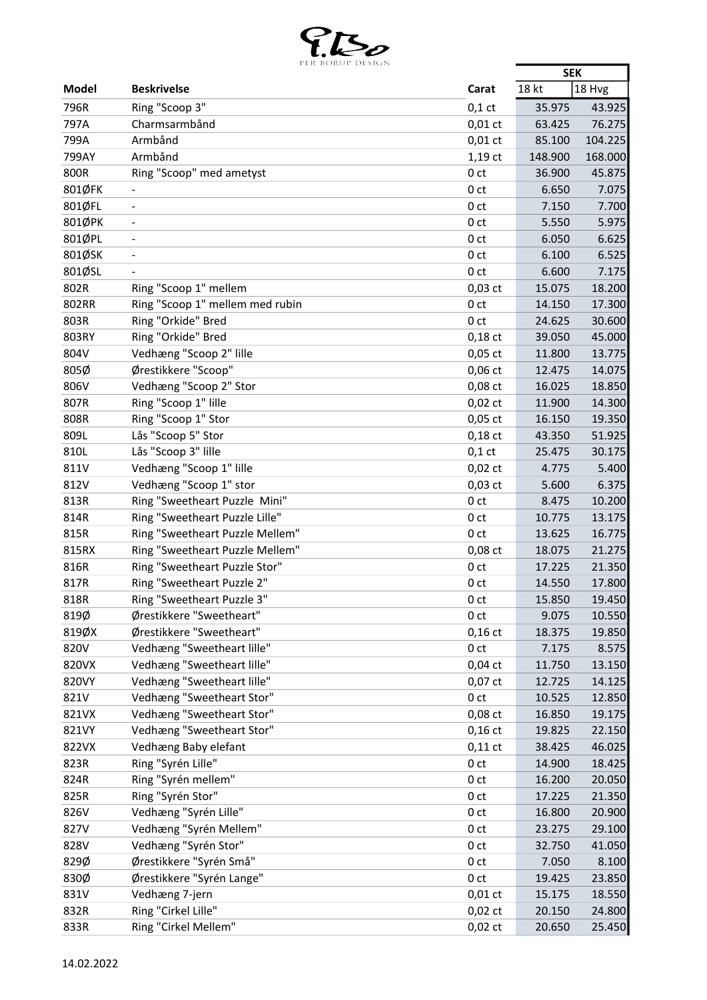

|              | PER BURUP DESIGN                |                 | <b>SEK</b>       |          |
|--------------|---------------------------------|-----------------|------------------|----------|
| Model        | <b>Beskrivelse</b>              | Carat           | 18 kt            | $18$ Hvg |
| 796R         | Ring "Scoop 3"                  | $0,1$ ct        | 35.975           | 43.925   |
| 797A         | Charmsarmbånd                   | $0,01$ ct       | 63.425           | 76.275   |
| 799A         | Armbånd                         | $0,01$ ct       | 85.100           | 104.225  |
| 799AY        | Armbånd                         | $1,19$ ct       | 148.900          | 168.000  |
| 800R         | Ring "Scoop" med ametyst        | 0 <sub>ct</sub> | 36.900           | 45.875   |
| 801ØFK       |                                 | 0 ct            | 6.650            | 7.075    |
| 801ØFL       | $\blacksquare$                  | 0 <sub>ct</sub> | 7.150            | 7.700    |
| 801ØPK       | $\blacksquare$                  | 0 <sub>ct</sub> | 5.550            | 5.975    |
| 801ØPL       | $\blacksquare$                  | 0 <sub>ct</sub> | 6.050            | 6.625    |
| 801ØSK       |                                 | 0 <sub>ct</sub> | 6.100            | 6.525    |
| 801ØSL       |                                 | 0 ct            | 6.600            | 7.175    |
| 802R         | Ring "Scoop 1" mellem           | $0,03$ ct       | 15.075           | 18.200   |
| 802RR        | Ring "Scoop 1" mellem med rubin | 0 <sub>ct</sub> | 14.150           | 17.300   |
| 803R         | Ring "Orkide" Bred              | 0 <sub>ct</sub> | 24.625           | 30.600   |
| 803RY        | Ring "Orkide" Bred              | $0,18$ ct       | 39.050           | 45.000   |
| 804V         | Vedhæng "Scoop 2" lille         | $0,05$ ct       | 11.800           | 13.775   |
| 805Ø         | Ørestikkere "Scoop"             | $0,06$ ct       | 12.475           | 14.075   |
| 806V         | Vedhæng "Scoop 2" Stor          | $0,08$ ct       | 16.025           | 18.850   |
| 807R         | Ring "Scoop 1" lille            | $0,02$ ct       | 11.900           | 14.300   |
| 808R         | Ring "Scoop 1" Stor             | $0,05$ ct       | 16.150           | 19.350   |
| 809L         | Lås "Scoop 5" Stor              | $0,18$ ct       | 43.350           | 51.925   |
| 810L         | Lås "Scoop 3" lille             | $0,1$ ct        | 25.475           | 30.175   |
| 811V         | Vedhæng "Scoop 1" lille         | $0,02$ ct       | 4.775            | 5.400    |
| 812V         | Vedhæng "Scoop 1" stor          | $0,03$ ct       | 5.600            | 6.375    |
| 813R         | Ring "Sweetheart Puzzle Mini"   | 0 <sub>ct</sub> | 8.475            | 10.200   |
| 814R         | Ring "Sweetheart Puzzle Lille"  | 0 <sub>ct</sub> | 10.775           | 13.175   |
| 815R         | Ring "Sweetheart Puzzle Mellem" | 0 <sub>ct</sub> | 13.625           | 16.775   |
| 815RX        | Ring "Sweetheart Puzzle Mellem" | $0,08$ ct       | 18.075           | 21.275   |
| 816R         | Ring "Sweetheart Puzzle Stor"   | 0 <sub>ct</sub> | 17.225           | 21.350   |
| 817R         | Ring "Sweetheart Puzzle 2"      | 0 <sub>ct</sub> | 14.550           | 17.800   |
| 818R         | Ring "Sweetheart Puzzle 3"      | 0 ct            | 15.850           | 19.450   |
| 819Ø         | Ørestikkere "Sweetheart"        | 0 <sub>ct</sub> | 9.075            | 10.550   |
| 819ØX        | Ørestikkere "Sweetheart"        | $0,16$ ct       | 18.375           | 19.850   |
| 820V         | Vedhæng "Sweetheart lille"      | 0 <sub>ct</sub> | 7.175            | 8.575    |
| 820VX        | Vedhæng "Sweetheart lille"      | $0,04$ ct       | 11.750           | 13.150   |
| 820VY        | Vedhæng "Sweetheart lille"      | $0,07$ ct       | 12.725           | 14.125   |
| 821V         | Vedhæng "Sweetheart Stor"       | 0 <sub>ct</sub> | 10.525           | 12.850   |
| 821VX        | Vedhæng "Sweetheart Stor"       | $0,08$ ct       | 16.850           | 19.175   |
| 821VY        | Vedhæng "Sweetheart Stor"       | $0,16$ ct       | 19.825           | 22.150   |
| 822VX        | Vedhæng Baby elefant            | $0,11$ ct       | 38.425           | 46.025   |
|              | Ring "Syrén Lille"              | 0 <sub>ct</sub> |                  | 18.425   |
| 823R<br>824R | Ring "Syrén mellem"             | 0 <sub>ct</sub> | 14.900<br>16.200 | 20.050   |
|              |                                 |                 |                  |          |
| 825R         | Ring "Syrén Stor"               | 0 <sub>ct</sub> | 17.225           | 21.350   |
| 826V         | Vedhæng "Syrén Lille"           | 0 ct            | 16.800           | 20.900   |
| 827V         | Vedhæng "Syrén Mellem"          | 0 <sub>ct</sub> | 23.275           | 29.100   |
| 828V         | Vedhæng "Syrén Stor"            | 0 <sub>ct</sub> | 32.750           | 41.050   |
| 829Ø         | Ørestikkere "Syrén Små"         | 0 <sub>ct</sub> | 7.050            | 8.100    |
| 830Ø         | Ørestikkere "Syrén Lange"       | 0 <sub>ct</sub> | 19.425           | 23.850   |
| 831V         | Vedhæng 7-jern                  | $0,01$ ct       | 15.175           | 18.550   |
| 832R         | Ring "Cirkel Lille"             | $0,02$ ct       | 20.150           | 24.800   |
| 833R         | Ring "Cirkel Mellem"            | $0,02$ ct       | 20.650           | 25.450   |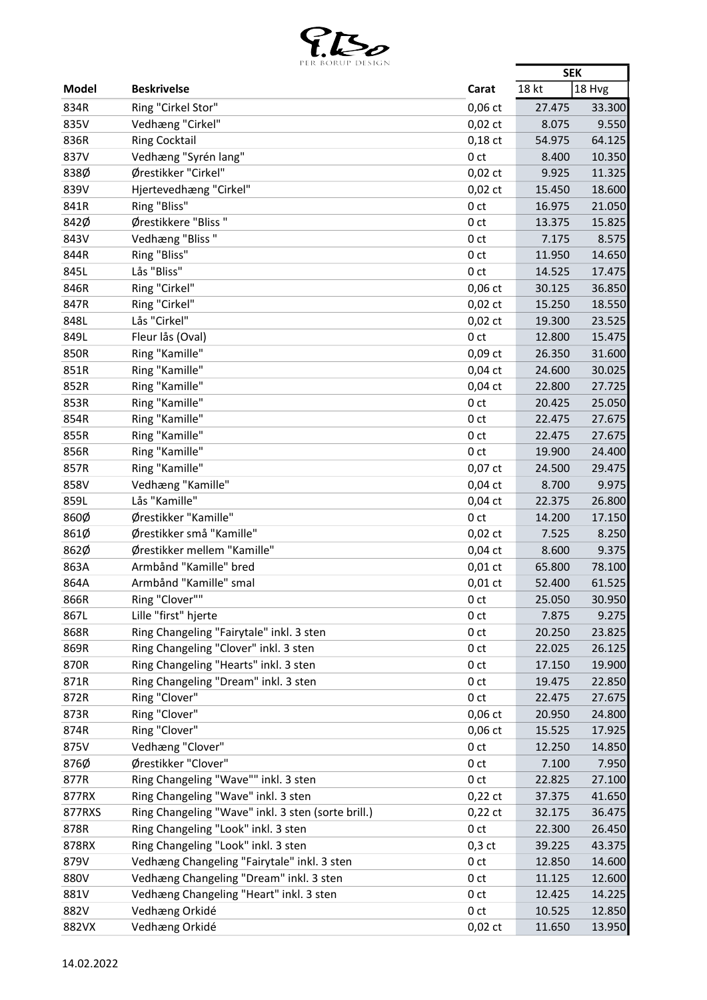

|        | PER BOROP DESIGN                                                                          |                 | <b>SEK</b> |          |
|--------|-------------------------------------------------------------------------------------------|-----------------|------------|----------|
| Model  | <b>Beskrivelse</b>                                                                        | Carat           | 18 kt      | $18$ Hvg |
| 834R   | Ring "Cirkel Stor"                                                                        | 0,06 ct         | 27.475     | 33.300   |
| 835V   | Vedhæng "Cirkel"                                                                          | $0,02$ ct       | 8.075      | 9.550    |
| 836R   | <b>Ring Cocktail</b>                                                                      | $0,18$ ct       | 54.975     | 64.125   |
| 837V   | Vedhæng "Syrén lang"                                                                      | 0 <sub>ct</sub> | 8.400      | 10.350   |
| 838Ø   | Ørestikker "Cirkel"                                                                       | $0,02$ ct       | 9.925      | 11.325   |
| 839V   | Hjertevedhæng "Cirkel"                                                                    | $0,02$ ct       | 15.450     | 18.600   |
| 841R   | Ring "Bliss"                                                                              | 0 <sub>ct</sub> | 16.975     | 21.050   |
| 842Ø   | Ørestikkere "Bliss"                                                                       | 0 ct            | 13.375     | 15.825   |
| 843V   | Vedhæng "Bliss"                                                                           | 0 <sub>ct</sub> | 7.175      | 8.575    |
| 844R   | Ring "Bliss"                                                                              | 0 <sub>ct</sub> | 11.950     | 14.650   |
| 845L   | Lås "Bliss"                                                                               | 0 ct            | 14.525     | 17.475   |
| 846R   | Ring "Cirkel"                                                                             | $0,06$ ct       | 30.125     | 36.850   |
| 847R   | Ring "Cirkel"                                                                             | $0,02$ ct       | 15.250     | 18.550   |
| 848L   | Lås "Cirkel"                                                                              | $0,02$ ct       | 19.300     | 23.525   |
| 849L   | Fleur lås (Oval)                                                                          | 0 <sub>ct</sub> | 12.800     | 15.475   |
| 850R   | Ring "Kamille"                                                                            | $0,09$ ct       | 26.350     | 31.600   |
| 851R   | Ring "Kamille"                                                                            | $0,04$ ct       | 24.600     | 30.025   |
| 852R   | Ring "Kamille"                                                                            | $0,04$ ct       | 22.800     | 27.725   |
| 853R   | Ring "Kamille"                                                                            | 0 <sub>ct</sub> | 20.425     | 25.050   |
| 854R   | Ring "Kamille"                                                                            | 0 <sub>ct</sub> | 22.475     | 27.675   |
| 855R   | Ring "Kamille"                                                                            | 0 <sub>ct</sub> | 22.475     | 27.675   |
| 856R   | Ring "Kamille"                                                                            | 0 <sub>ct</sub> | 19.900     | 24.400   |
| 857R   | Ring "Kamille"                                                                            | $0,07$ ct       | 24.500     | 29.475   |
| 858V   | Vedhæng "Kamille"                                                                         | $0,04$ ct       | 8.700      | 9.975    |
| 859L   | Lås "Kamille"                                                                             | $0,04$ ct       | 22.375     | 26.800   |
| 860Ø   | Ørestikker "Kamille"                                                                      | 0 <sub>ct</sub> | 14.200     | 17.150   |
| 861Ø   | Ørestikker små "Kamille"                                                                  | $0,02$ ct       | 7.525      | 8.250    |
| 862Ø   | Ørestikker mellem "Kamille"                                                               | $0,04$ ct       | 8.600      | 9.375    |
| 863A   | Armbånd "Kamille" bred                                                                    | $0,01$ ct       | 65.800     | 78.100   |
| 864A   | Armbånd "Kamille" smal                                                                    | $0,01$ ct       | 52.400     | 61.525   |
| 866R   | Ring "Clover""                                                                            | 0 ct            | 25.050     | 30.950   |
| 867L   | Lille "first" hjerte                                                                      | 0 ct            | 7.875      | 9.275    |
| 868R   | Ring Changeling "Fairytale" inkl. 3 sten                                                  | 0 ct            | 20.250     | 23.825   |
| 869R   | Ring Changeling "Clover" inkl. 3 sten                                                     | 0 ct            | 22.025     | 26.125   |
| 870R   | Ring Changeling "Hearts" inkl. 3 sten                                                     | 0 <sub>ct</sub> | 17.150     | 19.900   |
| 871R   | Ring Changeling "Dream" inkl. 3 sten                                                      | 0 <sub>ct</sub> | 19.475     | 22.850   |
| 872R   | Ring "Clover"                                                                             | 0 ct            | 22.475     | 27.675   |
| 873R   | Ring "Clover"                                                                             | $0,06$ ct       | 20.950     | 24.800   |
| 874R   | Ring "Clover"                                                                             | $0,06$ ct       | 15.525     | 17.925   |
| 875V   | Vedhæng "Clover"                                                                          | 0 ct            | 12.250     | 14.850   |
| 876Ø   | Ørestikker "Clover"                                                                       | 0 <sub>ct</sub> | 7.100      | 7.950    |
| 877R   | Ring Changeling "Wave"" inkl. 3 sten                                                      | 0 <sub>ct</sub> | 22.825     | 27.100   |
| 877RX  |                                                                                           |                 |            |          |
| 877RXS | Ring Changeling "Wave" inkl. 3 sten                                                       | $0,22$ ct       | 37.375     | 41.650   |
| 878R   | Ring Changeling "Wave" inkl. 3 sten (sorte brill.)<br>Ring Changeling "Look" inkl. 3 sten | $0,22$ ct       | 32.175     | 36.475   |
|        |                                                                                           | 0 <sub>ct</sub> | 22.300     | 26.450   |
| 878RX  | Ring Changeling "Look" inkl. 3 sten                                                       | $0,3$ ct        | 39.225     | 43.375   |
| 879V   | Vedhæng Changeling "Fairytale" inkl. 3 sten                                               | 0 <sub>ct</sub> | 12.850     | 14.600   |
| 880V   | Vedhæng Changeling "Dream" inkl. 3 sten                                                   | 0 <sub>ct</sub> | 11.125     | 12.600   |
| 881V   | Vedhæng Changeling "Heart" inkl. 3 sten                                                   | 0 <sub>ct</sub> | 12.425     | 14.225   |
| 882V   | Vedhæng Orkidé                                                                            | 0 ct            | 10.525     | 12.850   |
| 882VX  | Vedhæng Orkidé                                                                            | $0,02$ ct       | 11.650     | 13.950   |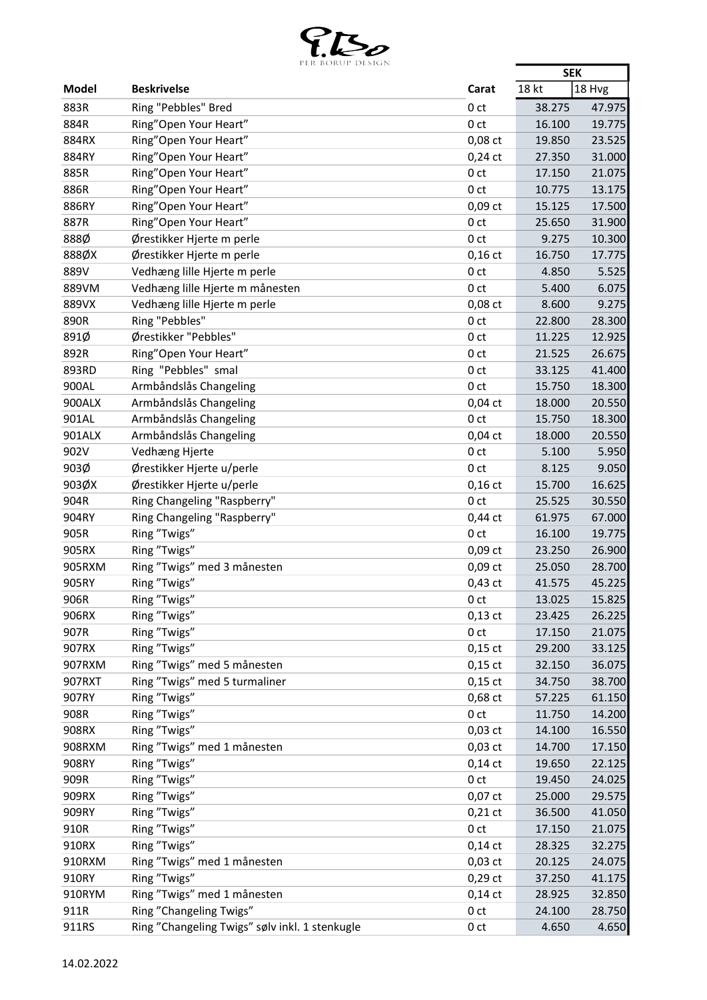

|              | PER BURUP DESIGN                               |                              | <b>SEK</b>       |        |
|--------------|------------------------------------------------|------------------------------|------------------|--------|
| <b>Model</b> | <b>Beskrivelse</b>                             | Carat                        | 18 kt            | 18 Hvg |
| 883R         | Ring "Pebbles" Bred                            | 0 <sub>ct</sub>              | 38.275           | 47.975 |
| 884R         | Ring"Open Your Heart"                          | 0 <sub>ct</sub>              | 16.100           | 19.775 |
| 884RX        | Ring"Open Your Heart"                          | 0,08 ct                      | 19.850           | 23.525 |
| 884RY        | Ring"Open Your Heart"                          | $0,24$ ct                    | 27.350           | 31.000 |
| 885R         | Ring"Open Your Heart"                          | 0 <sub>ct</sub>              | 17.150           | 21.075 |
| 886R         | Ring"Open Your Heart"                          | 0 <sub>ct</sub>              | 10.775           | 13.175 |
| 886RY        | Ring"Open Your Heart"                          | 0,09 ct                      | 15.125           | 17.500 |
| 887R         | Ring"Open Your Heart"                          | 0 <sub>ct</sub>              | 25.650           | 31.900 |
| 888Ø         | Ørestikker Hjerte m perle                      | 0 <sub>ct</sub>              | 9.275            | 10.300 |
| 888ØX        | Ørestikker Hjerte m perle                      | $0,16$ ct                    | 16.750           | 17.775 |
| 889V         | Vedhæng lille Hjerte m perle                   | 0 <sub>ct</sub>              | 4.850            | 5.525  |
| 889VM        | Vedhæng lille Hjerte m månesten                | 0 <sub>ct</sub>              | 5.400            | 6.075  |
| 889VX        | Vedhæng lille Hjerte m perle                   | 0,08 ct                      | 8.600            | 9.275  |
| 890R         | Ring "Pebbles"                                 | 0 <sub>ct</sub>              | 22.800           | 28.300 |
| 891Ø         | Ørestikker "Pebbles"                           | 0 <sub>ct</sub>              | 11.225           | 12.925 |
| 892R         | Ring"Open Your Heart"                          | 0 <sub>ct</sub>              | 21.525           | 26.675 |
| 893RD        | Ring "Pebbles" smal                            | 0 <sub>ct</sub>              | 33.125           | 41.400 |
| 900AL        | Armbåndslås Changeling                         | 0 <sub>ct</sub>              | 15.750           | 18.300 |
| 900ALX       | Armbåndslås Changeling                         | $0,04$ ct                    | 18.000           | 20.550 |
| 901AL        | Armbåndslås Changeling                         | 0 <sub>ct</sub>              | 15.750           | 18.300 |
| 901ALX       | Armbåndslås Changeling                         | $0,04$ ct                    | 18.000           | 20.550 |
| 902V         | Vedhæng Hjerte                                 | 0 <sub>ct</sub>              | 5.100            | 5.950  |
| 903Ø         | Ørestikker Hjerte u/perle                      | 0 <sub>ct</sub>              | 8.125            | 9.050  |
| 903ØX        | Ørestikker Hjerte u/perle                      | $0,16$ ct                    | 15.700           | 16.625 |
| 904R         | Ring Changeling "Raspberry"                    | 0 <sub>ct</sub>              | 25.525           | 30.550 |
| 904RY        | Ring Changeling "Raspberry"                    | $0,44$ ct                    | 61.975           | 67.000 |
| 905R         | Ring "Twigs"                                   | 0 <sub>ct</sub>              | 16.100           | 19.775 |
| 905RX        | Ring "Twigs"                                   | $0,09$ ct                    | 23.250           | 26.900 |
| 905RXM       | Ring "Twigs" med 3 månesten                    | 0,09 ct                      | 25.050           | 28.700 |
| 905RY        | Ring "Twigs"                                   | $0,43$ ct                    | 41.575           | 45.225 |
| 906R         | Ring "Twigs"                                   | 0 ct                         | 13.025           | 15.825 |
| 906RX        | Ring "Twigs"                                   | $0,13$ ct                    | 23.425           | 26.225 |
| 907R         | Ring "Twigs"                                   | 0 <sub>ct</sub>              | 17.150           | 21.075 |
| 907RX        | Ring "Twigs"                                   | $0,15$ ct                    | 29.200           | 33.125 |
| 907RXM       | Ring "Twigs" med 5 månesten                    | $0,15$ ct                    | 32.150           | 36.075 |
| 907RXT       | Ring "Twigs" med 5 turmaliner                  | $0,15$ ct                    | 34.750           | 38.700 |
| 907RY        | Ring "Twigs"                                   | 0,68 ct                      | 57.225           | 61.150 |
| 908R         | Ring "Twigs"                                   | 0 <sub>ct</sub>              | 11.750           | 14.200 |
| 908RX        | Ring "Twigs"                                   | $0,03$ ct                    | 14.100           | 16.550 |
| 908RXM       | Ring "Twigs" med 1 månesten                    |                              | 14.700           | 17.150 |
| 908RY        | Ring "Twigs"                                   | $0,03$ ct                    |                  | 22.125 |
| 909R         | Ring "Twigs"                                   | $0,14$ ct<br>0 <sub>ct</sub> | 19.650<br>19.450 | 24.025 |
| 909RX        | Ring "Twigs"                                   |                              |                  |        |
|              |                                                | $0,07$ ct                    | 25.000           | 29.575 |
| 909RY        | Ring "Twigs"                                   | $0,21$ ct                    | 36.500           | 41.050 |
| 910R         | Ring "Twigs"                                   | 0 <sub>ct</sub>              | 17.150           | 21.075 |
| 910RX        | Ring "Twigs"                                   | $0,14$ ct                    | 28.325           | 32.275 |
| 910RXM       | Ring "Twigs" med 1 månesten                    | $0,03$ ct                    | 20.125           | 24.075 |
| 910RY        | Ring "Twigs"                                   | $0,29$ ct                    | 37.250           | 41.175 |
| 910RYM       | Ring "Twigs" med 1 månesten                    | $0,14$ ct                    | 28.925           | 32.850 |
| 911R         | Ring "Changeling Twigs"                        | 0 <sub>ct</sub>              | 24.100           | 28.750 |
| 911RS        | Ring "Changeling Twigs" sølv inkl. 1 stenkugle | 0 <sub>ct</sub>              | 4.650            | 4.650  |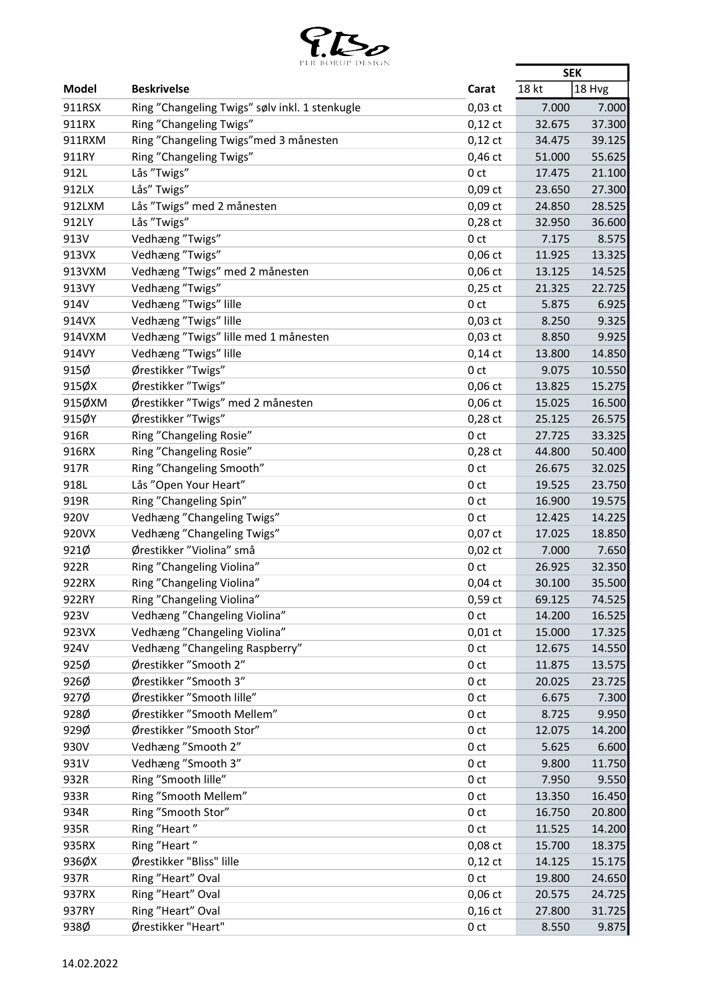

|              | PER BORUP DESIGN                               |                 | <b>SEK</b> |        |
|--------------|------------------------------------------------|-----------------|------------|--------|
| <b>Model</b> | <b>Beskrivelse</b>                             | Carat           | 18 kt      | 18 Hvg |
| 911RSX       | Ring "Changeling Twigs" sølv inkl. 1 stenkugle | $0,03$ ct       | 7.000      | 7.000  |
| 911RX        | Ring "Changeling Twigs"                        | $0,12$ ct       | 32.675     | 37.300 |
| 911RXM       | Ring "Changeling Twigs" med 3 månesten         | $0,12$ ct       | 34.475     | 39.125 |
| 911RY        | Ring "Changeling Twigs"                        | $0,46$ ct       | 51.000     | 55.625 |
| 912L         | Lås "Twigs"                                    | 0 <sub>ct</sub> | 17.475     | 21.100 |
| 912LX        | Lås" Twigs"                                    | $0,09$ ct       | 23.650     | 27.300 |
| 912LXM       | Lås "Twigs" med 2 månesten                     | $0,09$ ct       | 24.850     | 28.525 |
| 912LY        | Lås "Twigs"                                    | $0,28$ ct       | 32.950     | 36.600 |
| 913V         | Vedhæng "Twigs"                                | 0 <sub>ct</sub> | 7.175      | 8.575  |
| 913VX        | Vedhæng "Twigs"                                | $0,06$ ct       | 11.925     | 13.325 |
| 913VXM       | Vedhæng "Twigs" med 2 månesten                 | $0,06$ ct       | 13.125     | 14.525 |
| 913VY        | Vedhæng "Twigs"                                | $0,25$ ct       | 21.325     | 22.725 |
| 914V         | Vedhæng "Twigs" lille                          | 0 <sub>ct</sub> | 5.875      | 6.925  |
| 914VX        | Vedhæng "Twigs" lille                          | $0,03$ ct       | 8.250      | 9.325  |
| 914VXM       | Vedhæng "Twigs" lille med 1 månesten           | $0,03$ ct       | 8.850      | 9.925  |
| 914VY        | Vedhæng "Twigs" lille                          | $0,14$ ct       | 13.800     | 14.850 |
| 915Ø         | Ørestikker "Twigs"                             | 0 <sub>ct</sub> | 9.075      | 10.550 |
| 915ØX        | Ørestikker "Twigs"                             | $0,06$ ct       | 13.825     | 15.275 |
| 915ØXM       | Ørestikker "Twigs" med 2 månesten              | $0,06$ ct       | 15.025     | 16.500 |
| 915ØY        | Ørestikker "Twigs"                             | $0,28$ ct       | 25.125     | 26.575 |
| 916R         |                                                |                 |            |        |
|              | Ring "Changeling Rosie"                        | 0 <sub>ct</sub> | 27.725     | 33.325 |
| 916RX        | Ring "Changeling Rosie"                        | $0,28$ ct       | 44.800     | 50.400 |
| 917R         | Ring "Changeling Smooth"                       | 0 <sub>ct</sub> | 26.675     | 32.025 |
| 918L         | Lås "Open Your Heart"                          | 0 <sub>ct</sub> | 19.525     | 23.750 |
| 919R         | Ring "Changeling Spin"                         | 0 <sub>ct</sub> | 16.900     | 19.575 |
| 920V         | Vedhæng "Changeling Twigs"                     | 0 <sub>ct</sub> | 12.425     | 14.225 |
| 920VX        | Vedhæng "Changeling Twigs"                     | $0,07$ ct       | 17.025     | 18.850 |
| 921Ø         | Ørestikker "Violina" små                       | $0,02$ ct       | 7.000      | 7.650  |
| 922R         | Ring "Changeling Violina"                      | 0 <sub>ct</sub> | 26.925     | 32.350 |
| 922RX        | Ring "Changeling Violina"                      | $0,04$ ct       | 30.100     | 35.500 |
| 922RY        | Ring "Changeling Violina"                      | $0,59$ ct       | 69.125     | 74.525 |
| 923V         | Vedhæng "Changeling Violina"                   | 0 <sub>ct</sub> | 14.200     | 16.525 |
| 923VX        | Vedhæng "Changeling Violina"                   | $0,01$ ct       | 15.000     | 17.325 |
| 924V         | Vedhæng "Changeling Raspberry"                 | 0 ct            | 12.675     | 14.550 |
| 925Ø         | Ørestikker "Smooth 2"                          | 0 <sub>ct</sub> | 11.875     | 13.575 |
| 926Ø         | Ørestikker "Smooth 3"                          | 0 <sub>ct</sub> | 20.025     | 23.725 |
| 927Ø         | Ørestikker "Smooth lille"                      | 0 ct            | 6.675      | 7.300  |
| 928Ø         | Ørestikker "Smooth Mellem"                     | 0 ct            | 8.725      | 9.950  |
| 929Ø         | Ørestikker "Smooth Stor"                       | 0 ct            | 12.075     | 14.200 |
| 930V         | Vedhæng "Smooth 2"                             | 0 <sub>ct</sub> | 5.625      | 6.600  |
| 931V         | Vedhæng "Smooth 3"                             | 0 ct            | 9.800      | 11.750 |
| 932R         | Ring "Smooth lille"                            | 0 ct            | 7.950      | 9.550  |
| 933R         | Ring "Smooth Mellem"                           | 0 <sub>ct</sub> | 13.350     | 16.450 |
| 934R         | Ring "Smooth Stor"                             | 0 ct            | 16.750     | 20.800 |
| 935R         | Ring "Heart"                                   | 0 ct            | 11.525     | 14.200 |
| 935RX        | Ring "Heart"                                   | 0,08 ct         | 15.700     | 18.375 |
| 936ØX        | Ørestikker "Bliss" lille                       | $0,12$ ct       | 14.125     | 15.175 |
| 937R         | Ring "Heart" Oval                              | 0 <sub>ct</sub> | 19.800     | 24.650 |
| 937RX        | Ring "Heart" Oval                              | $0,06$ ct       | 20.575     | 24.725 |
| 937RY        | Ring "Heart" Oval                              | $0,16$ ct       | 27.800     | 31.725 |
| 938Ø         | Ørestikker "Heart"                             | 0 <sub>ct</sub> | 8.550      | 9.875  |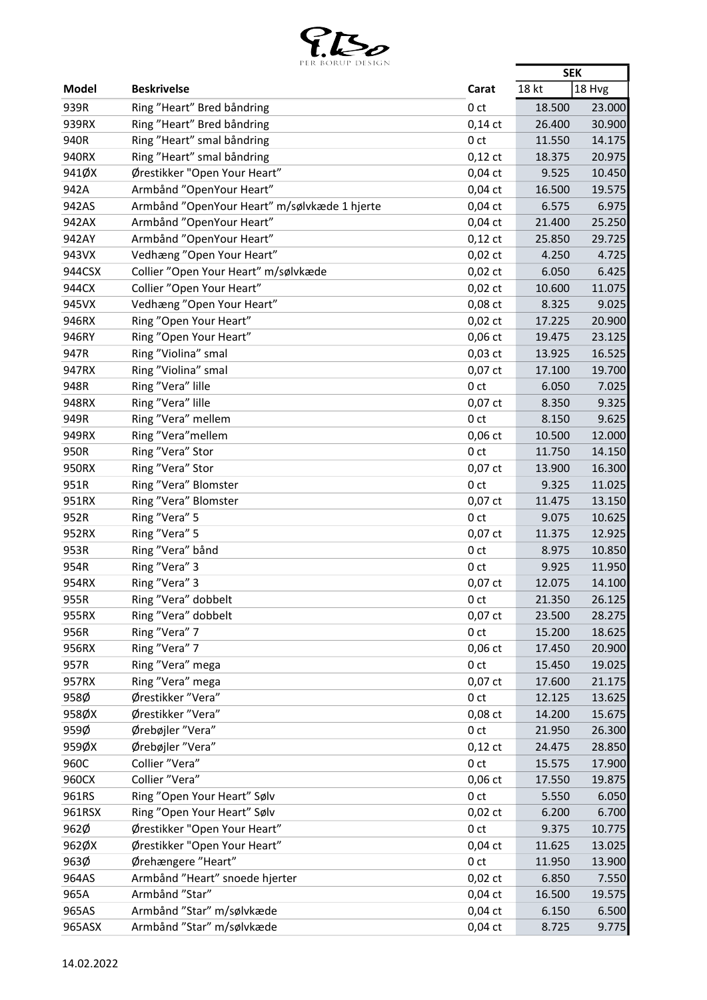

|               | PER BORUP DESIGN                                   |                 | <b>SEK</b> |        |
|---------------|----------------------------------------------------|-----------------|------------|--------|
| Model         | <b>Beskrivelse</b>                                 | Carat           | 18 kt      | 18 Hvg |
| 939R          | Ring "Heart" Bred båndring                         | 0 <sub>ct</sub> | 18.500     | 23.000 |
| 939RX         | Ring "Heart" Bred båndring                         | $0,14$ ct       | 26.400     | 30.900 |
| 940R          | Ring "Heart" smal båndring                         | 0 <sub>ct</sub> | 11.550     | 14.175 |
| 940RX         | Ring "Heart" smal båndring                         | $0,12$ ct       | 18.375     | 20.975 |
| 941ØX         | Ørestikker "Open Your Heart"                       | $0,04$ ct       | 9.525      | 10.450 |
| 942A          | Armbånd "OpenYour Heart"                           | $0,04$ ct       | 16.500     | 19.575 |
| 942AS         | Armbånd "OpenYour Heart" m/sølvkæde 1 hjerte       | $0,04$ ct       | 6.575      | 6.975  |
| 942AX         | Armbånd "OpenYour Heart"                           | $0,04$ ct       | 21.400     | 25.250 |
| 942AY         | Armbånd "OpenYour Heart"                           | $0,12$ ct       | 25.850     | 29.725 |
| 943VX         | Vedhæng "Open Your Heart"                          | $0,02$ ct       | 4.250      | 4.725  |
| 944CSX        | Collier "Open Your Heart" m/sølvkæde               | $0,02$ ct       | 6.050      | 6.425  |
| 944CX         | Collier "Open Your Heart"                          | $0,02$ ct       | 10.600     | 11.075 |
| 945VX         | Vedhæng "Open Your Heart"                          | 0,08 ct         | 8.325      | 9.025  |
| 946RX         | Ring "Open Your Heart"                             | $0,02$ ct       | 17.225     | 20.900 |
| 946RY         | Ring "Open Your Heart"                             | $0,06$ ct       | 19.475     | 23.125 |
| 947R          | Ring "Violina" smal                                | $0,03$ ct       | 13.925     | 16.525 |
| 947RX         | Ring "Violina" smal                                | 0,07 ct         | 17.100     | 19.700 |
| 948R          | Ring "Vera" lille                                  | 0 <sub>ct</sub> | 6.050      | 7.025  |
| 948RX         | Ring "Vera" lille                                  | $0,07$ ct       | 8.350      | 9.325  |
| 949R          | Ring "Vera" mellem                                 | 0 <sub>ct</sub> | 8.150      | 9.625  |
| 949RX         | Ring "Vera" mellem                                 | $0,06$ ct       | 10.500     | 12.000 |
| 950R          | Ring "Vera" Stor                                   | 0 <sub>ct</sub> | 11.750     | 14.150 |
| 950RX         | Ring "Vera" Stor                                   | 0,07 ct         | 13.900     | 16.300 |
| 951R          | Ring "Vera" Blomster                               | 0 <sub>ct</sub> | 9.325      | 11.025 |
| 951RX         | Ring "Vera" Blomster                               | $0,07$ ct       | 11.475     | 13.150 |
| 952R          | Ring "Vera" 5                                      | 0 <sub>ct</sub> | 9.075      | 10.625 |
| 952RX         | Ring "Vera" 5                                      | $0,07$ ct       | 11.375     | 12.925 |
| 953R          | Ring "Vera" bånd                                   | 0 <sub>ct</sub> | 8.975      | 10.850 |
| 954R          | Ring "Vera" 3                                      | 0 <sub>ct</sub> | 9.925      | 11.950 |
| 954RX         | Ring "Vera" 3                                      | 0,07 ct         | 12.075     | 14.100 |
| 955R          | Ring "Vera" dobbelt                                | 0 <sub>ct</sub> | 21.350     | 26.125 |
| 955RX         | Ring "Vera" dobbelt                                | $0,07$ ct       | 23.500     | 28.275 |
| 956R          | Ring "Vera" 7                                      | 0 <sub>ct</sub> | 15.200     | 18.625 |
| 956RX         | Ring "Vera" 7                                      | $0,06$ ct       | 17.450     | 20.900 |
| 957R          | Ring "Vera" mega                                   | 0 <sub>ct</sub> | 15.450     | 19.025 |
| 957RX         | Ring "Vera" mega                                   | $0,07$ ct       | 17.600     | 21.175 |
| 958Ø          | Ørestikker "Vera"                                  | 0 <sub>ct</sub> | 12.125     | 13.625 |
| 958ØX         | Ørestikker "Vera"                                  | $0,08$ ct       | 14.200     | 15.675 |
| 959Ø          | Ørebøjler "Vera"                                   | 0 <sub>ct</sub> | 21.950     | 26.300 |
| 959ØX         | Ørebøjler "Vera"                                   | $0,12$ ct       | 24.475     | 28.850 |
| 960C          | Collier "Vera"                                     | 0 <sub>ct</sub> | 15.575     | 17.900 |
| 960CX         | Collier "Vera"                                     | $0,06$ ct       | 17.550     | 19.875 |
| 961RS         | Ring "Open Your Heart" Sølv                        | 0 <sub>ct</sub> | 5.550      | 6.050  |
| 961RSX        | Ring "Open Your Heart" Sølv                        |                 |            | 6.700  |
| 962Ø          | Ørestikker "Open Your Heart"                       | $0,02$ ct       | 6.200      |        |
|               |                                                    | 0 <sub>ct</sub> | 9.375      | 10.775 |
| 962ØX<br>963Ø | Ørestikker "Open Your Heart"<br>Ørehængere "Heart" | $0,04$ ct       | 11.625     | 13.025 |
|               |                                                    | 0 <sub>ct</sub> | 11.950     | 13.900 |
| 964AS         | Armbånd "Heart" snoede hjerter                     | $0,02$ ct       | 6.850      | 7.550  |
| 965A          | Armbånd "Star"                                     | $0,04$ ct       | 16.500     | 19.575 |
| 965AS         | Armbånd "Star" m/sølvkæde                          | $0,04$ ct       | 6.150      | 6.500  |
| 965ASX        | Armbånd "Star" m/sølvkæde                          | $0,04$ ct       | 8.725      | 9.775  |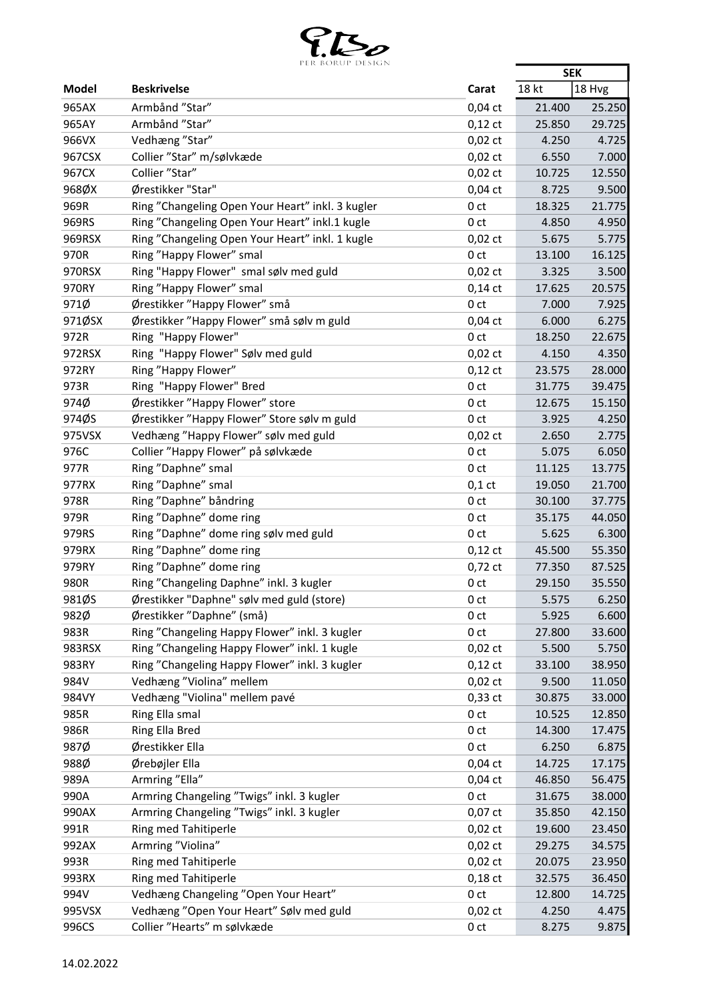

|              | FER BURUF DESIGN                                 |                 | <b>SEK</b> |        |
|--------------|--------------------------------------------------|-----------------|------------|--------|
| <b>Model</b> | <b>Beskrivelse</b>                               | Carat           | 18 kt      | 18 Hvg |
| 965AX        | Armbånd "Star"                                   | $0,04$ ct       | 21.400     | 25.250 |
| 965AY        | Armbånd "Star"                                   | $0,12$ ct       | 25.850     | 29.725 |
| 966VX        | Vedhæng "Star"                                   | $0,02$ ct       | 4.250      | 4.725  |
| 967CSX       | Collier "Star" m/sølvkæde                        | $0,02$ ct       | 6.550      | 7.000  |
| 967CX        | Collier "Star"                                   | $0,02$ ct       | 10.725     | 12.550 |
| 968ØX        | Ørestikker "Star"                                | $0,04$ ct       | 8.725      | 9.500  |
| 969R         | Ring "Changeling Open Your Heart" inkl. 3 kugler | 0 <sub>ct</sub> | 18.325     | 21.775 |
| 969RS        | Ring "Changeling Open Your Heart" inkl.1 kugle   | 0 <sub>ct</sub> | 4.850      | 4.950  |
| 969RSX       | Ring "Changeling Open Your Heart" inkl. 1 kugle  | $0,02$ ct       | 5.675      | 5.775  |
| 970R         | Ring "Happy Flower" smal                         | 0 <sub>ct</sub> | 13.100     | 16.125 |
| 970RSX       | Ring "Happy Flower" smal sølv med guld           | $0,02$ ct       | 3.325      | 3.500  |
| 970RY        | Ring "Happy Flower" smal                         | $0,14$ ct       | 17.625     | 20.575 |
| 971Ø         | Ørestikker "Happy Flower" små                    | 0 <sub>ct</sub> | 7.000      | 7.925  |
| 971ØSX       | Ørestikker "Happy Flower" små sølv m guld        | $0,04$ ct       | 6.000      | 6.275  |
| 972R         | Ring "Happy Flower"                              | 0 <sub>ct</sub> | 18.250     | 22.675 |
| 972RSX       | Ring "Happy Flower" Sølv med guld                | $0,02$ ct       | 4.150      | 4.350  |
| 972RY        | Ring "Happy Flower"                              | $0,12$ ct       | 23.575     | 28.000 |
|              |                                                  |                 |            |        |
| 973R         | Ring "Happy Flower" Bred                         | 0 <sub>ct</sub> | 31.775     | 39.475 |
| 974Ø         | Ørestikker "Happy Flower" store                  | 0 <sub>ct</sub> | 12.675     | 15.150 |
| 974ØS        | Ørestikker "Happy Flower" Store sølv m guld      | 0 <sub>ct</sub> | 3.925      | 4.250  |
| 975VSX       | Vedhæng "Happy Flower" sølv med guld             | $0,02$ ct       | 2.650      | 2.775  |
| 976C         | Collier "Happy Flower" på sølvkæde               | 0 <sub>ct</sub> | 5.075      | 6.050  |
| 977R         | Ring "Daphne" smal                               | 0 <sub>ct</sub> | 11.125     | 13.775 |
| 977RX        | Ring "Daphne" smal                               | $0,1$ ct        | 19.050     | 21.700 |
| 978R         | Ring "Daphne" båndring                           | 0 <sub>ct</sub> | 30.100     | 37.775 |
| 979R         | Ring "Daphne" dome ring                          | 0 <sub>ct</sub> | 35.175     | 44.050 |
| 979RS        | Ring "Daphne" dome ring sølv med guld            | 0 <sub>ct</sub> | 5.625      | 6.300  |
| 979RX        | Ring "Daphne" dome ring                          | $0,12$ ct       | 45.500     | 55.350 |
| 979RY        | Ring "Daphne" dome ring                          | $0,72$ ct       | 77.350     | 87.525 |
| 980R         | Ring "Changeling Daphne" inkl. 3 kugler          | 0 <sub>ct</sub> | 29.150     | 35.550 |
| 981ØS        | Ørestikker "Daphne" sølv med guld (store)        | 0 ct            | 5.575      | 6.250  |
| 982Ø         | Ørestikker "Daphne" (små)                        | 0 <sub>ct</sub> | 5.925      | 6.600  |
| 983R         | Ring "Changeling Happy Flower" inkl. 3 kugler    | 0 <sub>ct</sub> | 27.800     | 33.600 |
| 983RSX       | Ring "Changeling Happy Flower" inkl. 1 kugle     | $0,02$ ct       | 5.500      | 5.750  |
| 983RY        | Ring "Changeling Happy Flower" inkl. 3 kugler    | $0,12$ ct       | 33.100     | 38.950 |
| 984V         | Vedhæng "Violina" mellem                         | $0,02$ ct       | 9.500      | 11.050 |
| 984VY        | Vedhæng "Violina" mellem pavé                    | $0,33$ ct       | 30.875     | 33.000 |
| 985R         | Ring Ella smal                                   | 0 <sub>ct</sub> | 10.525     | 12.850 |
| 986R         | Ring Ella Bred                                   | 0 <sub>ct</sub> | 14.300     | 17.475 |
| 987Ø         | Ørestikker Ella                                  | 0 <sub>ct</sub> | 6.250      | 6.875  |
| 988Ø         | Ørebøjler Ella                                   | $0,04$ ct       | 14.725     | 17.175 |
| 989A         | Armring "Ella"                                   | $0,04$ ct       | 46.850     | 56.475 |
| 990A         | Armring Changeling "Twigs" inkl. 3 kugler        | 0 <sub>ct</sub> | 31.675     | 38.000 |
| 990AX        | Armring Changeling "Twigs" inkl. 3 kugler        | $0,07$ ct       | 35.850     | 42.150 |
| 991R         | Ring med Tahitiperle                             | $0,02$ ct       | 19.600     | 23.450 |
| 992AX        | Armring "Violina"                                | $0,02$ ct       | 29.275     | 34.575 |
| 993R         | Ring med Tahitiperle                             | $0,02$ ct       | 20.075     | 23.950 |
| 993RX        | Ring med Tahitiperle                             | $0,18$ ct       | 32.575     | 36.450 |
| 994V         | Vedhæng Changeling "Open Your Heart"             | 0 <sub>ct</sub> | 12.800     | 14.725 |
| 995VSX       | Vedhæng "Open Your Heart" Sølv med guld          | $0,02$ ct       | 4.250      | 4.475  |
| 996CS        | Collier "Hearts" m sølvkæde                      | 0 <sub>ct</sub> | 8.275      | 9.875  |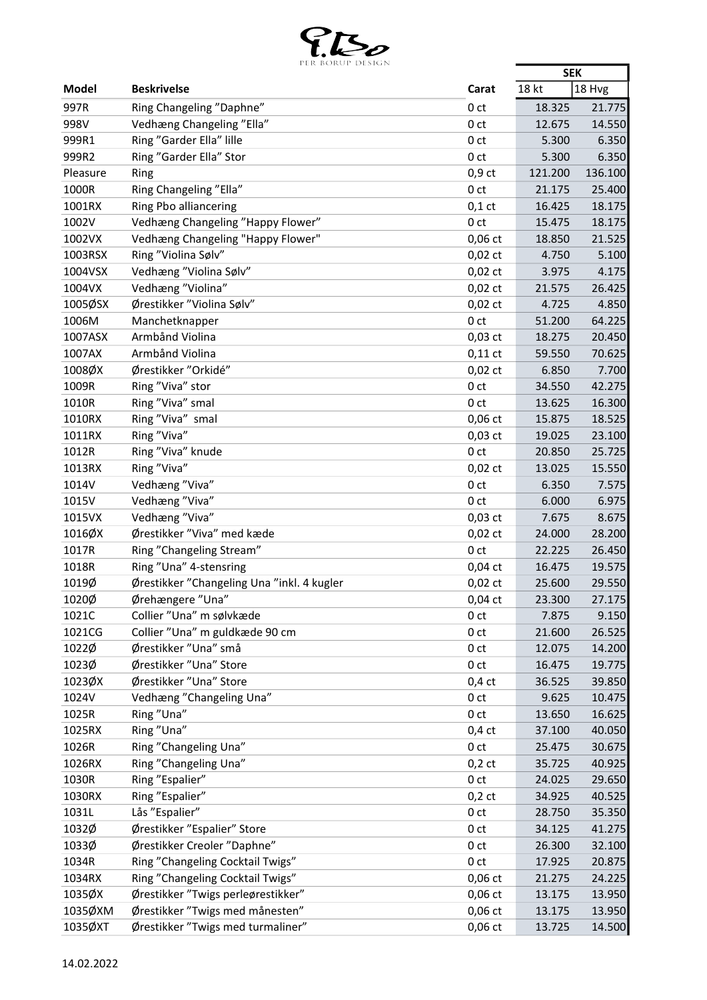

|          | PER BOROP DESIGN                           |                 | <b>SEK</b> |         |
|----------|--------------------------------------------|-----------------|------------|---------|
| Model    | <b>Beskrivelse</b>                         | Carat           | 18 kt      | 18 Hvg  |
| 997R     | Ring Changeling "Daphne"                   | 0 <sub>ct</sub> | 18.325     | 21.775  |
| 998V     | Vedhæng Changeling "Ella"                  | 0 <sub>ct</sub> | 12.675     | 14.550  |
| 999R1    | Ring "Garder Ella" lille                   | 0 <sub>ct</sub> | 5.300      | 6.350   |
| 999R2    | Ring "Garder Ella" Stor                    | 0 <sub>ct</sub> | 5.300      | 6.350   |
| Pleasure | Ring                                       | $0,9$ ct        | 121.200    | 136.100 |
| 1000R    | Ring Changeling "Ella"                     | 0 <sub>ct</sub> | 21.175     | 25.400  |
| 1001RX   | Ring Pbo alliancering                      | $0,1$ ct        | 16.425     | 18.175  |
| 1002V    | Vedhæng Changeling "Happy Flower"          | 0 <sub>ct</sub> | 15.475     | 18.175  |
| 1002VX   | Vedhæng Changeling "Happy Flower"          | $0,06$ ct       | 18.850     | 21.525  |
| 1003RSX  | Ring "Violina Sølv"                        | $0,02$ ct       | 4.750      | 5.100   |
| 1004VSX  | Vedhæng "Violina Sølv"                     | $0,02$ ct       | 3.975      | 4.175   |
| 1004VX   | Vedhæng "Violina"                          | $0,02$ ct       | 21.575     | 26.425  |
| 1005ØSX  | Ørestikker "Violina Sølv"                  | $0,02$ ct       | 4.725      | 4.850   |
| 1006M    | Manchetknapper                             | 0 <sub>ct</sub> | 51.200     | 64.225  |
| 1007ASX  | Armbånd Violina                            | $0,03$ ct       | 18.275     | 20.450  |
| 1007AX   | Armbånd Violina                            | $0,11$ ct       | 59.550     | 70.625  |
| 1008ØX   | Ørestikker "Orkidé"                        | $0,02$ ct       | 6.850      | 7.700   |
| 1009R    | Ring "Viva" stor                           | 0 <sub>ct</sub> | 34.550     | 42.275  |
| 1010R    | Ring "Viva" smal                           | 0 <sub>ct</sub> | 13.625     | 16.300  |
| 1010RX   | Ring "Viva" smal                           | $0,06$ ct       | 15.875     | 18.525  |
| 1011RX   | Ring "Viva"                                | $0,03$ ct       | 19.025     | 23.100  |
| 1012R    | Ring "Viva" knude                          | 0 <sub>ct</sub> | 20.850     | 25.725  |
| 1013RX   | Ring "Viva"                                | $0,02$ ct       | 13.025     | 15.550  |
| 1014V    | Vedhæng "Viva"                             | 0 <sub>ct</sub> | 6.350      | 7.575   |
| 1015V    | Vedhæng "Viva"                             | 0 <sub>ct</sub> | 6.000      | 6.975   |
| 1015VX   | Vedhæng "Viva"                             | $0,03$ ct       | 7.675      | 8.675   |
| 1016ØX   | Ørestikker "Viva" med kæde                 | $0,02$ ct       | 24.000     | 28.200  |
| 1017R    | Ring "Changeling Stream"                   | 0 <sub>ct</sub> | 22.225     | 26.450  |
| 1018R    | Ring "Una" 4-stensring                     | $0,04$ ct       | 16.475     | 19.575  |
| 1019Ø    | Ørestikker "Changeling Una "inkl. 4 kugler | $0,02$ ct       | 25.600     | 29.550  |
| 1020Ø    | Ørehængere "Una"                           | 0,04 ct         | 23.300     | 27.175  |
| 1021C    | Collier "Una" m sølvkæde                   | 0 <sub>ct</sub> | 7.875      | 9.150   |
| 1021CG   | Collier "Una" m guldkæde 90 cm             | 0 <sub>ct</sub> | 21.600     | 26.525  |
| 1022Ø    | Ørestikker "Una" små                       | 0 ct            | 12.075     | 14.200  |
| 1023Ø    | Ørestikker "Una" Store                     | 0 <sub>ct</sub> | 16.475     | 19.775  |
| 1023ØX   | Ørestikker "Una" Store                     | $0,4$ ct        | 36.525     | 39.850  |
| 1024V    | Vedhæng "Changeling Una"                   | 0 <sub>ct</sub> | 9.625      | 10.475  |
| 1025R    | Ring "Una"                                 | 0 <sub>ct</sub> | 13.650     | 16.625  |
| 1025RX   | Ring "Una"                                 | $0,4$ ct        | 37.100     | 40.050  |
| 1026R    | Ring "Changeling Una"                      | 0 <sub>ct</sub> | 25.475     | 30.675  |
| 1026RX   | Ring "Changeling Una"                      | $0,2$ ct        | 35.725     | 40.925  |
| 1030R    | Ring "Espalier"                            | 0 <sub>ct</sub> | 24.025     | 29.650  |
| 1030RX   | Ring "Espalier"                            | $0,2$ ct        | 34.925     | 40.525  |
| 1031L    | Lås "Espalier"                             | 0 <sub>ct</sub> | 28.750     | 35.350  |
| 1032Ø    | Ørestikker "Espalier" Store                | 0 <sub>ct</sub> | 34.125     | 41.275  |
| 1033Ø    | Ørestikker Creoler "Daphne"                | 0 <sub>ct</sub> | 26.300     | 32.100  |
| 1034R    | Ring "Changeling Cocktail Twigs"           | 0 <sub>ct</sub> | 17.925     | 20.875  |
| 1034RX   | Ring "Changeling Cocktail Twigs"           | $0,06$ ct       | 21.275     | 24.225  |
| 1035ØX   | Ørestikker "Twigs perleørestikker"         | $0,06$ ct       | 13.175     | 13.950  |
| 1035ØXM  | Ørestikker "Twigs med månesten"            | $0,06$ ct       | 13.175     | 13.950  |
|          |                                            |                 |            |         |
| 1035ØXT  | Ørestikker "Twigs med turmaliner"          | 0,06 ct         | 13.725     | 14.500  |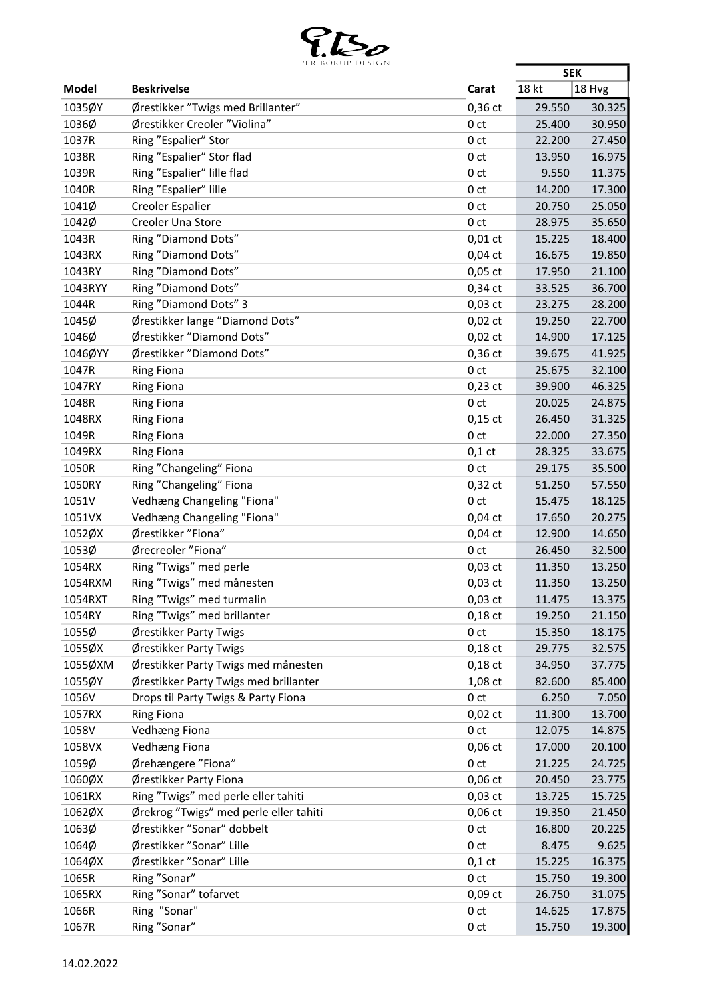

|              | PER BORUP DESIGN                       |                 | <b>SEK</b> |        |
|--------------|----------------------------------------|-----------------|------------|--------|
| <b>Model</b> | <b>Beskrivelse</b>                     | Carat           | 18 kt      | 18 Hvg |
| 1035ØY       | Ørestikker "Twigs med Brillanter"      | $0,36$ ct       | 29.550     | 30.325 |
| 1036Ø        | Ørestikker Creoler "Violina"           | 0 <sub>ct</sub> | 25.400     | 30.950 |
| 1037R        | Ring "Espalier" Stor                   | 0 <sub>ct</sub> | 22.200     | 27.450 |
| 1038R        | Ring "Espalier" Stor flad              | 0 ct            | 13.950     | 16.975 |
| 1039R        | Ring "Espalier" lille flad             | 0 <sub>ct</sub> | 9.550      | 11.375 |
| 1040R        | Ring "Espalier" lille                  | 0 <sub>ct</sub> | 14.200     | 17.300 |
| 1041Ø        | <b>Creoler Espalier</b>                | 0 <sub>ct</sub> | 20.750     | 25.050 |
| 1042Ø        | Creoler Una Store                      | 0 <sub>ct</sub> | 28.975     | 35.650 |
| 1043R        | Ring "Diamond Dots"                    | $0,01$ ct       | 15.225     | 18.400 |
| 1043RX       | Ring "Diamond Dots"                    | $0,04$ ct       | 16.675     | 19.850 |
| 1043RY       | Ring "Diamond Dots"                    | $0,05$ ct       | 17.950     | 21.100 |
| 1043RYY      | Ring "Diamond Dots"                    | $0,34$ ct       | 33.525     | 36.700 |
| 1044R        | Ring "Diamond Dots" 3                  | $0,03$ ct       | 23.275     | 28.200 |
| 1045Ø        | Ørestikker lange "Diamond Dots"        | $0,02$ ct       | 19.250     | 22.700 |
| 1046Ø        | Ørestikker "Diamond Dots"              | $0,02$ ct       | 14.900     | 17.125 |
| 1046ØYY      | Ørestikker "Diamond Dots"              | $0,36$ ct       | 39.675     | 41.925 |
| 1047R        | <b>Ring Fiona</b>                      | 0 <sub>ct</sub> | 25.675     | 32.100 |
| 1047RY       |                                        |                 | 39.900     |        |
|              | <b>Ring Fiona</b>                      | $0,23$ ct       |            | 46.325 |
| 1048R        | <b>Ring Fiona</b>                      | 0 <sub>ct</sub> | 20.025     | 24.875 |
| 1048RX       | <b>Ring Fiona</b>                      | $0,15$ ct       | 26.450     | 31.325 |
| 1049R        | <b>Ring Fiona</b>                      | 0 <sub>ct</sub> | 22.000     | 27.350 |
| 1049RX       | <b>Ring Fiona</b>                      | $0,1$ ct        | 28.325     | 33.675 |
| 1050R        | Ring "Changeling" Fiona                | 0 <sub>ct</sub> | 29.175     | 35.500 |
| 1050RY       | Ring "Changeling" Fiona                | $0,32$ ct       | 51.250     | 57.550 |
| 1051V        | Vedhæng Changeling "Fiona"             | 0 <sub>ct</sub> | 15.475     | 18.125 |
| 1051VX       | Vedhæng Changeling "Fiona"             | $0,04$ ct       | 17.650     | 20.275 |
| 1052ØX       | Ørestikker "Fiona"                     | $0,04$ ct       | 12.900     | 14.650 |
| 1053Ø        | Ørecreoler "Fiona"                     | 0 <sub>ct</sub> | 26.450     | 32.500 |
| 1054RX       | Ring "Twigs" med perle                 | $0,03$ ct       | 11.350     | 13.250 |
| 1054RXM      | Ring "Twigs" med månesten              | $0,03$ ct       | 11.350     | 13.250 |
| 1054RXT      | Ring "Twigs" med turmalin              | $0,03$ ct       | 11.475     | 13.375 |
| 1054RY       | Ring "Twigs" med brillanter            | $0,18$ ct       | 19.250     | 21.150 |
| 1055Ø        | Ørestikker Party Twigs                 | 0 <sub>ct</sub> | 15.350     | 18.175 |
| 1055ØX       | Ørestikker Party Twigs                 | $0,18$ ct       | 29.775     | 32.575 |
| 1055ØXM      | Ørestikker Party Twigs med månesten    | $0,18$ ct       | 34.950     | 37.775 |
| 1055ØY       | Ørestikker Party Twigs med brillanter  | 1,08 ct         | 82.600     | 85.400 |
| 1056V        | Drops til Party Twigs & Party Fiona    | 0 <sub>ct</sub> | 6.250      | 7.050  |
| 1057RX       | <b>Ring Fiona</b>                      | $0,02$ ct       | 11.300     | 13.700 |
| 1058V        | <b>Vedhæng Fiona</b>                   | 0 <sub>ct</sub> | 12.075     | 14.875 |
| 1058VX       | Vedhæng Fiona                          | $0,06$ ct       | 17.000     | 20.100 |
| 1059Ø        | Ørehængere "Fiona"                     | 0 ct            | 21.225     | 24.725 |
| 1060ØX       | Ørestikker Party Fiona                 | $0,06$ ct       | 20.450     | 23.775 |
| 1061RX       | Ring "Twigs" med perle eller tahiti    | $0,03$ ct       | 13.725     | 15.725 |
| 1062ØX       | Ørekrog "Twigs" med perle eller tahiti | $0,06$ ct       | 19.350     | 21.450 |
| 1063Ø        | Ørestikker "Sonar" dobbelt             | 0 ct            | 16.800     | 20.225 |
| 1064Ø        | Ørestikker "Sonar" Lille               | 0 <sub>ct</sub> | 8.475      | 9.625  |
| 1064ØX       | Ørestikker "Sonar" Lille               | $0,1$ ct        | 15.225     | 16.375 |
| 1065R        | Ring "Sonar"                           | 0 <sub>ct</sub> | 15.750     | 19.300 |
| 1065RX       | Ring "Sonar" tofarvet                  | $0,09$ ct       | 26.750     | 31.075 |
| 1066R        | Ring "Sonar"                           | 0 <sub>ct</sub> | 14.625     | 17.875 |
| 1067R        | Ring "Sonar"                           | 0 ct            | 15.750     | 19.300 |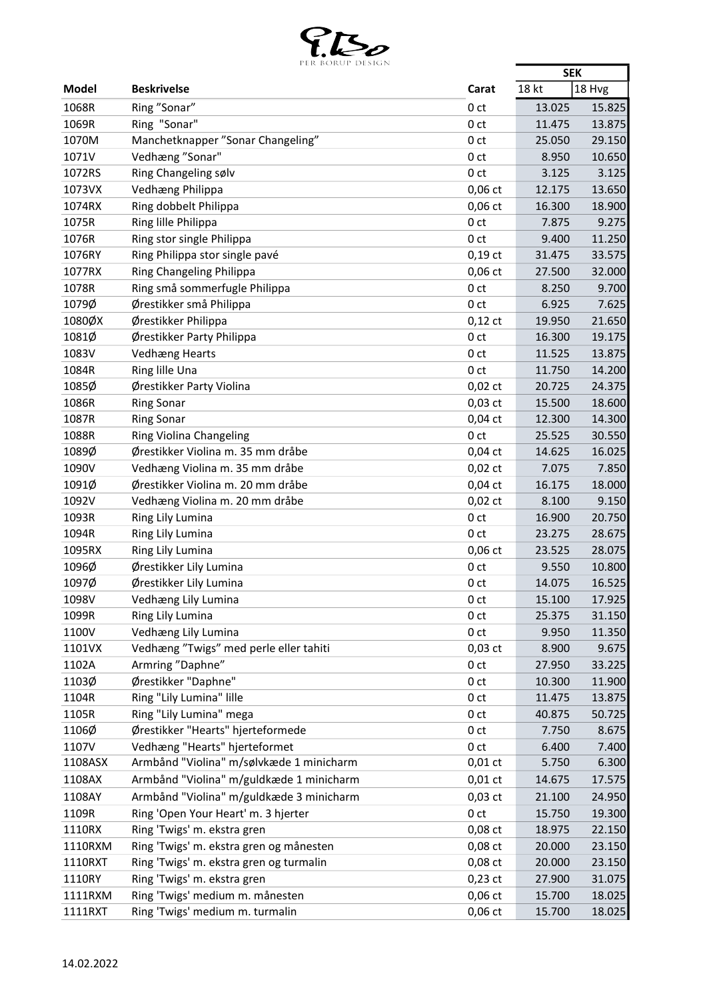

|              | FER BURUF DESIGN                         |                 | <b>SEK</b> |        |
|--------------|------------------------------------------|-----------------|------------|--------|
| <b>Model</b> | <b>Beskrivelse</b>                       | Carat           | 18 kt      | 18 Hvg |
| 1068R        | Ring "Sonar"                             | 0 <sub>ct</sub> | 13.025     | 15.825 |
| 1069R        | Ring "Sonar"                             | 0 <sub>ct</sub> | 11.475     | 13.875 |
| 1070M        | Manchetknapper "Sonar Changeling"        | 0 <sub>ct</sub> | 25.050     | 29.150 |
| 1071V        | Vedhæng "Sonar"                          | 0 <sub>ct</sub> | 8.950      | 10.650 |
| 1072RS       | Ring Changeling sølv                     | 0 <sub>ct</sub> | 3.125      | 3.125  |
| 1073VX       | Vedhæng Philippa                         | $0,06$ ct       | 12.175     | 13.650 |
| 1074RX       | Ring dobbelt Philippa                    | $0,06$ ct       | 16.300     | 18.900 |
| 1075R        | Ring lille Philippa                      | 0 <sub>ct</sub> | 7.875      | 9.275  |
| 1076R        | Ring stor single Philippa                | 0 <sub>ct</sub> | 9.400      | 11.250 |
| 1076RY       | Ring Philippa stor single pavé           | $0,19$ ct       | 31.475     | 33.575 |
| 1077RX       | Ring Changeling Philippa                 | $0,06$ ct       | 27.500     | 32.000 |
| 1078R        | Ring små sommerfugle Philippa            | 0 <sub>ct</sub> | 8.250      | 9.700  |
| 1079Ø        | Ørestikker små Philippa                  | 0 <sub>ct</sub> | 6.925      | 7.625  |
| 1080ØX       | Ørestikker Philippa                      | $0,12$ ct       | 19.950     | 21.650 |
| 1081Ø        | Ørestikker Party Philippa                | 0 <sub>ct</sub> | 16.300     | 19.175 |
| 1083V        | <b>Vedhæng Hearts</b>                    | 0 <sub>ct</sub> | 11.525     | 13.875 |
| 1084R        | Ring lille Una                           | 0 <sub>ct</sub> | 11.750     | 14.200 |
| 1085Ø        | Ørestikker Party Violina                 | $0,02$ ct       | 20.725     | 24.375 |
| 1086R        | <b>Ring Sonar</b>                        | $0,03$ ct       | 15.500     | 18.600 |
| 1087R        | <b>Ring Sonar</b>                        | $0,04$ ct       | 12.300     | 14.300 |
| 1088R        | Ring Violina Changeling                  | 0 <sub>ct</sub> | 25.525     | 30.550 |
| 1089Ø        | Ørestikker Violina m. 35 mm dråbe        | $0,04$ ct       | 14.625     | 16.025 |
| 1090V        | Vedhæng Violina m. 35 mm dråbe           | $0,02$ ct       | 7.075      | 7.850  |
| 1091Ø        | Ørestikker Violina m. 20 mm dråbe        | $0,04$ ct       | 16.175     | 18.000 |
| 1092V        | Vedhæng Violina m. 20 mm dråbe           | $0,02$ ct       | 8.100      | 9.150  |
| 1093R        | Ring Lily Lumina                         | 0 <sub>ct</sub> | 16.900     | 20.750 |
| 1094R        | Ring Lily Lumina                         | 0 <sub>ct</sub> | 23.275     | 28.675 |
| 1095RX       | Ring Lily Lumina                         | $0,06$ ct       | 23.525     | 28.075 |
| 1096Ø        | Ørestikker Lily Lumina                   | 0 <sub>ct</sub> | 9.550      | 10.800 |
| 1097Ø        | Ørestikker Lily Lumina                   | 0 <sub>ct</sub> | 14.075     | 16.525 |
| 1098V        | Vedhæng Lily Lumina                      | 0 ct            | 15.100     | 17.925 |
| 1099R        | Ring Lily Lumina                         | 0 <sub>ct</sub> | 25.375     | 31.150 |
| 1100V        | Vedhæng Lily Lumina                      | 0 ct            | 9.950      | 11.350 |
| 1101VX       | Vedhæng "Twigs" med perle eller tahiti   | $0,03$ ct       | 8.900      | 9.675  |
| 1102A        | Armring "Daphne"                         | 0 <sub>ct</sub> | 27.950     | 33.225 |
| 1103Ø        | Ørestikker "Daphne"                      | 0 <sub>ct</sub> | 10.300     | 11.900 |
| 1104R        | Ring "Lily Lumina" lille                 | 0 <sub>ct</sub> | 11.475     | 13.875 |
| 1105R        | Ring "Lily Lumina" mega                  | 0 <sub>ct</sub> | 40.875     | 50.725 |
| 1106Ø        | Ørestikker "Hearts" hjerteformede        | 0 <sub>ct</sub> | 7.750      | 8.675  |
| 1107V        | Vedhæng "Hearts" hjerteformet            | 0 <sub>ct</sub> | 6.400      | 7.400  |
| 1108ASX      | Armbånd "Violina" m/sølvkæde 1 minicharm | $0,01$ ct       | 5.750      | 6.300  |
| 1108AX       | Armbånd "Violina" m/guldkæde 1 minicharm | $0,01$ ct       | 14.675     | 17.575 |
| 1108AY       | Armbånd "Violina" m/guldkæde 3 minicharm | $0,03$ ct       | 21.100     | 24.950 |
| 1109R        | Ring 'Open Your Heart' m. 3 hjerter      | 0 <sub>ct</sub> | 15.750     | 19.300 |
| 1110RX       | Ring 'Twigs' m. ekstra gren              | 0,08 ct         | 18.975     | 22.150 |
| 1110RXM      | Ring 'Twigs' m. ekstra gren og månesten  | 0,08 ct         | 20.000     | 23.150 |
| 1110RXT      | Ring 'Twigs' m. ekstra gren og turmalin  | 0,08 ct         | 20.000     | 23.150 |
| 1110RY       | Ring 'Twigs' m. ekstra gren              | $0,23$ ct       | 27.900     | 31.075 |
| 1111RXM      | Ring 'Twigs' medium m. månesten          | $0,06$ ct       | 15.700     | 18.025 |
| 1111RXT      | Ring 'Twigs' medium m. turmalin          | $0,06$ ct       | 15.700     | 18.025 |